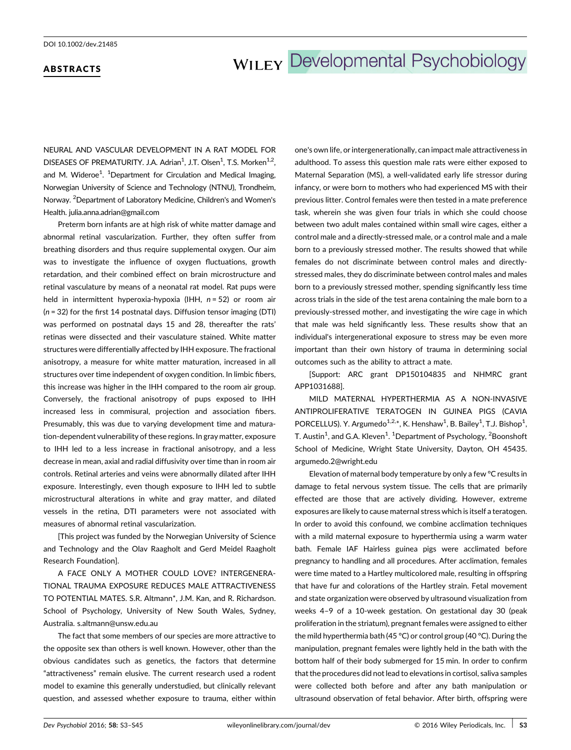### ABSTRACTS

# WILEY Developmental Psychobiology

NEURAL AND VASCULAR DEVELOPMENT IN A RAT MODEL FOR DISEASES OF PREMATURITY. J.A. Adrian<sup>1</sup>, J.T. Olsen<sup>1</sup>, T.S. Morken<sup>1,2</sup>, and M. Wideroe<sup>1</sup>. <sup>1</sup>Department for Circulation and Medical Imaging, Norwegian University of Science and Technology (NTNU), Trondheim, Norway. <sup>2</sup> Department of Laboratory Medicine, Children's and Women's Health. julia.anna.adrian@gmail.com

Preterm born infants are at high risk of white matter damage and abnormal retinal vascularization. Further, they often suffer from breathing disorders and thus require supplemental oxygen. Our aim was to investigate the influence of oxygen fluctuations, growth retardation, and their combined effect on brain microstructure and retinal vasculature by means of a neonatal rat model. Rat pups were held in intermittent hyperoxia-hypoxia (IHH,  $n = 52$ ) or room air (n = 32) for the first 14 postnatal days. Diffusion tensor imaging (DTI) was performed on postnatal days 15 and 28, thereafter the rats' retinas were dissected and their vasculature stained. White matter structures were differentially affected by IHH exposure. The fractional anisotropy, a measure for white matter maturation, increased in all structures over time independent of oxygen condition. In limbic fibers, this increase was higher in the IHH compared to the room air group. Conversely, the fractional anisotropy of pups exposed to IHH increased less in commisural, projection and association fibers. Presumably, this was due to varying development time and maturation-dependent vulnerability of these regions. In gray matter, exposure to IHH led to a less increase in fractional anisotropy, and a less decrease in mean, axial and radial diffusivity over time than in room air controls. Retinal arteries and veins were abnormally dilated after IHH exposure. Interestingly, even though exposure to IHH led to subtle microstructural alterations in white and gray matter, and dilated vessels in the retina, DTI parameters were not associated with measures of abnormal retinal vascularization.

[This project was funded by the Norwegian University of Science and Technology and the Olav Raagholt and Gerd Meidel Raagholt Research Foundation].

A FACE ONLY A MOTHER COULD LOVE? INTERGENERA-TIONAL TRAUMA EXPOSURE REDUCES MALE ATTRACTIVENESS TO POTENTIAL MATES. S.R. Altmann\*, J.M. Kan, and R. Richardson. School of Psychology, University of New South Wales, Sydney, Australia. s.altmann@unsw.edu.au

The fact that some members of our species are more attractive to the opposite sex than others is well known. However, other than the obvious candidates such as genetics, the factors that determine "attractiveness" remain elusive. The current research used a rodent model to examine this generally understudied, but clinically relevant question, and assessed whether exposure to trauma, either within

one's own life, or intergenerationally, can impact male attractiveness in adulthood. To assess this question male rats were either exposed to Maternal Separation (MS), a well-validated early life stressor during infancy, or were born to mothers who had experienced MS with their previous litter. Control females were then tested in a mate preference task, wherein she was given four trials in which she could choose between two adult males contained within small wire cages, either a control male and a directly-stressed male, or a control male and a male born to a previously stressed mother. The results showed that while females do not discriminate between control males and directlystressed males, they do discriminate between control males and males born to a previously stressed mother, spending significantly less time across trials in the side of the test arena containing the male born to a previously-stressed mother, and investigating the wire cage in which that male was held significantly less. These results show that an individual's intergenerational exposure to stress may be even more important than their own history of trauma in determining social outcomes such as the ability to attract a mate.

[Support: ARC grant DP150104835 and NHMRC grant APP1031688].

MILD MATERNAL HYPERTHERMIA AS A NON-INVASIVE ANTIPROLIFERATIVE TERATOGEN IN GUINEA PIGS (CAVIA PORCELLUS). Y. Argumedo<sup>1,2,\*</sup>, K. Henshaw<sup>1</sup>, B. Bailey<sup>1</sup>, T.J. Bishop<sup>1</sup>, T. Austin<sup>1</sup>, and G.A. Kleven<sup>1</sup>. <sup>1</sup>Department of Psychology, <sup>2</sup>Boonshoft School of Medicine, Wright State University, Dayton, OH 45435. argumedo.2@wright.edu

Elevation of maternal body temperature by only a few °C results in damage to fetal nervous system tissue. The cells that are primarily effected are those that are actively dividing. However, extreme exposures are likely to cause maternal stress which is itself a teratogen. In order to avoid this confound, we combine acclimation techniques with a mild maternal exposure to hyperthermia using a warm water bath. Female IAF Hairless guinea pigs were acclimated before pregnancy to handling and all procedures. After acclimation, females were time mated to a Hartley multicolored male, resulting in offspring that have fur and colorations of the Hartley strain. Fetal movement and state organization were observed by ultrasound visualization from weeks 4–9 of a 10-week gestation. On gestational day 30 (peak proliferation in the striatum), pregnant females were assigned to either the mild hyperthermia bath (45 °C) or control group (40 °C). During the manipulation, pregnant females were lightly held in the bath with the bottom half of their body submerged for 15 min. In order to confirm that the procedures did not lead to elevations in cortisol, saliva samples were collected both before and after any bath manipulation or ultrasound observation of fetal behavior. After birth, offspring were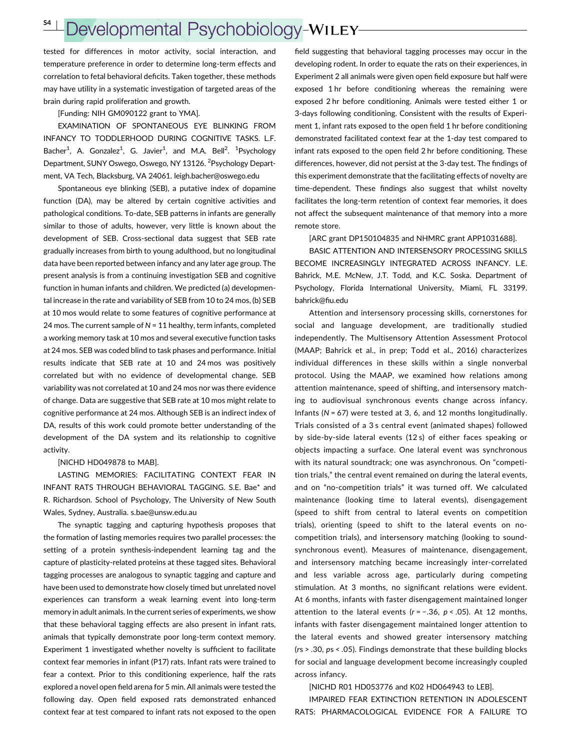### S4 <sup>|</sup>

## Developmental Psychobiology-WILEY-

tested for differences in motor activity, social interaction, and temperature preference in order to determine long-term effects and correlation to fetal behavioral deficits. Taken together, these methods may have utility in a systematic investigation of targeted areas of the brain during rapid proliferation and growth.

[Funding: NIH GM090122 grant to YMA].

EXAMINATION OF SPONTANEOUS EYE BLINKING FROM INFANCY TO TODDLERHOOD DURING COGNITIVE TASKS. L.F. Bacher<sup>1</sup>, A. Gonzalez<sup>1</sup>, G. Javier<sup>1</sup>, and M.A. Bell<sup>2</sup>. <sup>1</sup>Psychology Department, SUNY Oswego, Oswego, NY 13126.<sup>2</sup> Psychology Department, VA Tech, Blacksburg, VA 24061. leigh.bacher@oswego.edu

Spontaneous eye blinking (SEB), a putative index of dopamine function (DA), may be altered by certain cognitive activities and pathological conditions. To-date, SEB patterns in infants are generally similar to those of adults, however, very little is known about the development of SEB. Cross-sectional data suggest that SEB rate gradually increases from birth to young adulthood, but no longitudinal data have been reported between infancy and any later age group. The present analysis is from a continuing investigation SEB and cognitive function in human infants and children. We predicted (a) developmental increase in the rate and variability of SEB from 10 to 24 mos, (b) SEB at 10 mos would relate to some features of cognitive performance at 24 mos. The current sample of  $N = 11$  healthy, term infants, completed a working memory task at 10 mos and several executive function tasks at 24 mos. SEB was coded blind to task phases and performance. Initial results indicate that SEB rate at 10 and 24 mos was positively correlated but with no evidence of developmental change. SEB variability was not correlated at 10 and 24 mos nor was there evidence of change. Data are suggestive that SEB rate at 10 mos might relate to cognitive performance at 24 mos. Although SEB is an indirect index of DA, results of this work could promote better understanding of the development of the DA system and its relationship to cognitive activity.

#### [NICHD HD049878 to MAB].

LASTING MEMORIES: FACILITATING CONTEXT FEAR IN INFANT RATS THROUGH BEHAVIORAL TAGGING. S.E. Bae\* and R. Richardson. School of Psychology, The University of New South Wales, Sydney, Australia. s.bae@unsw.edu.au

The synaptic tagging and capturing hypothesis proposes that the formation of lasting memories requires two parallel processes: the setting of a protein synthesis-independent learning tag and the capture of plasticity-related proteins at these tagged sites. Behavioral tagging processes are analogous to synaptic tagging and capture and have been used to demonstrate how closely timed but unrelated novel experiences can transform a weak learning event into long-term memory in adult animals. In the current series of experiments, we show that these behavioral tagging effects are also present in infant rats, animals that typically demonstrate poor long-term context memory. Experiment 1 investigated whether novelty is sufficient to facilitate context fear memories in infant (P17) rats. Infant rats were trained to fear a context. Prior to this conditioning experience, half the rats explored a novel open field arena for 5 min. All animals were tested the following day. Open field exposed rats demonstrated enhanced context fear at test compared to infant rats not exposed to the open

field suggesting that behavioral tagging processes may occur in the developing rodent. In order to equate the rats on their experiences, in Experiment 2 all animals were given open field exposure but half were exposed 1 hr before conditioning whereas the remaining were exposed 2 hr before conditioning. Animals were tested either 1 or 3-days following conditioning. Consistent with the results of Experiment 1, infant rats exposed to the open field 1 hr before conditioning demonstrated facilitated context fear at the 1-day test compared to infant rats exposed to the open field 2 hr before conditioning. These differences, however, did not persist at the 3-day test. The findings of this experiment demonstrate that the facilitating effects of novelty are time-dependent. These findings also suggest that whilst novelty facilitates the long-term retention of context fear memories, it does not affect the subsequent maintenance of that memory into a more remote store.

[ARC grant DP150104835 and NHMRC grant APP1031688].

BASIC ATTENTION AND INTERSENSORY PROCESSING SKILLS BECOME INCREASINGLY INTEGRATED ACROSS INFANCY. L.E. Bahrick, M.E. McNew, J.T. Todd, and K.C. Soska. Department of Psychology, Florida International University, Miami, FL 33199. bahrick@fiu.edu

Attention and intersensory processing skills, cornerstones for social and language development, are traditionally studied independently. The Multisensory Attention Assessment Protocol (MAAP; Bahrick et al., in prep; Todd et al., 2016) characterizes individual differences in these skills within a single nonverbal protocol. Using the MAAP, we examined how relations among attention maintenance, speed of shifting, and intersensory matching to audiovisual synchronous events change across infancy. Infants ( $N = 67$ ) were tested at 3, 6, and 12 months longitudinally. Trials consisted of a 3 s central event (animated shapes) followed by side-by-side lateral events (12 s) of either faces speaking or objects impacting a surface. One lateral event was synchronous with its natural soundtrack; one was asynchronous. On "competition trials," the central event remained on during the lateral events, and on "no-competition trials" it was turned off. We calculated maintenance (looking time to lateral events), disengagement (speed to shift from central to lateral events on competition trials), orienting (speed to shift to the lateral events on nocompetition trials), and intersensory matching (looking to soundsynchronous event). Measures of maintenance, disengagement, and intersensory matching became increasingly inter-correlated and less variable across age, particularly during competing stimulation. At 3 months, no significant relations were evident. At 6 months, infants with faster disengagement maintained longer attention to the lateral events ( $r = -0.36$ ,  $p < 0.05$ ). At 12 months, infants with faster disengagement maintained longer attention to the lateral events and showed greater intersensory matching (rs > .30, ps < .05). Findings demonstrate that these building blocks for social and language development become increasingly coupled across infancy.

[NICHD R01 HD053776 and K02 HD064943 to LEB].

IMPAIRED FEAR EXTINCTION RETENTION IN ADOLESCENT RATS: PHARMACOLOGICAL EVIDENCE FOR A FAILURE TO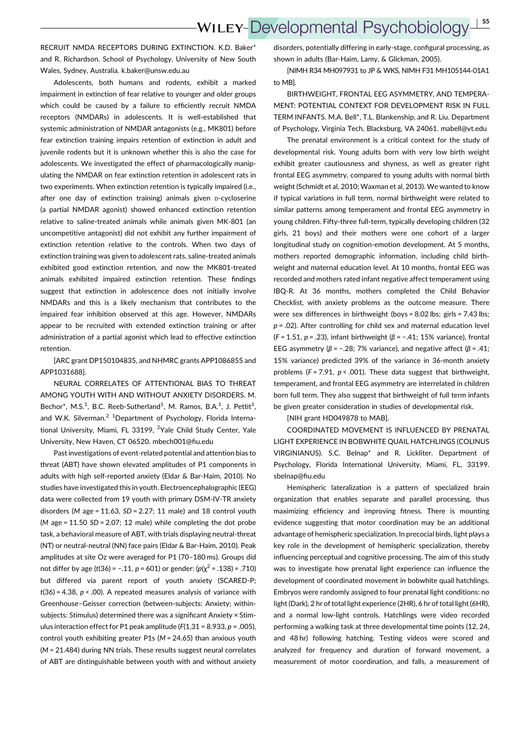RECRUIT NMDA RECEPTORS DURING EXTINCTION. K.D. Baker\* and R. Richardson. School of Psychology, University of New South Wales, Sydney, Australia. k.baker@unsw.edu.au

Adolescents, both humans and rodents, exhibit a marked impairment in extinction of fear relative to younger and older groups which could be caused by a failure to efficiently recruit NMDA receptors (NMDARs) in adolescents. It is well-established that systemic administration of NMDAR antagonists (e.g., MK801) before fear extinction training impairs retention of extinction in adult and juvenile rodents but it is unknown whether this is also the case for adolescents. We investigated the effect of pharmacologically manipulating the NMDAR on fear extinction retention in adolescent rats in two experiments. When extinction retention is typically impaired (i.e., after one day of extinction training) animals given D-cycloserine (a partial NMDAR agonist) showed enhanced extinction retention relative to saline-treated animals while animals given MK-801 (an uncompetitive antagonist) did not exhibit any further impairment of extinction retention relative to the controls. When two days of extinction training was given to adolescent rats, saline-treated animals exhibited good extinction retention, and now the MK801-treated animals exhibited impaired extinction retention. These findings suggest that extinction in adolescence does not initially involve NMDARs and this is a likely mechanism that contributes to the impaired fear inhibition observed at this age. However, NMDARs appear to be recruited with extended extinction training or after administration of a partial agonist which lead to effective extinction retention.

[ARC grant DP150104835, and NHMRC grants APP1086855 and APP1031688].

NEURAL CORRELATES OF ATTENTIONAL BIAS TO THREAT AMONG YOUTH WITH AND WITHOUT ANXIETY DISORDERS. M. Bechor\*, M.S.<sup>1</sup>, B.C. Reeb-Sutherland<sup>1</sup>, M. Ramos, B.A.<sup>1</sup>, J. Pettit<sup>1</sup>, and W.K. Silverman.<sup>2</sup> <sup>1</sup>Department of Psychology, Florida International University, Miami, FL 33199, <sup>2</sup>Yale Child Study Center, Yale University, New Haven, CT 06520. mbech001@fiu.edu

Past investigations of event-related potential and attention bias to threat (ABT) have shown elevated amplitudes of P1 components in adults with high self-reported anxiety (Eldar & Bar-Haim, 2010). No studies have investigated this in youth. Electroencephalographic (EEG) data were collected from 19 youth with primary DSM-IV-TR anxiety disorders (M age =  $11.63$ ,  $SD = 2.27$ ;  $11$  male) and  $18$  control youth  $(M \text{ age} = 11.50 \text{ SD} = 2.07$ ; 12 male) while completing the dot probe task, a behavioral measure of ABT, with trials displaying neutral-threat (NT) or neutral-neutral (NN) face pairs (Eldar & Bar-Haim, 2010). Peak amplitudes at site Oz were averaged for P1 (70–180 ms). Groups did not differ by age (t(36) = -.11, p = 601) or gender: (p( $\chi^2$  = .138) = .710) but differed via parent report of youth anxiety (SCARED-P;  $t(36) = 4.38$ ,  $p < .00$ ). A repeated measures analysis of variance with Greenhouse–Geisser correction (between-subjects: Anxiety; withinsubjects: Stimulus) determined there was a significant Anxiety × Stimulus interaction effect for P1 peak amplitude ( $F(1,31 = 8.933, p = .005)$ ), control youth exhibiting greater P1s (M = 24.65) than anxious youth (M = 21.484) during NN trials. These results suggest neural correlates of ABT are distinguishable between youth with and without anxiety

disorders, potentially differing in early-stage, configural processing, as shown in adults (Bar-Haim, Lamy, & Glickman, 2005).

[NIMH R34 MH097931 to JP & WKS, NIMH F31 MH105144-01A1 to MB].

BIRTHWEIGHT, FRONTAL EEG ASYMMETRY, AND TEMPERA-MENT: POTENTIAL CONTEXT FOR DEVELOPMENT RISK IN FULL TERM INFANTS. M.A. Bell\*, T.L. Blankenship, and R. Liu. Department of Psychology, Virginia Tech, Blacksburg, VA 24061. mabell@vt.edu

The prenatal environment is a critical context for the study of developmental risk. Young adults born with very low birth weight exhibit greater cautiousness and shyness, as well as greater right frontal EEG asymmetry, compared to young adults with normal birth weight (Schmidt et al, 2010; Waxman et al, 2013). We wanted to know if typical variations in full term, normal birthweight were related to similar patterns among temperament and frontal EEG asymmetry in young children. Fifty-three full-term, typically developing children (32 girls, 21 boys) and their mothers were one cohort of a larger longitudinal study on cognition-emotion development. At 5 months, mothers reported demographic information, including child birthweight and maternal education level. At 10 months, frontal EEG was recorded and mothers rated infant negative affect temperament using IBQ-R. At 36 months, mothers completed the Child Behavior Checklist, with anxiety problems as the outcome measure. There were sex differences in birthweight (boys = 8.02 lbs; girls = 7.43 lbs;  $p = .02$ ). After controlling for child sex and maternal education level ( $F = 1.51$ ,  $p = .23$ ), infant birthweight ( $\beta = -.41$ ; 15% variance), frontal EEG asymmetry ( $β = −.28$ ; 7% variance), and negative affect ( $β = .41$ ; 15% variance) predicted 39% of the variance in 36-month anxiety problems ( $F = 7.91$ ,  $p < .001$ ). These data suggest that birthweight, temperament, and frontal EEG asymmetry are interrelated in children born full term. They also suggest that birthweight of full term infants be given greater consideration in studies of developmental risk.

[NIH grant HD049878 to MAB].

COORDINATED MOVEMENT IS INFLUENCED BY PRENATAL LIGHT EXPERIENCE IN BOBWHITE QUAIL HATCHLINGS (COLINUS VIRGINIANUS). S.C. Belnap\* and R. Lickliter. Department of Psychology, Florida International University, Miami, FL, 33199. sbelnap@fiu.edu

Hemispheric lateralization is a pattern of specialized brain organization that enables separate and parallel processing, thus maximizing efficiency and improving fitness. There is mounting evidence suggesting that motor coordination may be an additional advantage of hemispheric specialization. In precocial birds, light plays a key role in the development of hemispheric specialization, thereby influencing perceptual and cognitive processing. The aim of this study was to investigate how prenatal light experience can influence the development of coordinated movement in bobwhite quail hatchlings. Embryos were randomly assigned to four prenatal light conditions: no light (Dark), 2 hr of total light experience (2HR), 6 hr of total light (6HR), and a normal low-light controls. Hatchlings were video recorded performing a walking task at three developmental time points (12, 24, and 48 hr) following hatching. Testing videos were scored and analyzed for frequency and duration of forward movement, a measurement of motor coordination, and falls, a measurement of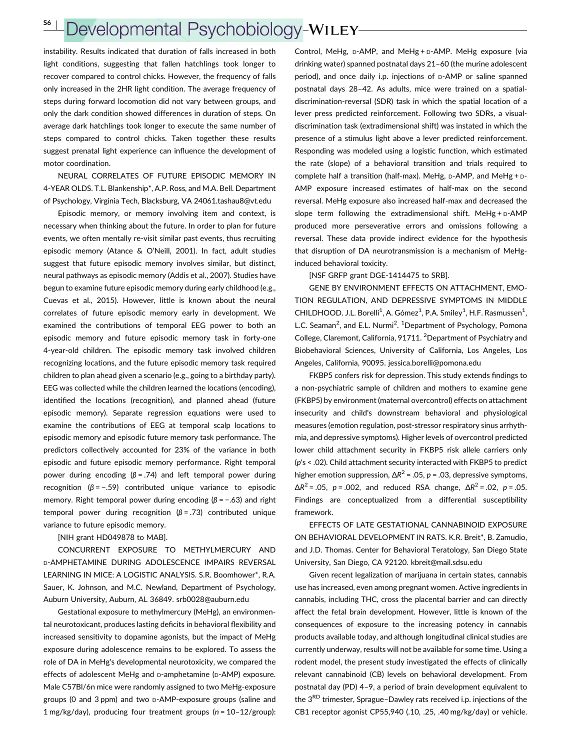#### S6 <sup>|</sup>Developmental Psychobiology-WILEY-

instability. Results indicated that duration of falls increased in both light conditions, suggesting that fallen hatchlings took longer to recover compared to control chicks. However, the frequency of falls only increased in the 2HR light condition. The average frequency of steps during forward locomotion did not vary between groups, and only the dark condition showed differences in duration of steps. On average dark hatchlings took longer to execute the same number of steps compared to control chicks. Taken together these results suggest prenatal light experience can influence the development of motor coordination.

NEURAL CORRELATES OF FUTURE EPISODIC MEMORY IN 4-YEAR OLDS. T.L. Blankenship\*, A.P. Ross, and M.A. Bell. Department of Psychology, Virginia Tech, Blacksburg, VA 24061.tashau8@vt.edu

Episodic memory, or memory involving item and context, is necessary when thinking about the future. In order to plan for future events, we often mentally re-visit similar past events, thus recruiting episodic memory (Atance & O'Neill, 2001). In fact, adult studies suggest that future episodic memory involves similar, but distinct, neural pathways as episodic memory (Addis et al., 2007). Studies have begun to examine future episodic memory during early childhood (e.g., Cuevas et al., 2015). However, little is known about the neural correlates of future episodic memory early in development. We examined the contributions of temporal EEG power to both an episodic memory and future episodic memory task in forty-one 4-year-old children. The episodic memory task involved children recognizing locations, and the future episodic memory task required children to plan ahead given a scenario (e.g., going to a birthday party). EEG was collected while the children learned the locations (encoding), identified the locations (recognition), and planned ahead (future episodic memory). Separate regression equations were used to examine the contributions of EEG at temporal scalp locations to episodic memory and episodic future memory task performance. The predictors collectively accounted for 23% of the variance in both episodic and future episodic memory performance. Right temporal power during encoding  $(β = .74)$  and left temporal power during recognition ( $\beta$  = -.59) contributed unique variance to episodic memory. Right temporal power during encoding  $(\beta = -.63)$  and right temporal power during recognition  $(β = .73)$  contributed unique variance to future episodic memory.

#### [NIH grant HD049878 to MAB].

CONCURRENT EXPOSURE TO METHYLMERCURY AND D-AMPHETAMINE DURING ADOLESCENCE IMPAIRS REVERSAL LEARNING IN MICE: A LOGISTIC ANALYSIS. S.R. Boomhower\*, R.A. Sauer, K. Johnson, and M.C. Newland, Department of Psychology, Auburn University, Auburn, AL 36849. srb0028@auburn.edu

Gestational exposure to methylmercury (MeHg), an environmental neurotoxicant, produces lasting deficits in behavioral flexibility and increased sensitivity to dopamine agonists, but the impact of MeHg exposure during adolescence remains to be explored. To assess the role of DA in MeHg's developmental neurotoxicity, we compared the effects of adolescent MeHg and D-amphetamine (D-AMP) exposure. Male C57Bl/6n mice were randomly assigned to two MeHg-exposure groups (0 and 3 ppm) and two D-AMP-exposure groups (saline and 1 mg/kg/day), producing four treatment groups (n = 10–12/group):

Control, MeHg, D-AMP, and MeHg + D-AMP. MeHg exposure (via drinking water) spanned postnatal days 21–60 (the murine adolescent period), and once daily i.p. injections of D-AMP or saline spanned postnatal days 28–42. As adults, mice were trained on a spatialdiscrimination-reversal (SDR) task in which the spatial location of a lever press predicted reinforcement. Following two SDRs, a visualdiscrimination task (extradimensional shift) was instated in which the presence of a stimulus light above a lever predicted reinforcement. Responding was modeled using a logistic function, which estimated the rate (slope) of a behavioral transition and trials required to complete half a transition (half-max). MeHg, D-AMP, and MeHg + D-AMP exposure increased estimates of half-max on the second reversal. MeHg exposure also increased half-max and decreased the slope term following the extradimensional shift. MeHg +  $D$ -AMP produced more perseverative errors and omissions following a reversal. These data provide indirect evidence for the hypothesis that disruption of DA neurotransmission is a mechanism of MeHginduced behavioral toxicity.

#### [NSF GRFP grant DGE-1414475 to SRB].

GENE BY ENVIRONMENT EFFECTS ON ATTACHMENT, EMO-TION REGULATION, AND DEPRESSIVE SYMPTOMS IN MIDDLE CHILDHOOD. J.L. Borelli<sup>1</sup>, A. Gómez<sup>1</sup>, P.A. Smiley<sup>1</sup>, H.F. Rasmussen<sup>1</sup>, L.C. Seaman<sup>2</sup>, and E.L. Nurmi<sup>2</sup>. <sup>1</sup>Department of Psychology, Pomona College, Claremont, California, 91711. <sup>2</sup>Department of Psychiatry and Biobehavioral Sciences, University of California, Los Angeles, Los Angeles, California, 90095. jessica.borelli@pomona.edu

FKBP5 confers risk for depression. This study extends findings to a non-psychiatric sample of children and mothers to examine gene (FKBP5) by environment (maternal overcontrol) effects on attachment insecurity and child's downstream behavioral and physiological measures (emotion regulation, post-stressor respiratory sinus arrhythmia, and depressive symptoms). Higher levels of overcontrol predicted lower child attachment security in FKBP5 risk allele carriers only (p's < .02). Child attachment security interacted with FKBP5 to predict higher emotion suppression,  $\Delta R^2$  = .05, *p* = .03, depressive symptoms,  $\Delta R^2$  = .05, p = .002, and reduced RSA change,  $\Delta R^2$  = .02, p = .05. Findings are conceptualized from a differential susceptibility framework.

EFFECTS OF LATE GESTATIONAL CANNABINOID EXPOSURE ON BEHAVIORAL DEVELOPMENT IN RATS. K.R. Breit\*, B. Zamudio, and J.D. Thomas. Center for Behavioral Teratology, San Diego State University, San Diego, CA 92120. kbreit@mail.sdsu.edu

Given recent legalization of marijuana in certain states, cannabis use has increased, even among pregnant women. Active ingredients in cannabis, including THC, cross the placental barrier and can directly affect the fetal brain development. However, little is known of the consequences of exposure to the increasing potency in cannabis products available today, and although longitudinal clinical studies are currently underway, results will not be available for some time. Using a rodent model, the present study investigated the effects of clinically relevant cannabinoid (CB) levels on behavioral development. From postnatal day (PD) 4–9, a period of brain development equivalent to the 3<sup>RD</sup> trimester, Sprague–Dawley rats received i.p. injections of the CB1 receptor agonist CP55,940 (.10, .25, .40 mg/kg/day) or vehicle.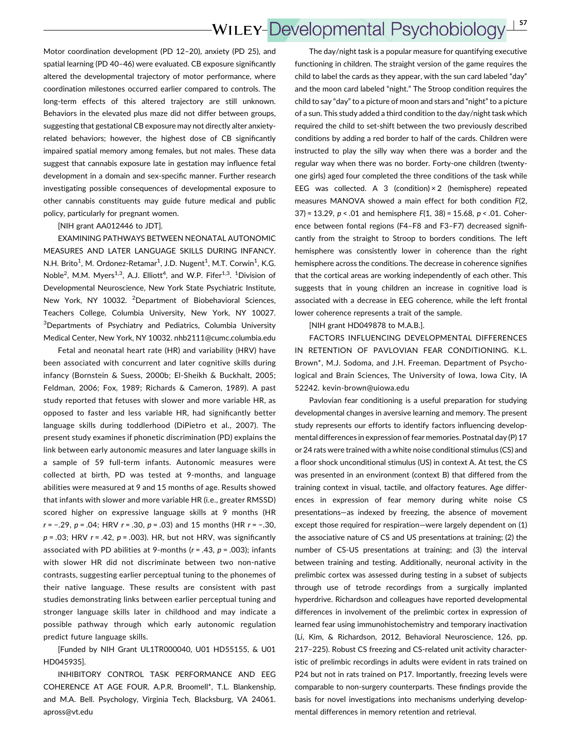### **WILEY-Developmental Psychobiology** <sup>|</sup> S7

Motor coordination development (PD 12–20), anxiety (PD 25), and spatial learning (PD 40–46) were evaluated. CB exposure significantly altered the developmental trajectory of motor performance, where coordination milestones occurred earlier compared to controls. The long-term effects of this altered trajectory are still unknown. Behaviors in the elevated plus maze did not differ between groups, suggesting that gestational CB exposure may not directly alter anxietyrelated behaviors; however, the highest dose of CB significantly impaired spatial memory among females, but not males. These data suggest that cannabis exposure late in gestation may influence fetal development in a domain and sex-specific manner. Further research investigating possible consequences of developmental exposure to other cannabis constituents may guide future medical and public policy, particularly for pregnant women.

[NIH grant AA012446 to JDT].

EXAMINING PATHWAYS BETWEEN NEONATAL AUTONOMIC MEASURES AND LATER LANGUAGE SKILLS DURING INFANCY. N.H. Brito<sup>1</sup>, M. Ordonez-Retamar<sup>1</sup>, J.D. Nugent<sup>1</sup>, M.T. Corwin<sup>1</sup>, K.G. Noble<sup>2</sup>, M.M. Myers<sup>1,3</sup>, A.J. Elliott<sup>4</sup>, and W.P. Fifer<sup>1,3</sup>. <sup>1</sup>Division of Developmental Neuroscience, New York State Psychiatric Institute, New York, NY 10032. <sup>2</sup>Department of Biobehavioral Sciences, Teachers College, Columbia University, New York, NY 10027. <sup>3</sup>Departments of Psychiatry and Pediatrics, Columbia University Medical Center, New York, NY 10032. nhb2111@cumc.columbia.edu

Fetal and neonatal heart rate (HR) and variability (HRV) have been associated with concurrent and later cognitive skills during infancy (Bornstein & Suess, 2000b; El-Sheikh & Buckhalt, 2005; Feldman, 2006; Fox, 1989; Richards & Cameron, 1989). A past study reported that fetuses with slower and more variable HR, as opposed to faster and less variable HR, had significantly better language skills during toddlerhood (DiPietro et al., 2007). The present study examines if phonetic discrimination (PD) explains the link between early autonomic measures and later language skills in a sample of 59 full-term infants. Autonomic measures were collected at birth, PD was tested at 9-months, and language abilities were measured at 9 and 15 months of age. Results showed that infants with slower and more variable HR (i.e., greater RMSSD) scored higher on expressive language skills at 9 months (HR r = −.29, p = .04; HRV r = .30, p = .03) and 15 months (HR r = −.30,  $p = .03$ ; HRV  $r = .42$ ,  $p = .003$ ). HR, but not HRV, was significantly associated with PD abilities at 9-months ( $r = .43$ ,  $p = .003$ ); infants with slower HR did not discriminate between two non-native contrasts, suggesting earlier perceptual tuning to the phonemes of their native language. These results are consistent with past studies demonstrating links between earlier perceptual tuning and stronger language skills later in childhood and may indicate a possible pathway through which early autonomic regulation predict future language skills.

[Funded by NIH Grant UL1TR000040, U01 HD55155, & U01 HD045935].

INHIBITORY CONTROL TASK PERFORMANCE AND EEG COHERENCE AT AGE FOUR. A.P.R. Broomell\*, T.L. Blankenship, and M.A. Bell. Psychology, Virginia Tech, Blacksburg, VA 24061. apross@vt.edu

The day/night task is a popular measure for quantifying executive functioning in children. The straight version of the game requires the child to label the cards as they appear, with the sun card labeled "day" and the moon card labeled "night." The Stroop condition requires the child to say "day" to a picture of moon and stars and "night" to a picture of a sun. This study added a third condition to the day/night task which required the child to set-shift between the two previously described conditions by adding a red border to half of the cards. Children were instructed to play the silly way when there was a border and the regular way when there was no border. Forty-one children (twentyone girls) aged four completed the three conditions of the task while EEG was collected. A 3 (condition) $\times$  2 (hemisphere) repeated measures MANOVA showed a main effect for both condition F(2, 37) = 13.29,  $p < .01$  and hemisphere  $F(1, 38)$  = 15.68,  $p < .01$ . Coherence between fontal regions (F4–F8 and F3–F7) decreased significantly from the straight to Stroop to borders conditions. The left hemisphere was consistently lower in coherence than the right hemisphere across the conditions. The decrease in coherence signifies that the cortical areas are working independently of each other. This suggests that in young children an increase in cognitive load is associated with a decrease in EEG coherence, while the left frontal lower coherence represents a trait of the sample.

[NIH grant HD049878 to M.A.B.].

FACTORS INFLUENCING DEVELOPMENTAL DIFFERENCES IN RETENTION OF PAVLOVIAN FEAR CONDITIONING. K.L. Brown\*, M.J. Sodoma, and J.H. Freeman. Department of Psychological and Brain Sciences, The University of Iowa, Iowa City, IA 52242. kevin-brown@uiowa.edu

Pavlovian fear conditioning is a useful preparation for studying developmental changes in aversive learning and memory. The present study represents our efforts to identify factors influencing developmental differences in expression of fear memories. Postnatal day (P) 17 or 24 rats were trained with a white noise conditional stimulus (CS) and a floor shock unconditional stimulus (US) in context A. At test, the CS was presented in an environment (context B) that differed from the training context in visual, tactile, and olfactory features. Age differences in expression of fear memory during white noise CS presentations—as indexed by freezing, the absence of movement except those required for respiration—were largely dependent on (1) the associative nature of CS and US presentations at training; (2) the number of CS-US presentations at training; and (3) the interval between training and testing. Additionally, neuronal activity in the prelimbic cortex was assessed during testing in a subset of subjects through use of tetrode recordings from a surgically implanted hyperdrive. Richardson and colleagues have reported developmental differences in involvement of the prelimbic cortex in expression of learned fear using immunohistochemistry and temporary inactivation (Li, Kim, & Richardson, 2012, Behavioral Neuroscience, 126, pp. 217–225). Robust CS freezing and CS-related unit activity characteristic of prelimbic recordings in adults were evident in rats trained on P24 but not in rats trained on P17. Importantly, freezing levels were comparable to non-surgery counterparts. These findings provide the basis for novel investigations into mechanisms underlying developmental differences in memory retention and retrieval.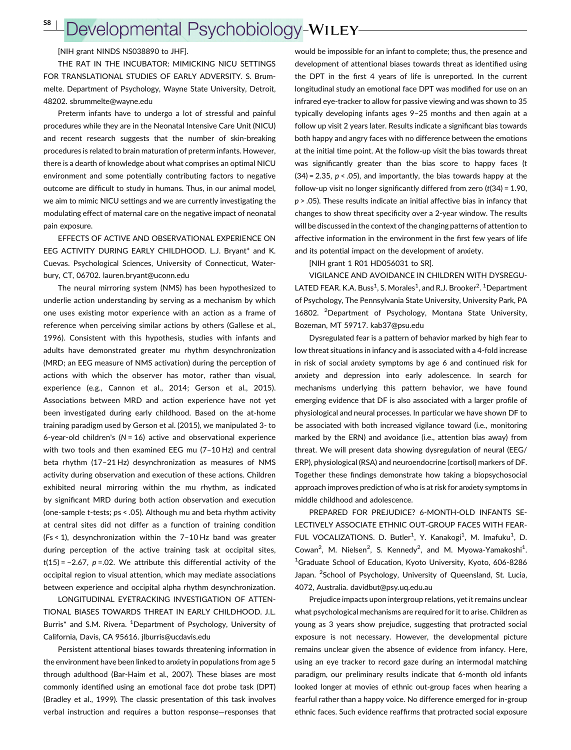### Developmental Psychobiology-WILEY-S8 <sup>|</sup>

[NIH grant NINDS NS038890 to JHF].

THE RAT IN THE INCUBATOR: MIMICKING NICU SETTINGS FOR TRANSLATIONAL STUDIES OF EARLY ADVERSITY. S. Brummelte. Department of Psychology, Wayne State University, Detroit, 48202. sbrummelte@wayne.edu

Preterm infants have to undergo a lot of stressful and painful procedures while they are in the Neonatal Intensive Care Unit (NICU) and recent research suggests that the number of skin-breaking procedures is related to brain maturation of preterm infants. However, there is a dearth of knowledge about what comprises an optimal NICU environment and some potentially contributing factors to negative outcome are difficult to study in humans. Thus, in our animal model, we aim to mimic NICU settings and we are currently investigating the modulating effect of maternal care on the negative impact of neonatal pain exposure.

EFFECTS OF ACTIVE AND OBSERVATIONAL EXPERIENCE ON EEG ACTIVITY DURING EARLY CHILDHOOD. L.J. Bryant\* and K. Cuevas. Psychological Sciences, University of Connecticut, Waterbury, CT, 06702. lauren.bryant@uconn.edu

The neural mirroring system (NMS) has been hypothesized to underlie action understanding by serving as a mechanism by which one uses existing motor experience with an action as a frame of reference when perceiving similar actions by others (Gallese et al., 1996). Consistent with this hypothesis, studies with infants and adults have demonstrated greater mu rhythm desynchronization (MRD; an EEG measure of NMS activation) during the perception of actions with which the observer has motor, rather than visual, experience (e.g., Cannon et al., 2014; Gerson et al., 2015). Associations between MRD and action experience have not yet been investigated during early childhood. Based on the at-home training paradigm used by Gerson et al. (2015), we manipulated 3- to 6-year-old children's  $(N = 16)$  active and observational experience with two tools and then examined EEG mu (7–10 Hz) and central beta rhythm (17–21 Hz) desynchronization as measures of NMS activity during observation and execution of these actions. Children exhibited neural mirroring within the mu rhythm, as indicated by significant MRD during both action observation and execution (one-sample t-tests; ps < .05). Although mu and beta rhythm activity at central sites did not differ as a function of training condition (Fs < 1), desynchronization within the 7–10 Hz band was greater during perception of the active training task at occipital sites,  $t(15) = -2.67$ ,  $p = 02$ . We attribute this differential activity of the occipital region to visual attention, which may mediate associations between experience and occipital alpha rhythm desynchronization.

LONGITUDINAL EYETRACKING INVESTIGATION OF ATTEN-TIONAL BIASES TOWARDS THREAT IN EARLY CHILDHOOD. J.L. Burris<sup>\*</sup> and S.M. Rivera. <sup>1</sup>Department of Psychology, University of California, Davis, CA 95616. jlburris@ucdavis.edu

Persistent attentional biases towards threatening information in the environment have been linked to anxiety in populations from age 5 through adulthood (Bar-Haim et al., 2007). These biases are most commonly identified using an emotional face dot probe task (DPT) (Bradley et al., 1999). The classic presentation of this task involves verbal instruction and requires a button response—responses that

would be impossible for an infant to complete; thus, the presence and development of attentional biases towards threat as identified using the DPT in the first 4 years of life is unreported. In the current longitudinal study an emotional face DPT was modified for use on an infrared eye-tracker to allow for passive viewing and was shown to 35 typically developing infants ages 9–25 months and then again at a follow up visit 2 years later. Results indicate a significant bias towards both happy and angry faces with no difference between the emotions at the initial time point. At the follow-up visit the bias towards threat was significantly greater than the bias score to happy faces (t  $(34) = 2.35$ ,  $p < .05$ ), and importantly, the bias towards happy at the follow-up visit no longer significantly differed from zero  $(t(34) = 1.90$ ,  $p$  > .05). These results indicate an initial affective bias in infancy that changes to show threat specificity over a 2-year window. The results will be discussed in the context of the changing patterns of attention to affective information in the environment in the first few years of life and its potential impact on the development of anxiety.

[NIH grant 1 R01 HD056031 to SR].

VIGILANCE AND AVOIDANCE IN CHILDREN WITH DYSREGU-LATED FEAR. K.A. Buss<sup>1</sup>, S. Morales<sup>1</sup>, and R.J. Brooker<sup>2</sup>. <sup>1</sup>Department of Psychology, The Pennsylvania State University, University Park, PA 16802. <sup>2</sup>Department of Psychology, Montana State University, Bozeman, MT 59717. kab37@psu.edu

Dysregulated fear is a pattern of behavior marked by high fear to low threat situations in infancy and is associated with a 4-fold increase in risk of social anxiety symptoms by age 6 and continued risk for anxiety and depression into early adolescence. In search for mechanisms underlying this pattern behavior, we have found emerging evidence that DF is also associated with a larger profile of physiological and neural processes. In particular we have shown DF to be associated with both increased vigilance toward (i.e., monitoring marked by the ERN) and avoidance (i.e., attention bias away) from threat. We will present data showing dysregulation of neural (EEG/ ERP), physiological (RSA) and neuroendocrine (cortisol) markers of DF. Together these findings demonstrate how taking a biopsychosocial approach improves prediction of who is at risk for anxiety symptoms in middle childhood and adolescence.

PREPARED FOR PREJUDICE? 6-MONTH-OLD INFANTS SE-LECTIVELY ASSOCIATE ETHNIC OUT-GROUP FACES WITH FEAR-FUL VOCALIZATIONS. D. Butler<sup>1</sup>, Y. Kanakogi<sup>1</sup>, M. Imafuku<sup>1</sup>, D. Cowan<sup>2</sup>, M. Nielsen<sup>2</sup>, S. Kennedy<sup>2</sup>, and M. Myowa-Yamakoshi<sup>1</sup>. <sup>1</sup>Graduate School of Education, Kyoto University, Kyoto, 606-8286 Japan. <sup>2</sup>School of Psychology, University of Queensland, St. Lucia, 4072, Australia. davidbut@psy.uq.edu.au

Prejudice impacts upon intergroup relations, yet it remains unclear what psychological mechanisms are required for it to arise. Children as young as 3 years show prejudice, suggesting that protracted social exposure is not necessary. However, the developmental picture remains unclear given the absence of evidence from infancy. Here, using an eye tracker to record gaze during an intermodal matching paradigm, our preliminary results indicate that 6-month old infants looked longer at movies of ethnic out-group faces when hearing a fearful rather than a happy voice. No difference emerged for in-group ethnic faces. Such evidence reaffirms that protracted social exposure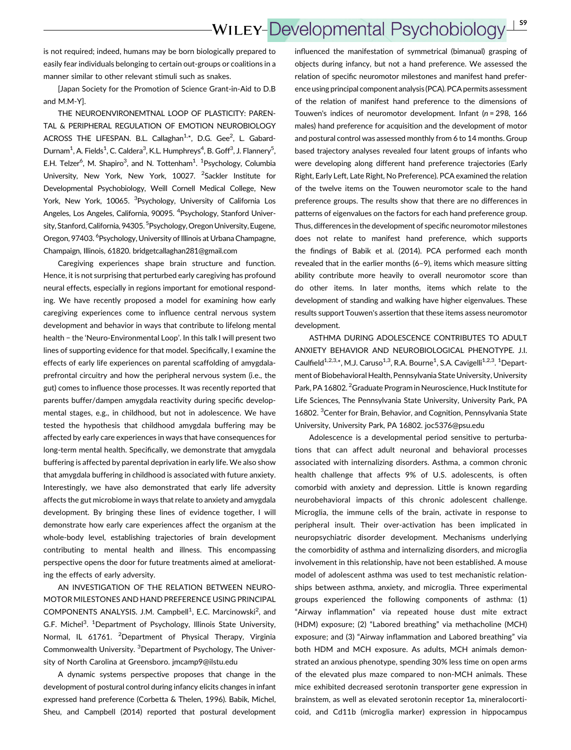## **WILEY-Developmental Psychobiology** <sup>|</sup> S9

is not required; indeed, humans may be born biologically prepared to easily fear individuals belonging to certain out-groups or coalitions in a manner similar to other relevant stimuli such as snakes.

[Japan Society for the Promotion of Science Grant-in-Aid to D.B and M.M-Y].

THE NEUROENVIRONEMTNAL LOOP OF PLASTICITY: PAREN-TAL & PERIPHERAL REGULATION OF EMOTION NEUROBIOLOGY ACROSS THE LIFESPAN. B.L. Callaghan<sup>1,\*</sup>, D.G. Gee<sup>2</sup>, L. Gabard-Durnam<sup>1</sup>, A. Fields<sup>1</sup>, C. Caldera<sup>3</sup>, K.L. Humphreys<sup>4</sup>, B. Goff<sup>3</sup>, J. Flannery<sup>5</sup>, E.H. Telzer<sup>6</sup>, M. Shapiro<sup>3</sup>, and N. Tottenham<sup>1</sup>. <sup>1</sup>Psychology, Columbia University, New York, New York, 10027. <sup>2</sup>Sackler Institute for Developmental Psychobiology, Weill Cornell Medical College, New York, New York, 10065. <sup>3</sup>Psychology, University of California Los Angeles, Los Angeles, California, 90095. <sup>4</sup>Psychology, Stanford University, Stanford, California, 94305. <sup>5</sup>Psychology, Oregon University, Eugene, Oregon, 97403. <sup>6</sup>Psychology, University of Illinois at Urbana Champagne, Champaign, Illinois, 61820. bridgetcallaghan281@gmail.com

Caregiving experiences shape brain structure and function. Hence, it is not surprising that perturbed early caregiving has profound neural effects, especially in regions important for emotional responding. We have recently proposed a model for examining how early caregiving experiences come to influence central nervous system development and behavior in ways that contribute to lifelong mental health − the 'Neuro-Environmental Loop'. In this talk I will present two lines of supporting evidence for that model. Specifically, I examine the effects of early life experiences on parental scaffolding of amygdalaprefrontal circuitry and how the peripheral nervous system (i.e., the gut) comes to influence those processes. It was recently reported that parents buffer/dampen amygdala reactivity during specific developmental stages, e.g., in childhood, but not in adolescence. We have tested the hypothesis that childhood amygdala buffering may be affected by early care experiences in ways that have consequences for long-term mental health. Specifically, we demonstrate that amygdala buffering is affected by parental deprivation in early life. We also show that amygdala buffering in childhood is associated with future anxiety. Interestingly, we have also demonstrated that early life adversity affects the gut microbiome in ways that relate to anxiety and amygdala development. By bringing these lines of evidence together, I will demonstrate how early care experiences affect the organism at the whole-body level, establishing trajectories of brain development contributing to mental health and illness. This encompassing perspective opens the door for future treatments aimed at ameliorating the effects of early adversity.

AN INVESTIGATION OF THE RELATION BETWEEN NEURO-MOTOR MILESTONES AND HAND PREFERENCE USING PRINCIPAL COMPONENTS ANALYSIS. J.M. Campbell<sup>1</sup>, E.C. Marcinowski<sup>2</sup>, and G.F. Michel<sup>3</sup>. <sup>1</sup>Department of Psychology, Illinois State University, Normal, IL 61761. <sup>2</sup>Department of Physical Therapy, Virginia Commonwealth University. <sup>3</sup>Department of Psychology, The University of North Carolina at Greensboro. jmcamp9@ilstu.edu

A dynamic systems perspective proposes that change in the development of postural control during infancy elicits changes in infant expressed hand preference (Corbetta & Thelen, 1996). Babik, Michel, Sheu, and Campbell (2014) reported that postural development influenced the manifestation of symmetrical (bimanual) grasping of objects during infancy, but not a hand preference. We assessed the relation of specific neuromotor milestones and manifest hand preference using principal component analysis(PCA). PCA permits assessment of the relation of manifest hand preference to the dimensions of Touwen's indices of neuromotor development. Infant ( $n = 298$ , 166 males) hand preference for acquisition and the development of motor and postural control was assessed monthly from 6 to 14 months. Group based trajectory analyses revealed four latent groups of infants who were developing along different hand preference trajectories (Early Right, Early Left, Late Right, No Preference). PCA examined the relation of the twelve items on the Touwen neuromotor scale to the hand preference groups. The results show that there are no differences in patterns of eigenvalues on the factors for each hand preference group. Thus, differences in the development of specific neuromotor milestones does not relate to manifest hand preference, which supports the findings of Babik et al. (2014). PCA performed each month revealed that in the earlier months (6–9), items which measure sitting ability contribute more heavily to overall neuromotor score than do other items. In later months, items which relate to the development of standing and walking have higher eigenvalues. These results support Touwen's assertion that these items assess neuromotor development.

ASTHMA DURING ADOLESCENCE CONTRIBUTES TO ADULT ANXIETY BEHAVIOR AND NEUROBIOLOGICAL PHENOTYPE. J.I. Caulfield<sup>1,2,3,\*</sup>, M.J. Caruso<sup>1,3</sup>, R.A. Bourne<sup>1</sup>, S.A. Cavigelli<sup>1,2,3</sup>. <sup>1</sup>Department of Biobehavioral Health, Pennsylvania State University, University Park, PA 16802. <sup>2</sup> Graduate Program in Neuroscience, Huck Institute for Life Sciences, The Pennsylvania State University, University Park, PA 16802. <sup>3</sup> Center for Brain, Behavior, and Cognition, Pennsylvania State University, University Park, PA 16802. joc5376@psu.edu

Adolescence is a developmental period sensitive to perturbations that can affect adult neuronal and behavioral processes associated with internalizing disorders. Asthma, a common chronic health challenge that affects 9% of U.S. adolescents, is often comorbid with anxiety and depression. Little is known regarding neurobehavioral impacts of this chronic adolescent challenge. Microglia, the immune cells of the brain, activate in response to peripheral insult. Their over-activation has been implicated in neuropsychiatric disorder development. Mechanisms underlying the comorbidity of asthma and internalizing disorders, and microglia involvement in this relationship, have not been established. A mouse model of adolescent asthma was used to test mechanistic relationships between asthma, anxiety, and microglia. Three experimental groups experienced the following components of asthma: (1) "Airway inflammation" via repeated house dust mite extract (HDM) exposure; (2) "Labored breathing" via methacholine (MCH) exposure; and (3) "Airway inflammation and Labored breathing" via both HDM and MCH exposure. As adults, MCH animals demonstrated an anxious phenotype, spending 30% less time on open arms of the elevated plus maze compared to non-MCH animals. These mice exhibited decreased serotonin transporter gene expression in brainstem, as well as elevated serotonin receptor 1a, mineralocorticoid, and Cd11b (microglia marker) expression in hippocampus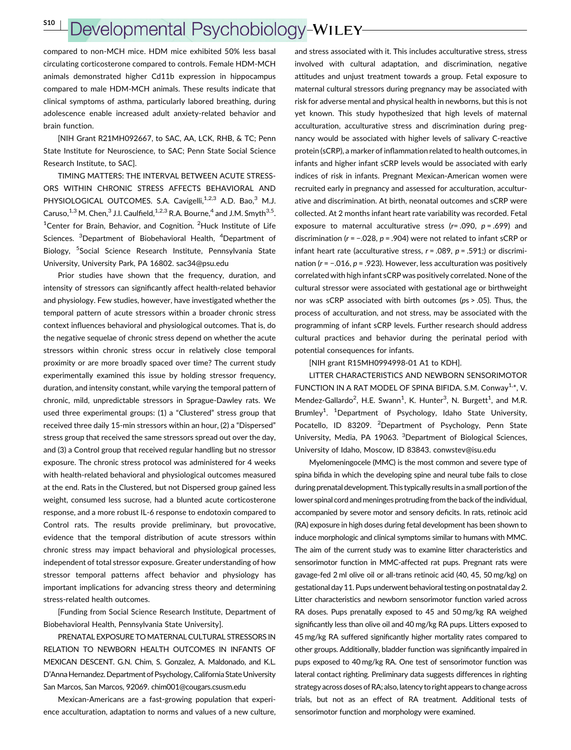S10 <sup>|</sup>

# Developmental Psychobiology-WILEY

compared to non-MCH mice. HDM mice exhibited 50% less basal circulating corticosterone compared to controls. Female HDM-MCH animals demonstrated higher Cd11b expression in hippocampus compared to male HDM-MCH animals. These results indicate that clinical symptoms of asthma, particularly labored breathing, during adolescence enable increased adult anxiety-related behavior and brain function.

[NIH Grant R21MH092667, to SAC, AA, LCK, RHB, & TC; Penn State Institute for Neuroscience, to SAC; Penn State Social Science Research Institute, to SAC].

TIMING MATTERS: THE INTERVAL BETWEEN ACUTE STRESS-ORS WITHIN CHRONIC STRESS AFFECTS BEHAVIORAL AND PHYSIOLOGICAL OUTCOMES. S.A. Cavigelli,<sup>1,2,3</sup> A.D. Bao,<sup>3</sup> M.J. Caruso.<sup>1,3</sup> M. Chen,<sup>3</sup> J.I. Caulfield,<sup>1,2,3</sup> R.A. Bourne,<sup>4</sup> and J.M. Smyth<sup>3,5</sup>. <sup>1</sup>Center for Brain, Behavior, and Cognition. <sup>2</sup>Huck Institute of Life Sciences. <sup>3</sup>Department of Biobehavioral Health, <sup>4</sup>Department of Biology, <sup>5</sup>Social Science Research Institute, Pennsylvania State University, University Park, PA 16802. sac34@psu.edu

Prior studies have shown that the frequency, duration, and intensity of stressors can significantly affect health-related behavior and physiology. Few studies, however, have investigated whether the temporal pattern of acute stressors within a broader chronic stress context influences behavioral and physiological outcomes. That is, do the negative sequelae of chronic stress depend on whether the acute stressors within chronic stress occur in relatively close temporal proximity or are more broadly spaced over time? The current study experimentally examined this issue by holding stressor frequency, duration, and intensity constant, while varying the temporal pattern of chronic, mild, unpredictable stressors in Sprague-Dawley rats. We used three experimental groups: (1) a "Clustered" stress group that received three daily 15-min stressors within an hour, (2) a "Dispersed" stress group that received the same stressors spread out over the day, and (3) a Control group that received regular handling but no stressor exposure. The chronic stress protocol was administered for 4 weeks with health-related behavioral and physiological outcomes measured at the end. Rats in the Clustered, but not Dispersed group gained less weight, consumed less sucrose, had a blunted acute corticosterone response, and a more robust IL-6 response to endotoxin compared to Control rats. The results provide preliminary, but provocative, evidence that the temporal distribution of acute stressors within chronic stress may impact behavioral and physiological processes, independent of total stressor exposure. Greater understanding of how stressor temporal patterns affect behavior and physiology has important implications for advancing stress theory and determining stress-related health outcomes.

[Funding from Social Science Research Institute, Department of Biobehavioral Health, Pennsylvania State University].

PRENATAL EXPOSURE TO MATERNAL CULTURAL STRESSORS IN RELATION TO NEWBORN HEALTH OUTCOMES IN INFANTS OF MEXICAN DESCENT. G.N. Chim, S. Gonzalez, A. Maldonado, and K.L. D'Anna Hernandez. Department of Psychology,California State University San Marcos, San Marcos, 92069. chim001@cougars.csusm.edu

Mexican-Americans are a fast-growing population that experience acculturation, adaptation to norms and values of a new culture,

and stress associated with it. This includes acculturative stress, stress involved with cultural adaptation, and discrimination, negative attitudes and unjust treatment towards a group. Fetal exposure to maternal cultural stressors during pregnancy may be associated with risk for adverse mental and physical health in newborns, but this is not yet known. This study hypothesized that high levels of maternal acculturation, acculturative stress and discrimination during pregnancy would be associated with higher levels of salivary C-reactive protein (sCRP), a marker of inflammation related to health outcomes, in infants and higher infant sCRP levels would be associated with early indices of risk in infants. Pregnant Mexican-American women were recruited early in pregnancy and assessed for acculturation, acculturative and discrimination. At birth, neonatal outcomes and sCRP were collected. At 2 months infant heart rate variability was recorded. Fetal exposure to maternal acculturative stress ( $r = .090$ ,  $p = .699$ ) and discrimination (r = −.028, p = .904) were not related to infant sCRP or infant heart rate (acculturative stress,  $r = .089$ ,  $p = .591$ ;) or discrimination (r = -.016, p = .923). However, less acculturation was positively correlated with high infant sCRP was positively correlated. None of the cultural stressor were associated with gestational age or birthweight nor was sCRP associated with birth outcomes (ps > .05). Thus, the process of acculturation, and not stress, may be associated with the programming of infant sCRP levels. Further research should address cultural practices and behavior during the perinatal period with potential consequences for infants.

[NIH grant R15MH0994998-01 A1 to KDH].

LITTER CHARACTERISTICS AND NEWBORN SENSORIMOTOR FUNCTION IN A RAT MODEL OF SPINA BIFIDA. S.M. Conway<sup>1,\*</sup>, V. Mendez-Gallardo<sup>2</sup>, H.E. Swann<sup>1</sup>, K. Hunter<sup>3</sup>, N. Burgett<sup>1</sup>, and M.R. Brumley<sup>1</sup>. <sup>1</sup>Department of Psychology, Idaho State University, Pocatello, ID 83209. <sup>2</sup>Department of Psychology, Penn State University, Media, PA 19063. <sup>3</sup>Department of Biological Sciences, University of Idaho, Moscow, ID 83843. conwstev@isu.edu

Myelomeningocele (MMC) is the most common and severe type of spina bifida in which the developing spine and neural tube fails to close during prenatal development. This typically results in a small portion of the lower spinal cord and meninges protruding from the back of the individual, accompanied by severe motor and sensory deficits. In rats, retinoic acid (RA) exposure in high doses during fetal development has been shown to induce morphologic and clinical symptoms similar to humans with MMC. The aim of the current study was to examine litter characteristics and sensorimotor function in MMC-affected rat pups. Pregnant rats were gavage-fed 2 ml olive oil or all-trans retinoic acid (40, 45, 50 mg/kg) on gestational day 11. Pups underwent behavioral testing on postnatal day 2. Litter characteristics and newborn sensorimotor function varied across RA doses. Pups prenatally exposed to 45 and 50 mg/kg RA weighed significantly less than olive oil and 40 mg/kg RA pups. Litters exposed to 45 mg/kg RA suffered significantly higher mortality rates compared to other groups. Additionally, bladder function was significantly impaired in pups exposed to 40 mg/kg RA. One test of sensorimotor function was lateral contact righting. Preliminary data suggests differences in righting strategy across doses of RA; also, latency to right appears to change across trials, but not as an effect of RA treatment. Additional tests of sensorimotor function and morphology were examined.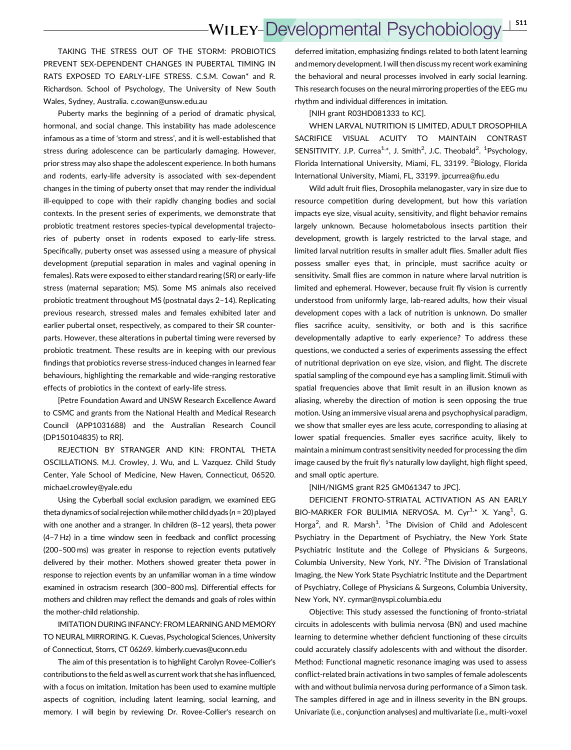TAKING THE STRESS OUT OF THE STORM: PROBIOTICS PREVENT SEX-DEPENDENT CHANGES IN PUBERTAL TIMING IN RATS EXPOSED TO EARLY-LIFE STRESS. C.S.M. Cowan\* and R. Richardson. School of Psychology, The University of New South Wales, Sydney, Australia. c.cowan@unsw.edu.au

Puberty marks the beginning of a period of dramatic physical, hormonal, and social change. This instability has made adolescence infamous as a time of 'storm and stress', and it is well-established that stress during adolescence can be particularly damaging. However, prior stress may also shape the adolescent experience. In both humans and rodents, early-life adversity is associated with sex-dependent changes in the timing of puberty onset that may render the individual ill-equipped to cope with their rapidly changing bodies and social contexts. In the present series of experiments, we demonstrate that probiotic treatment restores species-typical developmental trajectories of puberty onset in rodents exposed to early-life stress. Specifically, puberty onset was assessed using a measure of physical development (preputial separation in males and vaginal opening in females). Rats were exposed to either standard rearing (SR) or early-life stress (maternal separation; MS). Some MS animals also received probiotic treatment throughout MS (postnatal days 2–14). Replicating previous research, stressed males and females exhibited later and earlier pubertal onset, respectively, as compared to their SR counterparts. However, these alterations in pubertal timing were reversed by probiotic treatment. These results are in keeping with our previous findings that probiotics reverse stress-induced changes in learned fear behaviours, highlighting the remarkable and wide-ranging restorative effects of probiotics in the context of early-life stress.

[Petre Foundation Award and UNSW Research Excellence Award to CSMC and grants from the National Health and Medical Research Council (APP1031688) and the Australian Research Council (DP150104835) to RR].

REJECTION BY STRANGER AND KIN: FRONTAL THETA OSCILLATIONS. M.J. Crowley, J. Wu, and L. Vazquez. Child Study Center, Yale School of Medicine, New Haven, Connecticut, 06520. michael.crowley@yale.edu

Using the Cyberball social exclusion paradigm, we examined EEG theta dynamics of social rejection while mother child dyads ( $n = 20$ ) played with one another and a stranger. In children (8–12 years), theta power (4–7 Hz) in a time window seen in feedback and conflict processing (200–500 ms) was greater in response to rejection events putatively delivered by their mother. Mothers showed greater theta power in response to rejection events by an unfamiliar woman in a time window examined in ostracism research (300–800 ms). Differential effects for mothers and children may reflect the demands and goals of roles within the mother-child relationship.

IMITATION DURING INFANCY: FROM LEARNING AND MEMORY TO NEURAL MIRRORING. K. Cuevas, Psychological Sciences, University of Connecticut, Storrs, CT 06269. kimberly.cuevas@uconn.edu

The aim of this presentation is to highlight Carolyn Rovee-Collier's contributions to the field as well as current work that she has influenced, with a focus on imitation. Imitation has been used to examine multiple aspects of cognition, including latent learning, social learning, and memory. I will begin by reviewing Dr. Rovee-Collier's research on deferred imitation, emphasizing findings related to both latent learning and memory development. I will then discuss my recent work examining the behavioral and neural processes involved in early social learning. This research focuses on the neural mirroring properties of the EEG mu rhythm and individual differences in imitation.

[NIH grant R03HD081333 to KC].

WHEN LARVAL NUTRITION IS LIMITED, ADULT DROSOPHILA SACRIFICE VISUAL ACUITY TO MAINTAIN CONTRAST SENSITIVITY. J.P. Currea<sup>1,\*</sup>, J. Smith<sup>2</sup>, J.C. Theobald<sup>2</sup>. <sup>1</sup>Psychology, Florida International University, Miami, FL, 33199. <sup>2</sup>Biology, Florida International University, Miami, FL, 33199. jpcurrea@fiu.edu

Wild adult fruit flies, Drosophila melanogaster, vary in size due to resource competition during development, but how this variation impacts eye size, visual acuity, sensitivity, and flight behavior remains largely unknown. Because holometabolous insects partition their development, growth is largely restricted to the larval stage, and limited larval nutrition results in smaller adult flies. Smaller adult flies possess smaller eyes that, in principle, must sacrifice acuity or sensitivity. Small flies are common in nature where larval nutrition is limited and ephemeral. However, because fruit fly vision is currently understood from uniformly large, lab-reared adults, how their visual development copes with a lack of nutrition is unknown. Do smaller flies sacrifice acuity, sensitivity, or both and is this sacrifice developmentally adaptive to early experience? To address these questions, we conducted a series of experiments assessing the effect of nutritional deprivation on eye size, vision, and flight. The discrete spatial sampling of the compound eye has a sampling limit. Stimuli with spatial frequencies above that limit result in an illusion known as aliasing, whereby the direction of motion is seen opposing the true motion. Using an immersive visual arena and psychophysical paradigm, we show that smaller eyes are less acute, corresponding to aliasing at lower spatial frequencies. Smaller eyes sacrifice acuity, likely to maintain a minimum contrast sensitivity needed for processing the dim image caused by the fruit fly's naturally low daylight, high flight speed, and small optic aperture.

[NIH/NIGMS grant R25 GM061347 to JPC].

DEFICIENT FRONTO-STRIATAL ACTIVATION AS AN EARLY BIO-MARKER FOR BULIMIA NERVOSA. M. Cyr<sup>1,\*</sup> X. Yang<sup>1</sup>, G. Horga<sup>2</sup>, and R. Marsh<sup>1</sup>. <sup>1</sup>The Division of Child and Adolescent Psychiatry in the Department of Psychiatry, the New York State Psychiatric Institute and the College of Physicians & Surgeons, Columbia University, New York, NY. <sup>2</sup>The Division of Translational Imaging, the New York State Psychiatric Institute and the Department of Psychiatry, College of Physicians & Surgeons, Columbia University, New York, NY. cyrmar@nyspi.columbia.edu

Objective: This study assessed the functioning of fronto-striatal circuits in adolescents with bulimia nervosa (BN) and used machine learning to determine whether deficient functioning of these circuits could accurately classify adolescents with and without the disorder. Method: Functional magnetic resonance imaging was used to assess conflict-related brain activations in two samples of female adolescents with and without bulimia nervosa during performance of a Simon task. The samples differed in age and in illness severity in the BN groups. Univariate (i.e., conjunction analyses) and multivariate (i.e., multi-voxel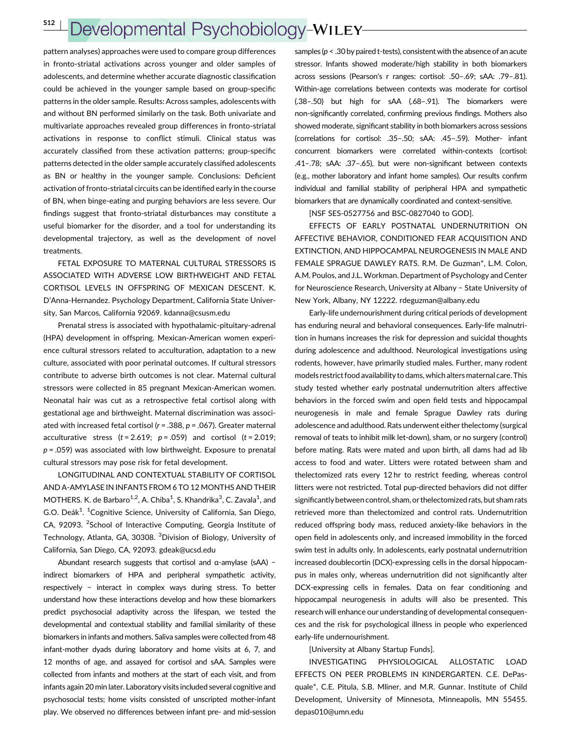# Developmental Psychobiology-WILEY

pattern analyses) approaches were used to compare group differences in fronto-striatal activations across younger and older samples of adolescents, and determine whether accurate diagnostic classification could be achieved in the younger sample based on group-specific patterns in the older sample. Results: Across samples, adolescents with and without BN performed similarly on the task. Both univariate and multivariate approaches revealed group differences in fronto-striatal activations in response to conflict stimuli. Clinical status was accurately classified from these activation patterns; group-specific patterns detected in the older sample accurately classified adolescents as BN or healthy in the younger sample. Conclusions: Deficient activation of fronto-striatal circuits can be identified early in the course of BN, when binge-eating and purging behaviors are less severe. Our findings suggest that fronto-striatal disturbances may constitute a useful biomarker for the disorder, and a tool for understanding its developmental trajectory, as well as the development of novel treatments.

FETAL EXPOSURE TO MATERNAL CULTURAL STRESSORS IS ASSOCIATED WITH ADVERSE LOW BIRTHWEIGHT AND FETAL CORTISOL LEVELS IN OFFSPRING OF MEXICAN DESCENT. K. D'Anna-Hernandez. Psychology Department, California State University, San Marcos, California 92069. kdanna@csusm.edu

Prenatal stress is associated with hypothalamic-pituitary-adrenal (HPA) development in offspring. Mexican-American women experience cultural stressors related to acculturation, adaptation to a new culture, associated with poor perinatal outcomes. If cultural stressors contribute to adverse birth outcomes is not clear. Maternal cultural stressors were collected in 85 pregnant Mexican-American women. Neonatal hair was cut as a retrospective fetal cortisol along with gestational age and birthweight. Maternal discrimination was associated with increased fetal cortisol ( $r = .388$ ,  $p = .067$ ). Greater maternal acculturative stress  $(t = 2.619; p = .059)$  and cortisol  $(t = 2.019;$  $p = .059$ ) was associated with low birthweight. Exposure to prenatal cultural stressors may pose risk for fetal development.

LONGITUDINAL AND CONTEXTUAL STABILITY OF CORTISOL AND Α-AMYLASE IN INFANTS FROM 6 TO 12 MONTHS AND THEIR MOTHERS. K. de Barbaro<sup>1,2</sup>, A. Chiba<sup>1</sup>, S. Khandrika<sup>3</sup>, C. Zavala<sup>1</sup>, and G.O. Deák<sup>1</sup>. <sup>1</sup>Cognitive Science, University of California, San Diego, CA, 92093. <sup>2</sup>School of Interactive Computing, Georgia Institute of Technology, Atlanta, GA, 30308. <sup>3</sup>Division of Biology, University of California, San Diego, CA, 92093. gdeak@ucsd.edu

Abundant research suggests that cortisol and α-amylase (sAA) − indirect biomarkers of HPA and peripheral sympathetic activity, respectively − interact in complex ways during stress. To better understand how these interactions develop and how these biomarkers predict psychosocial adaptivity across the lifespan, we tested the developmental and contextual stability and familial similarity of these biomarkers in infants and mothers. Saliva samples were collected from 48 infant-mother dyads during laboratory and home visits at 6, 7, and 12 months of age, and assayed for cortisol and sAA. Samples were collected from infants and mothers at the start of each visit, and from infants again 20 min later. Laboratory visits included several cognitive and psychosocial tests; home visits consisted of unscripted mother-infant play. We observed no differences between infant pre- and mid-session

samples ( $p < .30$  by paired t-tests), consistent with the absence of an acute stressor. Infants showed moderate/high stability in both biomarkers across sessions (Pearson's r ranges: cortisol: .50–.69; sAA: .79–.81). Within-age correlations between contexts was moderate for cortisol (.38–.50) but high for sAA (.68–.91). The biomarkers were non-significantly correlated, confirming previous findings. Mothers also showed moderate, significant stability in both biomarkers across sessions (correlations for cortisol: .35–.50; sAA: .45–.59). Mother- infant concurrent biomarkers were correlated within-contexts (cortisol: .41–.78; sAA: .37–.65), but were non-significant between contexts (e.g., mother laboratory and infant home samples). Our results confirm individual and familial stability of peripheral HPA and sympathetic biomarkers that are dynamically coordinated and context-sensitive.

[NSF SES-0527756 and BSC-0827040 to GOD].

EFFECTS OF EARLY POSTNATAL UNDERNUTRITION ON AFFECTIVE BEHAVIOR, CONDITIONED FEAR ACQUISITION AND EXTINCTION, AND HIPPOCAMPAL NEUROGENESIS IN MALE AND FEMALE SPRAGUE DAWLEY RATS. R.M. De Guzman\*, L.M. Colon, A.M. Poulos, and J.L. Workman. Department of Psychology and Center for Neuroscience Research, University at Albany − State University of New York, Albany, NY 12222. rdeguzman@albany.edu

Early-life undernourishment during critical periods of development has enduring neural and behavioral consequences. Early-life malnutrition in humans increases the risk for depression and suicidal thoughts during adolescence and adulthood. Neurological investigations using rodents, however, have primarily studied males. Further, many rodent models restrict food availability to dams, which altersmaternal care. This study tested whether early postnatal undernutrition alters affective behaviors in the forced swim and open field tests and hippocampal neurogenesis in male and female Sprague Dawley rats during adolescence and adulthood. Rats underwent either thelectomy (surgical removal of teats to inhibit milk let-down), sham, or no surgery (control) before mating. Rats were mated and upon birth, all dams had ad lib access to food and water. Litters were rotated between sham and thelectomized rats every 12 hr to restrict feeding, whereas control litters were not restricted. Total pup-directed behaviors did not differ significantly between control, sham, or thelectomized rats, but sham rats retrieved more than thelectomized and control rats. Undernutrition reduced offspring body mass, reduced anxiety-like behaviors in the open field in adolescents only, and increased immobility in the forced swim test in adults only. In adolescents, early postnatal undernutrition increased doublecortin (DCX)-expressing cells in the dorsal hippocampus in males only, whereas undernutrition did not significantly alter DCX-expressing cells in females. Data on fear conditioning and hippocampal neurogenesis in adults will also be presented. This research will enhance our understanding of developmental consequences and the risk for psychological illness in people who experienced early-life undernourishment.

[University at Albany Startup Funds].

INVESTIGATING PHYSIOLOGICAL ALLOSTATIC LOAD EFFECTS ON PEER PROBLEMS IN KINDERGARTEN. C.E. DePasquale\*, C.E. Pitula, S.B. Mliner, and M.R. Gunnar. Institute of Child Development, University of Minnesota, Minneapolis, MN 55455. depas010@umn.edu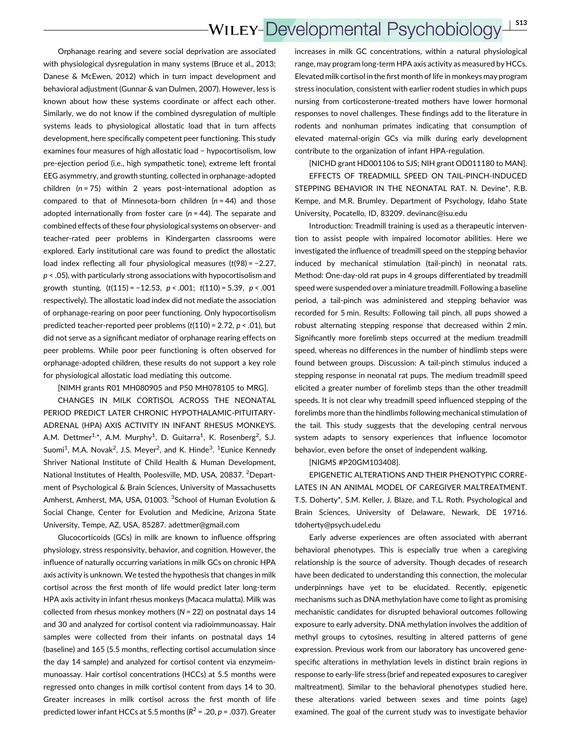Orphanage rearing and severe social deprivation are associated with physiological dysregulation in many systems (Bruce et al., 2013; Danese & McEwen, 2012) which in turn impact development and behavioral adjustment (Gunnar & van Dulmen, 2007). However, less is known about how these systems coordinate or affect each other. Similarly, we do not know if the combined dysregulation of multiple systems leads to physiological allostatic load that in turn affects development, here specifically competent peer functioning. This study examines four measures of high allostatic load − hypocortisolism, low pre-ejection period (i.e., high sympathetic tone), extreme left frontal EEG asymmetry, and growth stunting, collected in orphanage-adopted children  $(n = 75)$  within 2 years post-international adoption as compared to that of Minnesota-born children  $(n = 44)$  and those adopted internationally from foster care ( $n = 44$ ). The separate and combined effects of these four physiological systems on observer- and teacher-rated peer problems in Kindergarten classrooms were explored. Early institutional care was found to predict the allostatic load index reflecting all four physiological measures (t(98) = −2.27,  $p$  < .05), with particularly strong associations with hypocortisolism and growth stunting,  $(t(115) = -12.53, p < .001; t(110) = 5.39, p < .001$ respectively). The allostatic load index did not mediate the association of orphanage-rearing on poor peer functioning. Only hypocortisolism predicted teacher-reported peer problems  $(t(110) = 2.72, p < .01)$ , but did not serve as a significant mediator of orphanage rearing effects on peer problems. While poor peer functioning is often observed for orphanage-adopted children, these results do not support a key role for physiological allostatic load mediating this outcome.

[NIMH grants R01 MH080905 and P50 MH078105 to MRG].

CHANGES IN MILK CORTISOL ACROSS THE NEONATAL PERIOD PREDICT LATER CHRONIC HYPOTHALAMIC-PITUITARY-ADRENAL (HPA) AXIS ACTIVITY IN INFANT RHESUS MONKEYS. A.M. Dettmer<sup>1,\*</sup>, A.M. Murphy<sup>1</sup>, D. Guitarra<sup>1</sup>, K. Rosenberg<sup>2</sup>, S.J. Suomi<sup>1</sup>, M.A. Novak<sup>2</sup>, J.S. Meyer<sup>2</sup>, and K. Hinde<sup>3</sup>. <sup>1</sup>Eunice Kennedy Shriver National Institute of Child Health & Human Development, National Institutes of Health, Poolesville, MD, USA, 20837. <sup>2</sup>Department of Psychological & Brain Sciences, University of Massachusetts Amherst, Amherst, MA, USA, 01003. <sup>3</sup>School of Human Evolution & Social Change, Center for Evolution and Medicine, Arizona State University, Tempe, AZ, USA, 85287. adettmer@gmail.com

Glucocorticoids (GCs) in milk are known to influence offspring physiology, stress responsivity, behavior, and cognition. However, the influence of naturally occurring variations in milk GCs on chronic HPA axis activity is unknown. We tested the hypothesis that changes in milk cortisol across the first month of life would predict later long-term HPA axis activity in infant rhesus monkeys (Macaca mulatta). Milk was collected from rhesus monkey mothers ( $N = 22$ ) on postnatal days 14 and 30 and analyzed for cortisol content via radioimmunoassay. Hair samples were collected from their infants on postnatal days 14 (baseline) and 165 (5.5 months, reflecting cortisol accumulation since the day 14 sample) and analyzed for cortisol content via enzymeimmunoassay. Hair cortisol concentrations (HCCs) at 5.5 months were regressed onto changes in milk cortisol content from days 14 to 30. Greater increases in milk cortisol across the first month of life predicted lower infant HCCs at 5.5 months ( $R^2$  = .20,  $p$  = .037). Greater increases in milk GC concentrations, within a natural physiological range, may program long-term HPA axis activity as measured by HCCs. Elevated milk cortisol in the first month of life in monkeys may program stress inoculation, consistent with earlier rodent studies in which pups nursing from corticosterone-treated mothers have lower hormonal responses to novel challenges. These findings add to the literature in rodents and nonhuman primates indicating that consumption of elevated maternal-origin GCs via milk during early development contribute to the organization of infant HPA-regulation.

[NICHD grant HD001106 to SJS; NIH grant OD011180 to MAN]. EFFECTS OF TREADMILL SPEED ON TAIL-PINCH-INDUCED STEPPING BEHAVIOR IN THE NEONATAL RAT. N. Devine\*, R.B. Kempe, and M.R. Brumley. Department of Psychology, Idaho State University, Pocatello, ID, 83209. devinanc@isu.edu

Introduction: Treadmill training is used as a therapeutic intervention to assist people with impaired locomotor abilities. Here we investigated the influence of treadmill speed on the stepping behavior induced by mechanical stimulation (tail-pinch) in neonatal rats. Method: One-day-old rat pups in 4 groups differentiated by treadmill speed were suspended over a miniature treadmill. Following a baseline period, a tail-pinch was administered and stepping behavior was recorded for 5 min. Results: Following tail pinch, all pups showed a robust alternating stepping response that decreased within 2 min. Significantly more forelimb steps occurred at the medium treadmill speed, whereas no differences in the number of hindlimb steps were found between groups. Discussion: A tail-pinch stimulus induced a stepping response in neonatal rat pups. The medium treadmill speed elicited a greater number of forelimb steps than the other treadmill speeds. It is not clear why treadmill speed influenced stepping of the forelimbs more than the hindlimbs following mechanical stimulation of the tail. This study suggests that the developing central nervous system adapts to sensory experiences that influence locomotor behavior, even before the onset of independent walking.

[NIGMS #P20GM103408].

EPIGENETIC ALTERATIONS AND THEIR PHENOTYPIC CORRE-LATES IN AN ANIMAL MODEL OF CAREGIVER MALTREATMENT. T.S. Doherty\*, S.M. Keller, J. Blaze, and T.L. Roth. Psychological and Brain Sciences, University of Delaware, Newark, DE 19716. tdoherty@psych.udel.edu

Early adverse experiences are often associated with aberrant behavioral phenotypes. This is especially true when a caregiving relationship is the source of adversity. Though decades of research have been dedicated to understanding this connection, the molecular underpinnings have yet to be elucidated. Recently, epigenetic mechanisms such as DNA methylation have come to light as promising mechanistic candidates for disrupted behavioral outcomes following exposure to early adversity. DNA methylation involves the addition of methyl groups to cytosines, resulting in altered patterns of gene expression. Previous work from our laboratory has uncovered genespecific alterations in methylation levels in distinct brain regions in response to early-life stress (brief and repeated exposures to caregiver maltreatment). Similar to the behavioral phenotypes studied here, these alterations varied between sexes and time points (age) examined. The goal of the current study was to investigate behavior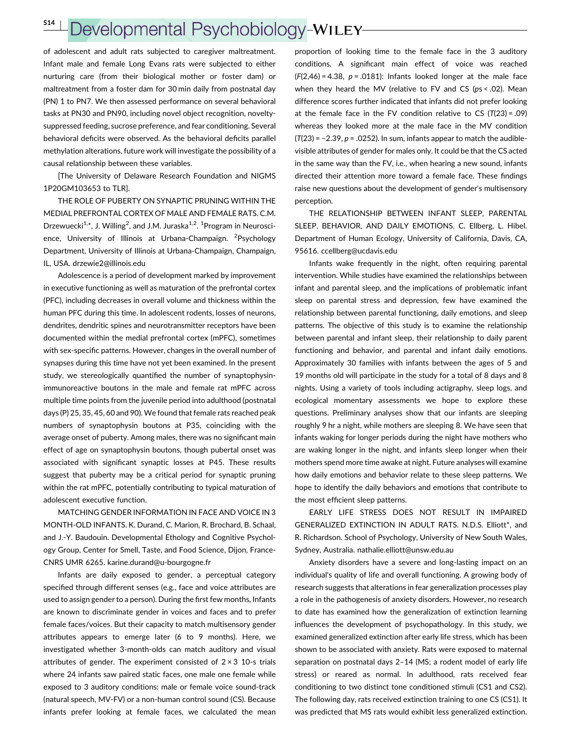# Developmental Psychobiology-WILEY-

of adolescent and adult rats subjected to caregiver maltreatment. Infant male and female Long Evans rats were subjected to either nurturing care (from their biological mother or foster dam) or maltreatment from a foster dam for 30 min daily from postnatal day (PN) 1 to PN7. We then assessed performance on several behavioral tasks at PN30 and PN90, including novel object recognition, noveltysuppressed feeding, sucrose preference, and fear conditioning. Several behavioral deficits were observed. As the behavioral deficits parallel methylation alterations, future work will investigate the possibility of a causal relationship between these variables.

[The University of Delaware Research Foundation and NIGMS 1P20GM103653 to TLR].

THE ROLE OF PUBERTY ON SYNAPTIC PRUNING WITHIN THE MEDIAL PREFRONTAL CORTEX OF MALE AND FEMALE RATS. C.M. Drzewuecki<sup>1,\*</sup>, J. Willing<sup>2</sup>, and J.M. Juraska<sup>1,2</sup>. <sup>1</sup>Program in Neuroscience, University of Illinois at Urbana-Champaign. <sup>2</sup>Psychology Department, University of Illinois at Urbana-Champaign, Champaign, IL, USA. drzewie2@illinois.edu

Adolescence is a period of development marked by improvement in executive functioning as well as maturation of the prefrontal cortex (PFC), including decreases in overall volume and thickness within the human PFC during this time. In adolescent rodents, losses of neurons, dendrites, dendritic spines and neurotransmitter receptors have been documented within the medial prefrontal cortex (mPFC), sometimes with sex-specific patterns. However, changes in the overall number of synapses during this time have not yet been examined. In the present study, we stereologically quantified the number of synaptophysinimmunoreactive boutons in the male and female rat mPFC across multiple time points from the juvenile period into adulthood (postnatal days (P) 25, 35, 45, 60 and 90). We found that female rats reached peak numbers of synaptophysin boutons at P35, coinciding with the average onset of puberty. Among males, there was no significant main effect of age on synaptophysin boutons, though pubertal onset was associated with significant synaptic losses at P45. These results suggest that puberty may be a critical period for synaptic pruning within the rat mPFC, potentially contributing to typical maturation of adolescent executive function.

MATCHING GENDER INFORMATION IN FACE AND VOICE IN 3 MONTH-OLD INFANTS. K. Durand, C. Marion, R. Brochard, B. Schaal, and J.-Y. Baudouin. Developmental Ethology and Cognitive Psychology Group, Center for Smell, Taste, and Food Science, Dijon, France-CNRS UMR 6265. karine.durand@u-bourgogne.fr

Infants are daily exposed to gender, a perceptual category specified through different senses (e.g., face and voice attributes are used to assign gender to a person). During the first few months, Infants are known to discriminate gender in voices and faces and to prefer female faces/voices. But their capacity to match multisensory gender attributes appears to emerge later (6 to 9 months). Here, we investigated whether 3-month-olds can match auditory and visual attributes of gender. The experiment consisted of  $2 \times 3$  10-s trials where 24 infants saw paired static faces, one male one female while exposed to 3 auditory conditions: male or female voice sound-track (natural speech, MV-FV) or a non-human control sound (CS). Because infants prefer looking at female faces, we calculated the mean

proportion of looking time to the female face in the 3 auditory conditions. A significant main effect of voice was reached  $(F(2,46) = 4.38, p = .0181)$ : Infants looked longer at the male face when they heard the MV (relative to FV and CS (ps < .02). Mean difference scores further indicated that infants did not prefer looking at the female face in the FV condition relative to CS  $(T(23) = .09)$ whereas they looked more at the male face in the MV condition  $(T(23) = -2.39, p = .0252)$ . In sum, infants appear to match the audiblevisible attributes of gender for males only. It could be that the CS acted in the same way than the FV, i.e., when hearing a new sound, infants directed their attention more toward a female face. These findings raise new questions about the development of gender's multisensory perception.

THE RELATIONSHIP BETWEEN INFANT SLEEP, PARENTAL SLEEP, BEHAVIOR, AND DAILY EMOTIONS. C. Ellberg, L. Hibel. Department of Human Ecology, University of California, Davis, CA, 95616. ccellberg@ucdavis.edu

Infants wake frequently in the night, often requiring parental intervention. While studies have examined the relationships between infant and parental sleep, and the implications of problematic infant sleep on parental stress and depression, few have examined the relationship between parental functioning, daily emotions, and sleep patterns. The objective of this study is to examine the relationship between parental and infant sleep, their relationship to daily parent functioning and behavior, and parental and infant daily emotions. Approximately 30 families with infants between the ages of 5 and 19 months old will participate in the study for a total of 8 days and 8 nights. Using a variety of tools including actigraphy, sleep logs, and ecological momentary assessments we hope to explore these questions. Preliminary analyses show that our infants are sleeping roughly 9 hr a night, while mothers are sleeping 8. We have seen that infants waking for longer periods during the night have mothers who are waking longer in the night, and infants sleep longer when their mothers spend more time awake at night. Future analyses will examine how daily emotions and behavior relate to these sleep patterns. We hope to identify the daily behaviors and emotions that contribute to the most efficient sleep patterns.

EARLY LIFE STRESS DOES NOT RESULT IN IMPAIRED GENERALIZED EXTINCTION IN ADULT RATS. N.D.S. Elliott\*, and R. Richardson. School of Psychology, University of New South Wales, Sydney, Australia. nathalie.elliott@unsw.edu.au

Anxiety disorders have a severe and long-lasting impact on an individual's quality of life and overall functioning. A growing body of research suggests that alterations in fear generalization processes play a role in the pathogenesis of anxiety disorders. However, no research to date has examined how the generalization of extinction learning influences the development of psychopathology. In this study, we examined generalized extinction after early life stress, which has been shown to be associated with anxiety. Rats were exposed to maternal separation on postnatal days 2–14 (MS; a rodent model of early life stress) or reared as normal. In adulthood, rats received fear conditioning to two distinct tone conditioned stimuli (CS1 and CS2). The following day, rats received extinction training to one CS (CS1). It was predicted that MS rats would exhibit less generalized extinction.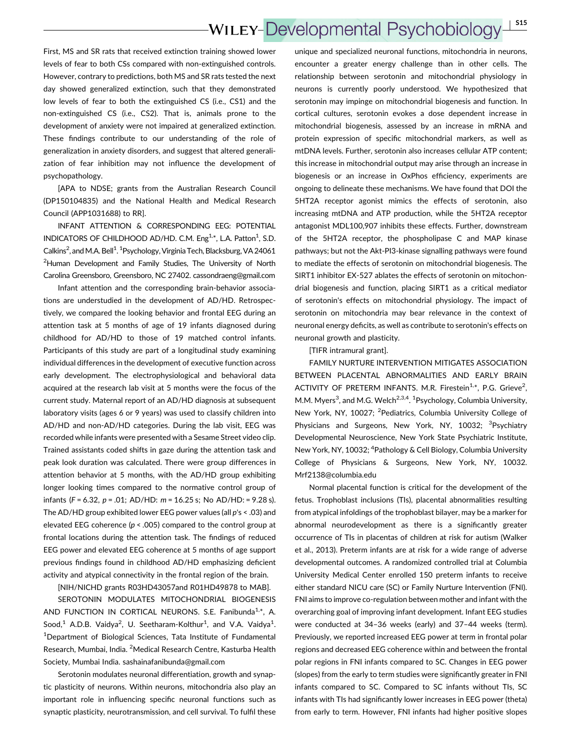### **WILEY-Developmental Psychobiology**  $S15$

First, MS and SR rats that received extinction training showed lower levels of fear to both CSs compared with non-extinguished controls. However, contrary to predictions, both MS and SR rats tested the next day showed generalized extinction, such that they demonstrated low levels of fear to both the extinguished CS (i.e., CS1) and the non-extinguished CS (i.e., CS2). That is, animals prone to the development of anxiety were not impaired at generalized extinction. These findings contribute to our understanding of the role of generalization in anxiety disorders, and suggest that altered generalization of fear inhibition may not influence the development of psychopathology.

[APA to NDSE; grants from the Australian Research Council (DP150104835) and the National Health and Medical Research Council (APP1031688) to RR].

INFANT ATTENTION & CORRESPONDING EEG: POTENTIAL INDICATORS OF CHILDHOOD AD/HD. C.M. Eng<sup>1,\*</sup>, L.A. Patton<sup>1</sup>, S.D. Calkins<sup>2</sup>, and M.A. Bell<sup>1</sup>. <sup>1</sup> Psychology, Virginia Tech, Blacksburg, VA 24061 <sup>2</sup>Human Development and Family Studies, The University of North Carolina Greensboro, Greensboro, NC 27402. cassondraeng@gmail.com

Infant attention and the corresponding brain-behavior associations are understudied in the development of AD/HD. Retrospectively, we compared the looking behavior and frontal EEG during an attention task at 5 months of age of 19 infants diagnosed during childhood for AD/HD to those of 19 matched control infants. Participants of this study are part of a longitudinal study examining individual differences in the development of executive function across early development. The electrophysiological and behavioral data acquired at the research lab visit at 5 months were the focus of the current study. Maternal report of an AD/HD diagnosis at subsequent laboratory visits (ages 6 or 9 years) was used to classify children into AD/HD and non-AD/HD categories. During the lab visit, EEG was recorded while infants were presented with a Sesame Street video clip. Trained assistants coded shifts in gaze during the attention task and peak look duration was calculated. There were group differences in attention behavior at 5 months, with the AD/HD group exhibiting longer looking times compared to the normative control group of infants (F = 6.32,  $p = .01$ ; AD/HD:  $m = 16.25$  s; No AD/HD: = 9.28 s). The AD/HD group exhibited lower EEG power values (all  $p's < .03$ ) and elevated EEG coherence ( $p < .005$ ) compared to the control group at frontal locations during the attention task. The findings of reduced EEG power and elevated EEG coherence at 5 months of age support previous findings found in childhood AD/HD emphasizing deficient activity and atypical connectivity in the frontal region of the brain.

[NIH/NICHD grants R03HD43057and R01HD49878 to MAB].

SEROTONIN MODULATES MITOCHONDRIAL BIOGENESIS AND FUNCTION IN CORTICAL NEURONS. S.E. Fanibunda<sup>1,\*</sup>, A. Sood,<sup>1</sup> A.D.B. Vaidya<sup>2</sup>, U. Seetharam-Kolthur<sup>1</sup>, and V.A. Vaidya<sup>1</sup>. <sup>1</sup>Department of Biological Sciences, Tata Institute of Fundamental Research, Mumbai, India. <sup>2</sup>Medical Research Centre, Kasturba Health Society, Mumbai India. sashainafanibunda@gmail.com

Serotonin modulates neuronal differentiation, growth and synaptic plasticity of neurons. Within neurons, mitochondria also play an important role in influencing specific neuronal functions such as synaptic plasticity, neurotransmission, and cell survival. To fulfil these

unique and specialized neuronal functions, mitochondria in neurons, encounter a greater energy challenge than in other cells. The relationship between serotonin and mitochondrial physiology in neurons is currently poorly understood. We hypothesized that serotonin may impinge on mitochondrial biogenesis and function. In cortical cultures, serotonin evokes a dose dependent increase in mitochondrial biogenesis, assessed by an increase in mRNA and protein expression of specific mitochondrial markers, as well as mtDNA levels. Further, serotonin also increases cellular ATP content; this increase in mitochondrial output may arise through an increase in biogenesis or an increase in OxPhos efficiency, experiments are ongoing to delineate these mechanisms. We have found that DOI the 5HT2A receptor agonist mimics the effects of serotonin, also increasing mtDNA and ATP production, while the 5HT2A receptor antagonist MDL100,907 inhibits these effects. Further, downstream of the 5HT2A receptor, the phospholipase C and MAP kinase pathways; but not the Akt-PI3-kinase signalling pathways were found to mediate the effects of serotonin on mitochondrial biogenesis. The SIRT1 inhibitor EX-527 ablates the effects of serotonin on mitochondrial biogenesis and function, placing SIRT1 as a critical mediator of serotonin's effects on mitochondrial physiology. The impact of serotonin on mitochondria may bear relevance in the context of neuronal energy deficits, as well as contribute to serotonin's effects on neuronal growth and plasticity.

[TIFR intramural grant].

FAMILY NURTURE INTERVENTION MITIGATES ASSOCIATION BETWEEN PLACENTAL ABNORMALITIES AND EARLY BRAIN ACTIVITY OF PRETERM INFANTS. M.R. Firestein<sup>1,\*</sup>, P.G. Grieve<sup>2</sup>, M.M. Myers<sup>3</sup>, and M.G. Welch<sup>2,3,4</sup>. <sup>1</sup>Psychology, Columbia University, New York, NY, 10027; <sup>2</sup>Pediatrics, Columbia University College of Physicians and Surgeons, New York, NY, 10032; <sup>3</sup>Psychiatry Developmental Neuroscience, New York State Psychiatric Institute, New York, NY, 10032; <sup>4</sup>Pathology & Cell Biology, Columbia University College of Physicians & Surgeons, New York, NY, 10032. Mrf2138@columbia.edu

Normal placental function is critical for the development of the fetus. Trophoblast inclusions (TIs), placental abnormalities resulting from atypical infoldings of the trophoblast bilayer, may be a marker for abnormal neurodevelopment as there is a significantly greater occurrence of TIs in placentas of children at risk for autism (Walker et al., 2013). Preterm infants are at risk for a wide range of adverse developmental outcomes. A randomized controlled trial at Columbia University Medical Center enrolled 150 preterm infants to receive either standard NICU care (SC) or Family Nurture Intervention (FNI). FNI aims to improve co-regulation between mother and infant with the overarching goal of improving infant development. Infant EEG studies were conducted at 34–36 weeks (early) and 37–44 weeks (term). Previously, we reported increased EEG power at term in frontal polar regions and decreased EEG coherence within and between the frontal polar regions in FNI infants compared to SC. Changes in EEG power (slopes) from the early to term studies were significantly greater in FNI infants compared to SC. Compared to SC infants without TIs, SC infants with TIs had significantly lower increases in EEG power (theta) from early to term. However, FNI infants had higher positive slopes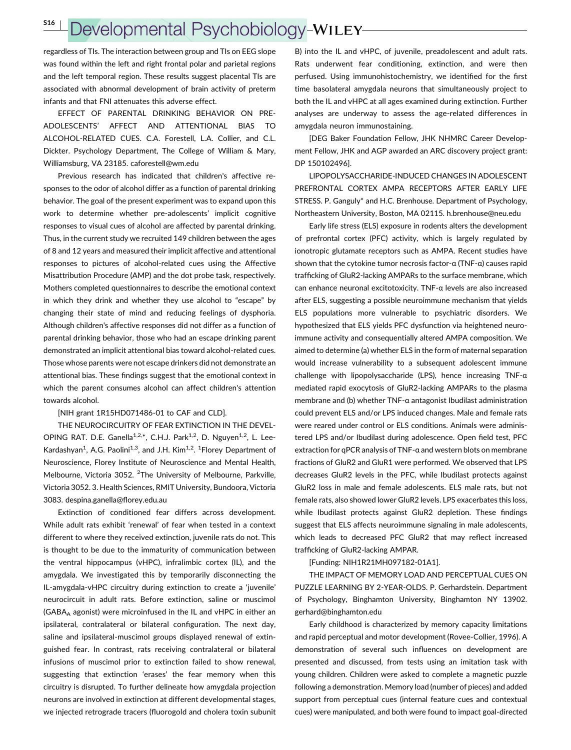# Developmental Psychobiology-WILEY

regardless of TIs. The interaction between group and TIs on EEG slope was found within the left and right frontal polar and parietal regions and the left temporal region. These results suggest placental TIs are associated with abnormal development of brain activity of preterm infants and that FNI attenuates this adverse effect.

EFFECT OF PARENTAL DRINKING BEHAVIOR ON PRE-ADOLESCENTS' AFFECT AND ATTENTIONAL BIAS TO ALCOHOL-RELATED CUES. C.A. Forestell, L.A. Collier, and C.L. Dickter. Psychology Department, The College of William & Mary, Williamsburg, VA 23185. caforestell@wm.edu

Previous research has indicated that children's affective responses to the odor of alcohol differ as a function of parental drinking behavior. The goal of the present experiment was to expand upon this work to determine whether pre-adolescents' implicit cognitive responses to visual cues of alcohol are affected by parental drinking. Thus, in the current study we recruited 149 children between the ages of 8 and 12 years and measured their implicit affective and attentional responses to pictures of alcohol-related cues using the Affective Misattribution Procedure (AMP) and the dot probe task, respectively. Mothers completed questionnaires to describe the emotional context in which they drink and whether they use alcohol to "escape" by changing their state of mind and reducing feelings of dysphoria. Although children's affective responses did not differ as a function of parental drinking behavior, those who had an escape drinking parent demonstrated an implicit attentional bias toward alcohol-related cues. Those whose parents were not escape drinkers did not demonstrate an attentional bias. These findings suggest that the emotional context in which the parent consumes alcohol can affect children's attention towards alcohol.

### [NIH grant 1R15HD071486-01 to CAF and CLD].

THE NEUROCIRCUITRY OF FEAR EXTINCTION IN THE DEVEL-OPING RAT. D.E. Ganella<sup>1,2,\*</sup>, C.H.J. Park<sup>1,2</sup>, D. Nguyen<sup>1,2</sup>, L. Lee-Kardashyan<sup>1</sup>, A.G. Paolini<sup>1,3</sup>, and J.H. Kim<sup>1,2</sup>. <sup>1</sup>Florey Department of Neuroscience, Florey Institute of Neuroscience and Mental Health, Melbourne, Victoria 3052. <sup>2</sup>The University of Melbourne, Parkville, Victoria 3052. 3. Health Sciences, RMIT University, Bundoora, Victoria 3083. despina.ganella@florey.edu.au

Extinction of conditioned fear differs across development. While adult rats exhibit 'renewal' of fear when tested in a context different to where they received extinction, juvenile rats do not. This is thought to be due to the immaturity of communication between the ventral hippocampus (vHPC), infralimbic cortex (IL), and the amygdala. We investigated this by temporarily disconnecting the IL-amygdala-vHPC circuitry during extinction to create a 'juvenile' neurocircuit in adult rats. Before extinction, saline or muscimol (GABAA agonist) were microinfused in the IL and vHPC in either an ipsilateral, contralateral or bilateral configuration. The next day, saline and ipsilateral-muscimol groups displayed renewal of extinguished fear. In contrast, rats receiving contralateral or bilateral infusions of muscimol prior to extinction failed to show renewal, suggesting that extinction 'erases' the fear memory when this circuitry is disrupted. To further delineate how amygdala projection neurons are involved in extinction at different developmental stages, we injected retrograde tracers (fluorogold and cholera toxin subunit B) into the IL and vHPC, of juvenile, preadolescent and adult rats. Rats underwent fear conditioning, extinction, and were then perfused. Using immunohistochemistry, we identified for the first time basolateral amygdala neurons that simultaneously project to both the IL and vHPC at all ages examined during extinction. Further analyses are underway to assess the age-related differences in amygdala neuron immunostaining.

[DEG Baker Foundation Fellow, JHK NHMRC Career Development Fellow, JHK and AGP awarded an ARC discovery project grant: DP 150102496].

LIPOPOLYSACCHARIDE-INDUCED CHANGES IN ADOLESCENT PREFRONTAL CORTEX AMPA RECEPTORS AFTER EARLY LIFE STRESS. P. Ganguly\* and H.C. Brenhouse. Department of Psychology, Northeastern University, Boston, MA 02115. h.brenhouse@neu.edu

Early life stress (ELS) exposure in rodents alters the development of prefrontal cortex (PFC) activity, which is largely regulated by ionotropic glutamate receptors such as AMPA. Recent studies have shown that the cytokine tumor necrosis factor-α (TNF-α) causes rapid trafficking of GluR2-lacking AMPARs to the surface membrane, which can enhance neuronal excitotoxicity. TNF-α levels are also increased after ELS, suggesting a possible neuroimmune mechanism that yields ELS populations more vulnerable to psychiatric disorders. We hypothesized that ELS yields PFC dysfunction via heightened neuroimmune activity and consequentially altered AMPA composition. We aimed to determine (a) whether ELS in the form of maternal separation would increase vulnerability to a subsequent adolescent immune challenge with lipopolysaccharide (LPS), hence increasing TNF-α mediated rapid exocytosis of GluR2-lacking AMPARs to the plasma membrane and (b) whether TNF-α antagonist Ibudilast administration could prevent ELS and/or LPS induced changes. Male and female rats were reared under control or ELS conditions. Animals were administered LPS and/or Ibudilast during adolescence. Open field test, PFC extraction for qPCR analysis of TNF-α and western blots on membrane fractions of GluR2 and GluR1 were performed. We observed that LPS decreases GluR2 levels in the PFC, while Ibudilast protects against GluR2 loss in male and female adolescents. ELS male rats, but not female rats, also showed lower GluR2 levels. LPS exacerbates this loss, while Ibudilast protects against GluR2 depletion. These findings suggest that ELS affects neuroimmune signaling in male adolescents, which leads to decreased PFC GluR2 that may reflect increased trafficking of GluR2-lacking AMPAR.

### [Funding: NIH1R21MH097182-01A1].

THE IMPACT OF MEMORY LOAD AND PERCEPTUAL CUES ON PUZZLE LEARNING BY 2-YEAR-OLDS. P. Gerhardstein. Department of Psychology, Binghamton University, Binghamton NY 13902. gerhard@binghamton.edu

Early childhood is characterized by memory capacity limitations and rapid perceptual and motor development (Rovee-Collier, 1996). A demonstration of several such influences on development are presented and discussed, from tests using an imitation task with young children. Children were asked to complete a magnetic puzzle following a demonstration. Memory load (number of pieces) and added support from perceptual cues (internal feature cues and contextual cues) were manipulated, and both were found to impact goal-directed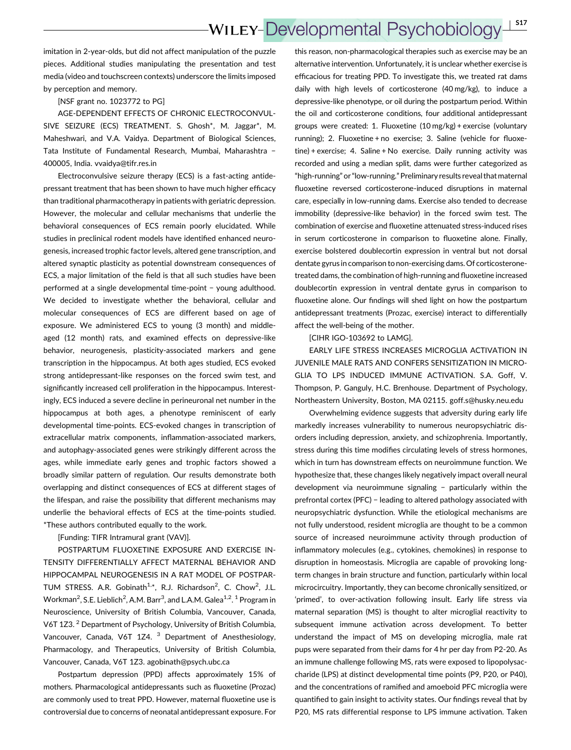## **WILEY-Developmental Psychobiology** <sup>|</sup> S17

imitation in 2-year-olds, but did not affect manipulation of the puzzle pieces. Additional studies manipulating the presentation and test media (video and touchscreen contexts) underscore the limits imposed by perception and memory.

[NSF grant no. 1023772 to PG]

AGE-DEPENDENT EFFECTS OF CHRONIC ELECTROCONVUL-SIVE SEIZURE (ECS) TREATMENT. S. Ghosh\*, M. Jaggar\*, M. Maheshwari, and V.A. Vaidya. Department of Biological Sciences, Tata Institute of Fundamental Research, Mumbai, Maharashtra − 400005, India. vvaidya@tifr.res.in

Electroconvulsive seizure therapy (ECS) is a fast-acting antidepressant treatment that has been shown to have much higher efficacy than traditional pharmacotherapy in patients with geriatric depression. However, the molecular and cellular mechanisms that underlie the behavioral consequences of ECS remain poorly elucidated. While studies in preclinical rodent models have identified enhanced neurogenesis, increased trophic factor levels, altered gene transcription, and altered synaptic plasticity as potential downstream consequences of ECS, a major limitation of the field is that all such studies have been performed at a single developmental time-point − young adulthood. We decided to investigate whether the behavioral, cellular and molecular consequences of ECS are different based on age of exposure. We administered ECS to young (3 month) and middleaged (12 month) rats, and examined effects on depressive-like behavior, neurogenesis, plasticity-associated markers and gene transcription in the hippocampus. At both ages studied, ECS evoked strong antidepressant-like responses on the forced swim test, and significantly increased cell proliferation in the hippocampus. Interestingly, ECS induced a severe decline in perineuronal net number in the hippocampus at both ages, a phenotype reminiscent of early developmental time-points. ECS-evoked changes in transcription of extracellular matrix components, inflammation-associated markers, and autophagy-associated genes were strikingly different across the ages, while immediate early genes and trophic factors showed a broadly similar pattern of regulation. Our results demonstrate both overlapping and distinct consequences of ECS at different stages of the lifespan, and raise the possibility that different mechanisms may underlie the behavioral effects of ECS at the time-points studied. \*These authors contributed equally to the work.

[Funding: TIFR Intramural grant (VAV)].

POSTPARTUM FLUOXETINE EXPOSURE AND EXERCISE IN-TENSITY DIFFERENTIALLY AFFECT MATERNAL BEHAVIOR AND HIPPOCAMPAL NEUROGENESIS IN A RAT MODEL OF POSTPAR-TUM STRESS. A.R. Gobinath<sup>1,\*</sup>, R.J. Richardson<sup>2</sup>, C. Chow<sup>2</sup>, J.L. Workman $^2$ , S.E. Lieblich $^2$ , A.M. Barr $^3$ , and L.A.M. Galea $^{1,2}$ .  $^1$  Program in Neuroscience, University of British Columbia, Vancouver, Canada, V6T 1Z3.<sup>2</sup> Department of Psychology, University of British Columbia, Vancouver, Canada, V6T 1Z4.<sup>3</sup> Department of Anesthesiology, Pharmacology, and Therapeutics, University of British Columbia, Vancouver, Canada, V6T 1Z3. agobinath@psych.ubc.ca

Postpartum depression (PPD) affects approximately 15% of mothers. Pharmacological antidepressants such as fluoxetine (Prozac) are commonly used to treat PPD. However, maternal fluoxetine use is controversial due to concerns of neonatal antidepressant exposure. For

this reason, non-pharmacological therapies such as exercise may be an alternative intervention. Unfortunately, it is unclear whether exercise is efficacious for treating PPD. To investigate this, we treated rat dams daily with high levels of corticosterone (40 mg/kg), to induce a depressive-like phenotype, or oil during the postpartum period. Within the oil and corticosterone conditions, four additional antidepressant groups were created: 1. Fluoxetine (10 mg/kg) + exercise (voluntary running); 2. Fluoxetine + no exercise; 3. Saline (vehicle for fluoxetine) + exercise; 4. Saline + No exercise. Daily running activity was recorded and using a median split, dams were further categorized as "high-running" or "low-running." Preliminary results reveal that maternal fluoxetine reversed corticosterone-induced disruptions in maternal care, especially in low-running dams. Exercise also tended to decrease immobility (depressive-like behavior) in the forced swim test. The combination of exercise and fluoxetine attenuated stress-induced rises in serum corticosterone in comparison to fluoxetine alone. Finally, exercise bolstered doublecortin expression in ventral but not dorsal dentate gyrus in comparison to non-exercising dams. Of corticosteronetreated dams, the combination of high-running and fluoxetine increased doublecortin expression in ventral dentate gyrus in comparison to fluoxetine alone. Our findings will shed light on how the postpartum antidepressant treatments (Prozac, exercise) interact to differentially affect the well-being of the mother.

[CIHR IGO-103692 to LAMG].

EARLY LIFE STRESS INCREASES MICROGLIA ACTIVATION IN JUVENILE MALE RATS AND CONFERS SENSITIZATION IN MICRO-GLIA TO LPS INDUCED IMMUNE ACTIVATION. S.A. Goff, V. Thompson, P. Ganguly, H.C. Brenhouse. Department of Psychology, Northeastern University, Boston, MA 02115. goff.s@husky.neu.edu

Overwhelming evidence suggests that adversity during early life markedly increases vulnerability to numerous neuropsychiatric disorders including depression, anxiety, and schizophrenia. Importantly, stress during this time modifies circulating levels of stress hormones, which in turn has downstream effects on neuroimmune function. We hypothesize that, these changes likely negatively impact overall neural development via neuroimmune signaling − particularly within the prefrontal cortex (PFC) − leading to altered pathology associated with neuropsychiatric dysfunction. While the etiological mechanisms are not fully understood, resident microglia are thought to be a common source of increased neuroimmune activity through production of inflammatory molecules (e.g., cytokines, chemokines) in response to disruption in homeostasis. Microglia are capable of provoking longterm changes in brain structure and function, particularly within local microcircuitry. Importantly, they can become chronically sensitized, or 'primed', to over-activation following insult. Early life stress via maternal separation (MS) is thought to alter microglial reactivity to subsequent immune activation across development. To better understand the impact of MS on developing microglia, male rat pups were separated from their dams for 4 hr per day from P2-20. As an immune challenge following MS, rats were exposed to lipopolysaccharide (LPS) at distinct developmental time points (P9, P20, or P40), and the concentrations of ramified and amoeboid PFC microglia were quantified to gain insight to activity states. Our findings reveal that by P20, MS rats differential response to LPS immune activation. Taken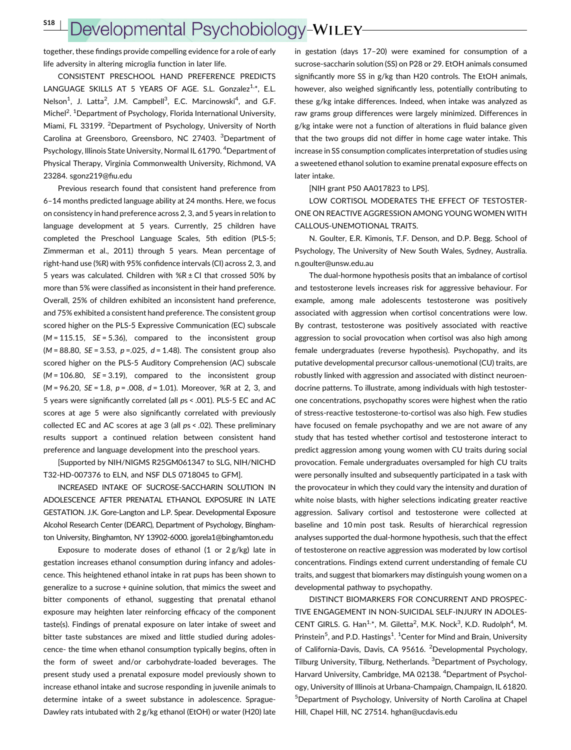## Developmental Psychobiology-WILEY

together, these findings provide compelling evidence for a role of early life adversity in altering microglia function in later life.

CONSISTENT PRESCHOOL HAND PREFERENCE PREDICTS LANGUAGE SKILLS AT 5 YEARS OF AGE. S.L. Gonzalez<sup>1,\*</sup>, E.L. Nelson<sup>1</sup>, J. Latta<sup>2</sup>, J.M. Campbell<sup>3</sup>, E.C. Marcinowski<sup>4</sup>, and G.F. Michel<sup>2</sup>. <sup>1</sup>Department of Psychology, Florida International University, Miami, FL 33199. <sup>2</sup>Department of Psychology, University of North Carolina at Greensboro, Greensboro, NC 27403. <sup>3</sup>Department of Psychology, Illinois State University, Normal IL 61790. <sup>4</sup>Department of Physical Therapy, Virginia Commonwealth University, Richmond, VA 23284. sgonz219@fiu.edu

Previous research found that consistent hand preference from 6–14 months predicted language ability at 24 months. Here, we focus on consistency in hand preference across 2, 3, and 5 years in relation to language development at 5 years. Currently, 25 children have completed the Preschool Language Scales, 5th edition (PLS-5; Zimmerman et al., 2011) through 5 years. Mean percentage of right-hand use (%R) with 95% confidence intervals (CI) across 2, 3, and 5 years was calculated. Children with  $%R \pm Cl$  that crossed 50% by more than 5% were classified as inconsistent in their hand preference. Overall, 25% of children exhibited an inconsistent hand preference, and 75% exhibited a consistent hand preference. The consistent group scored higher on the PLS-5 Expressive Communication (EC) subscale  $(M = 115.15, \text{ } SE = 5.36)$ , compared to the inconsistent group  $(M = 88.80, SE = 3.53, p = .025, d = 1.48)$ . The consistent group also scored higher on the PLS-5 Auditory Comprehension (AC) subscale  $(M = 106.80, \text{ } SE = 3.19)$ , compared to the inconsistent group  $(M = 96.20, SE = 1.8, p = .008, d = 1.01)$ . Moreover, %R at 2, 3, and 5 years were significantly correlated (all ps < .001). PLS-5 EC and AC scores at age 5 were also significantly correlated with previously collected EC and AC scores at age 3 (all ps < .02). These preliminary results support a continued relation between consistent hand preference and language development into the preschool years.

[Supported by NIH/NIGMS R25GM061347 to SLG, NIH/NICHD T32-HD-007376 to ELN, and NSF DLS 0718045 to GFM].

INCREASED INTAKE OF SUCROSE-SACCHARIN SOLUTION IN ADOLESCENCE AFTER PRENATAL ETHANOL EXPOSURE IN LATE GESTATION. J.K. Gore-Langton and L.P. Spear. Developmental Exposure Alcohol Research Center (DEARC), Department of Psychology, Binghamton University, Binghamton, NY 13902-6000. jgorela1@binghamton.edu

Exposure to moderate doses of ethanol (1 or 2 g/kg) late in gestation increases ethanol consumption during infancy and adolescence. This heightened ethanol intake in rat pups has been shown to generalize to a sucrose + quinine solution, that mimics the sweet and bitter components of ethanol, suggesting that prenatal ethanol exposure may heighten later reinforcing efficacy of the component taste(s). Findings of prenatal exposure on later intake of sweet and bitter taste substances are mixed and little studied during adolescence- the time when ethanol consumption typically begins, often in the form of sweet and/or carbohydrate-loaded beverages. The present study used a prenatal exposure model previously shown to increase ethanol intake and sucrose responding in juvenile animals to determine intake of a sweet substance in adolescence. Sprague-Dawley rats intubated with 2 g/kg ethanol (EtOH) or water (H20) late in gestation (days 17–20) were examined for consumption of a sucrose-saccharin solution (SS) on P28 or 29. EtOH animals consumed significantly more SS in g/kg than H20 controls. The EtOH animals, however, also weighed significantly less, potentially contributing to these g/kg intake differences. Indeed, when intake was analyzed as raw grams group differences were largely minimized. Differences in g/kg intake were not a function of alterations in fluid balance given that the two groups did not differ in home cage water intake. This increase in SS consumption complicates interpretation of studies using a sweetened ethanol solution to examine prenatal exposure effects on later intake.

[NIH grant P50 AA017823 to LPS].

LOW CORTISOL MODERATES THE EFFECT OF TESTOSTER-ONE ON REACTIVE AGGRESSION AMONG YOUNG WOMEN WITH CALLOUS-UNEMOTIONAL TRAITS.

N. Goulter, E.R. Kimonis, T.F. Denson, and D.P. Begg. School of Psychology, The University of New South Wales, Sydney, Australia. n.goulter@unsw.edu.au

The dual-hormone hypothesis posits that an imbalance of cortisol and testosterone levels increases risk for aggressive behaviour. For example, among male adolescents testosterone was positively associated with aggression when cortisol concentrations were low. By contrast, testosterone was positively associated with reactive aggression to social provocation when cortisol was also high among female undergraduates (reverse hypothesis). Psychopathy, and its putative developmental precursor callous-unemotional (CU) traits, are robustly linked with aggression and associated with distinct neuroendocrine patterns. To illustrate, among individuals with high testosterone concentrations, psychopathy scores were highest when the ratio of stress-reactive testosterone-to-cortisol was also high. Few studies have focused on female psychopathy and we are not aware of any study that has tested whether cortisol and testosterone interact to predict aggression among young women with CU traits during social provocation. Female undergraduates oversampled for high CU traits were personally insulted and subsequently participated in a task with the provocateur in which they could vary the intensity and duration of white noise blasts, with higher selections indicating greater reactive aggression. Salivary cortisol and testosterone were collected at baseline and 10 min post task. Results of hierarchical regression analyses supported the dual-hormone hypothesis, such that the effect of testosterone on reactive aggression was moderated by low cortisol concentrations. Findings extend current understanding of female CU traits, and suggest that biomarkers may distinguish young women on a developmental pathway to psychopathy.

DISTINCT BIOMARKERS FOR CONCURRENT AND PROSPEC-TIVE ENGAGEMENT IN NON-SUICIDAL SELF-INJURY IN ADOLES-CENT GIRLS. G. Han<sup>1,\*</sup>, M. Giletta<sup>2</sup>, M.K. Nock<sup>3</sup>, K.D. Rudolph<sup>4</sup>, M. Prinstein<sup>5</sup>, and P.D. Hastings<sup>1</sup>. <sup>1</sup> Center for Mind and Brain, University of California-Davis, Davis, CA 95616. <sup>2</sup>Developmental Psychology, Tilburg University, Tilburg, Netherlands. <sup>3</sup>Department of Psychology, Harvard University, Cambridge, MA 02138. <sup>4</sup>Department of Psychology, University of Illinois at Urbana-Champaign, Champaign, IL 61820. 5 Department of Psychology, University of North Carolina at Chapel Hill, Chapel Hill, NC 27514. hghan@ucdavis.edu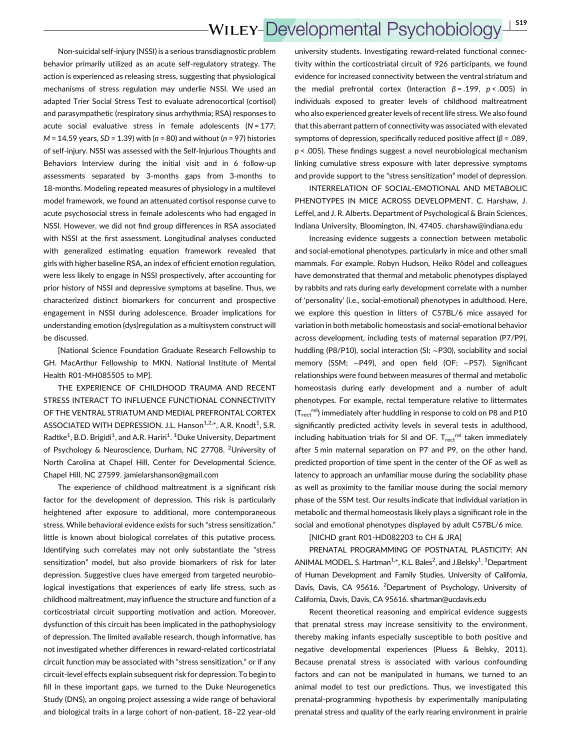Non-suicidal self-injury (NSSI) is a serious transdiagnostic problem behavior primarily utilized as an acute self-regulatory strategy. The action is experienced as releasing stress, suggesting that physiological mechanisms of stress regulation may underlie NSSI. We used an adapted Trier Social Stress Test to evaluate adrenocortical (cortisol) and parasympathetic (respiratory sinus arrhythmia; RSA) responses to acute social evaluative stress in female adolescents ( $N = 177$ ;  $M = 14.59$  years, SD = 1.39) with ( $n = 80$ ) and without ( $n = 97$ ) histories of self-injury. NSSI was assessed with the Self-Injurious Thoughts and Behaviors Interview during the initial visit and in 6 follow-up assessments separated by 3-months gaps from 3-months to 18-months. Modeling repeated measures of physiology in a multilevel model framework, we found an attenuated cortisol response curve to acute psychosocial stress in female adolescents who had engaged in NSSI. However, we did not find group differences in RSA associated with NSSI at the first assessment. Longitudinal analyses conducted with generalized estimating equation framework revealed that girls with higher baseline RSA, an index of efficient emotion regulation, were less likely to engage in NSSI prospectively, after accounting for prior history of NSSI and depressive symptoms at baseline. Thus, we characterized distinct biomarkers for concurrent and prospective engagement in NSSI during adolescence. Broader implications for understanding emotion (dys)regulation as a multisystem construct will be discussed.

[National Science Foundation Graduate Research Fellowship to GH. MacArthur Fellowship to MKN. National Institute of Mental Health R01-MH085505 to MP].

THE EXPERIENCE OF CHILDHOOD TRAUMA AND RECENT STRESS INTERACT TO INFLUENCE FUNCTIONAL CONNECTIVITY OF THE VENTRAL STRIATUM AND MEDIAL PREFRONTAL CORTEX ASSOCIATED WITH DEPRESSION. J.L. Hanson<sup>1,2,\*</sup>, A.R. Knodt<sup>1</sup>, S.R. Radtke<sup>1</sup>, B.D. Brigidi<sup>1</sup>, and A.R. Hariri<sup>1</sup>. <sup>1</sup>Duke University, Department of Psychology & Neuroscience, Durham, NC 27708. <sup>2</sup>University of North Carolina at Chapel Hill, Center for Developmental Science, Chapel Hill, NC 27599. jamielarshanson@gmail.com

The experience of childhood maltreatment is a significant risk factor for the development of depression. This risk is particularly heightened after exposure to additional, more contemporaneous stress. While behavioral evidence exists for such "stress sensitization," little is known about biological correlates of this putative process. Identifying such correlates may not only substantiate the "stress sensitization" model, but also provide biomarkers of risk for later depression. Suggestive clues have emerged from targeted neurobiological investigations that experiences of early life stress, such as childhood maltreatment, may influence the structure and function of a corticostriatal circuit supporting motivation and action. Moreover, dysfunction of this circuit has been implicated in the pathophysiology of depression. The limited available research, though informative, has not investigated whether differences in reward-related corticostriatal circuit function may be associated with "stress sensitization," or if any circuit-level effects explain subsequent risk for depression. To begin to fill in these important gaps, we turned to the Duke Neurogenetics Study (DNS), an ongoing project assessing a wide range of behavioral and biological traits in a large cohort of non-patient, 18–22 year-old university students. Investigating reward-related functional connectivity within the corticostriatal circuit of 926 participants, we found evidence for increased connectivity between the ventral striatum and the medial prefrontal cortex (Interaction  $β = .199$ ,  $p < .005$ ) in individuals exposed to greater levels of childhood maltreatment who also experienced greater levels of recent life stress. We also found that this aberrant pattern of connectivity was associated with elevated symptoms of depression, specifically reduced positive affect ( $\beta$  = .089,  $p$  < .005). These findings suggest a novel neurobiological mechanism linking cumulative stress exposure with later depressive symptoms and provide support to the "stress sensitization" model of depression.

INTERRELATION OF SOCIAL-EMOTIONAL AND METABOLIC PHENOTYPES IN MICE ACROSS DEVELOPMENT. C. Harshaw, J. Leffel, and J. R. Alberts. Department of Psychological & Brain Sciences, Indiana University, Bloomington, IN, 47405. charshaw@indiana.edu

Increasing evidence suggests a connection between metabolic and social-emotional phenotypes, particularly in mice and other small mammals. For example, Robyn Hudson, Heiko Rödel and colleagues have demonstrated that thermal and metabolic phenotypes displayed by rabbits and rats during early development correlate with a number of 'personality' (i.e., social-emotional) phenotypes in adulthood. Here, we explore this question in litters of C57BL/6 mice assayed for variation in both metabolic homeostasis and social-emotional behavior across development, including tests of maternal separation (P7/P9), huddling (P8/P10), social interaction (SI; ∼P30), sociability and social memory (SSM; ∼P49), and open field (OF; ∼P57). Significant relationships were found between measures of thermal and metabolic homeostasis during early development and a number of adult phenotypes. For example, rectal temperature relative to littermates  $(T_{rect}^{rel})$  immediately after huddling in response to cold on P8 and P10 significantly predicted activity levels in several tests in adulthood, including habituation trials for SI and OF.  $T_{rect}^{rel}$  taken immediately after 5 min maternal separation on P7 and P9, on the other hand, predicted proportion of time spent in the center of the OF as well as latency to approach an unfamiliar mouse during the sociability phase as well as proximity to the familiar mouse during the social memory phase of the SSM test. Our results indicate that individual variation in metabolic and thermal homeostasis likely plays a significant role in the social and emotional phenotypes displayed by adult C57BL/6 mice.

### [NICHD grant R01-HD082203 to CH & JRA]

PRENATAL PROGRAMMING OF POSTNATAL PLASTICITY: AN ANIMAL MODEL. S. Hartman<sup>1,\*</sup>, K.L. Bales<sup>2</sup>, and J.Belsky<sup>1</sup>. <sup>1</sup>Department of Human Development and Family Studies, University of California, Davis, Davis, CA 95616. <sup>2</sup>Department of Psychology, University of California, Davis, Davis, CA 95616. slhartman@ucdavis.edu

Recent theoretical reasoning and empirical evidence suggests that prenatal stress may increase sensitivity to the environment, thereby making infants especially susceptible to both positive and negative developmental experiences (Pluess & Belsky, 2011). Because prenatal stress is associated with various confounding factors and can not be manipulated in humans, we turned to an animal model to test our predictions. Thus, we investigated this prenatal-programming hypothesis by experimentally manipulating prenatal stress and quality of the early rearing environment in prairie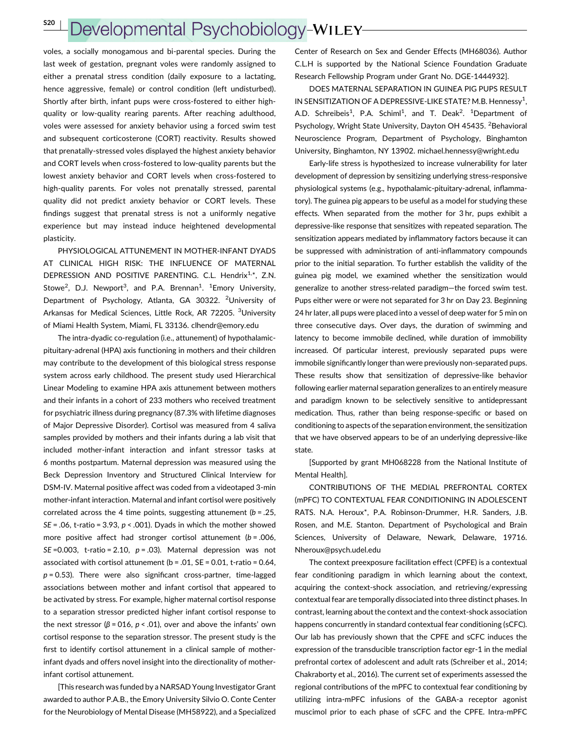S20 <sup>|</sup>

## Developmental Psychobiology-WILEY

voles, a socially monogamous and bi-parental species. During the last week of gestation, pregnant voles were randomly assigned to either a prenatal stress condition (daily exposure to a lactating, hence aggressive, female) or control condition (left undisturbed). Shortly after birth, infant pups were cross-fostered to either highquality or low-quality rearing parents. After reaching adulthood, voles were assessed for anxiety behavior using a forced swim test and subsequent corticosterone (CORT) reactivity. Results showed that prenatally-stressed voles displayed the highest anxiety behavior and CORT levels when cross-fostered to low-quality parents but the lowest anxiety behavior and CORT levels when cross-fostered to high-quality parents. For voles not prenatally stressed, parental quality did not predict anxiety behavior or CORT levels. These findings suggest that prenatal stress is not a uniformly negative experience but may instead induce heightened developmental plasticity.

PHYSIOLOGICAL ATTUNEMENT IN MOTHER-INFANT DYADS AT CLINICAL HIGH RISK: THE INFLUENCE OF MATERNAL DEPRESSION AND POSITIVE PARENTING. C.L. Hendrix<sup>1,\*</sup>, Z.N. Stowe<sup>2</sup>, D.J. Newport<sup>3</sup>, and P.A. Brennan<sup>1</sup>. <sup>1</sup>Emory University, Department of Psychology, Atlanta, GA 30322. <sup>2</sup>University of Arkansas for Medical Sciences, Little Rock, AR 72205. <sup>3</sup>University of Miami Health System, Miami, FL 33136. clhendr@emory.edu

The intra-dyadic co-regulation (i.e., attunement) of hypothalamicpituitary-adrenal (HPA) axis functioning in mothers and their children may contribute to the development of this biological stress response system across early childhood. The present study used Hierarchical Linear Modeling to examine HPA axis attunement between mothers and their infants in a cohort of 233 mothers who received treatment for psychiatric illness during pregnancy (87.3% with lifetime diagnoses of Major Depressive Disorder). Cortisol was measured from 4 saliva samples provided by mothers and their infants during a lab visit that included mother-infant interaction and infant stressor tasks at 6 months postpartum. Maternal depression was measured using the Beck Depression Inventory and Structured Clinical Interview for DSM-IV. Maternal positive affect was coded from a videotaped 3-min mother-infant interaction. Maternal and infant cortisol were positively correlated across the 4 time points, suggesting attunement  $(b = .25, )$  $SE = .06$ , t-ratio = 3.93,  $p < .001$ ). Dyads in which the mother showed more positive affect had stronger cortisol attunement  $(b = .006, )$ SE=0.003, t-ratio = 2.10,  $p = .03$ ). Maternal depression was not associated with cortisol attunement ( $b = .01$ ,  $SE = 0.01$ , t-ratio = 0.64,  $p = 0.53$ ). There were also significant cross-partner, time-lagged associations between mother and infant cortisol that appeared to be activated by stress. For example, higher maternal cortisol response to a separation stressor predicted higher infant cortisol response to the next stressor ( $β = 016$ ,  $p < .01$ ), over and above the infants' own cortisol response to the separation stressor. The present study is the first to identify cortisol attunement in a clinical sample of motherinfant dyads and offers novel insight into the directionality of motherinfant cortisol attunement.

[This research was funded by a NARSAD Young Investigator Grant awarded to author P.A.B., the Emory University Silvio O. Conte Center for the Neurobiology of Mental Disease (MH58922), and a Specialized

Center of Research on Sex and Gender Effects (MH68036). Author C.L.H is supported by the National Science Foundation Graduate Research Fellowship Program under Grant No. DGE-1444932].

DOES MATERNAL SEPARATION IN GUINEA PIG PUPS RESULT IN SENSITIZATION OF A DEPRESSIVE-LIKE STATE? M.B. Hennessy<sup>1</sup>, A.D. Schreibeis<sup>1</sup>, P.A. Schiml<sup>1</sup>, and T. Deak<sup>2</sup>. <sup>1</sup>Department of Psychology, Wright State University, Dayton OH 45435. <sup>2</sup>Behavioral Neuroscience Program, Department of Psychology, Binghamton University, Binghamton, NY 13902. michael.hennessy@wright.edu

Early-life stress is hypothesized to increase vulnerability for later development of depression by sensitizing underlying stress-responsive physiological systems (e.g., hypothalamic-pituitary-adrenal, inflammatory). The guinea pig appears to be useful as a model for studying these effects. When separated from the mother for 3 hr, pups exhibit a depressive-like response that sensitizes with repeated separation. The sensitization appears mediated by inflammatory factors because it can be suppressed with administration of anti-inflammatory compounds prior to the initial separation. To further establish the validity of the guinea pig model, we examined whether the sensitization would generalize to another stress-related paradigm—the forced swim test. Pups either were or were not separated for 3 hr on Day 23. Beginning 24 hr later, all pups were placed into a vessel of deep water for 5 min on three consecutive days. Over days, the duration of swimming and latency to become immobile declined, while duration of immobility increased. Of particular interest, previously separated pups were immobile significantly longer than were previously non-separated pups. These results show that sensitization of depressive-like behavior following earlier maternal separation generalizes to an entirely measure and paradigm known to be selectively sensitive to antidepressant medication. Thus, rather than being response-specific or based on conditioning to aspects of the separation environment, the sensitization that we have observed appears to be of an underlying depressive-like state.

[Supported by grant MH068228 from the National Institute of Mental Health].

CONTRIBUTIONS OF THE MEDIAL PREFRONTAL CORTEX (mPFC) TO CONTEXTUAL FEAR CONDITIONING IN ADOLESCENT RATS. N.A. Heroux\*, P.A. Robinson-Drummer, H.R. Sanders, J.B. Rosen, and M.E. Stanton. Department of Psychological and Brain Sciences, University of Delaware, Newark, Delaware, 19716. Nheroux@psych.udel.edu

The context preexposure facilitation effect (CPFE) is a contextual fear conditioning paradigm in which learning about the context, acquiring the context-shock association, and retrieving/expressing contextual fear are temporally dissociated into three distinct phases. In contrast, learning about the context and the context-shock association happens concurrently in standard contextual fear conditioning (sCFC). Our lab has previously shown that the CPFE and sCFC induces the expression of the transducible transcription factor egr-1 in the medial prefrontal cortex of adolescent and adult rats (Schreiber et al., 2014; Chakraborty et al., 2016). The current set of experiments assessed the regional contributions of the mPFC to contextual fear conditioning by utilizing intra-mPFC infusions of the GABA-a receptor agonist muscimol prior to each phase of sCFC and the CPFE. Intra-mPFC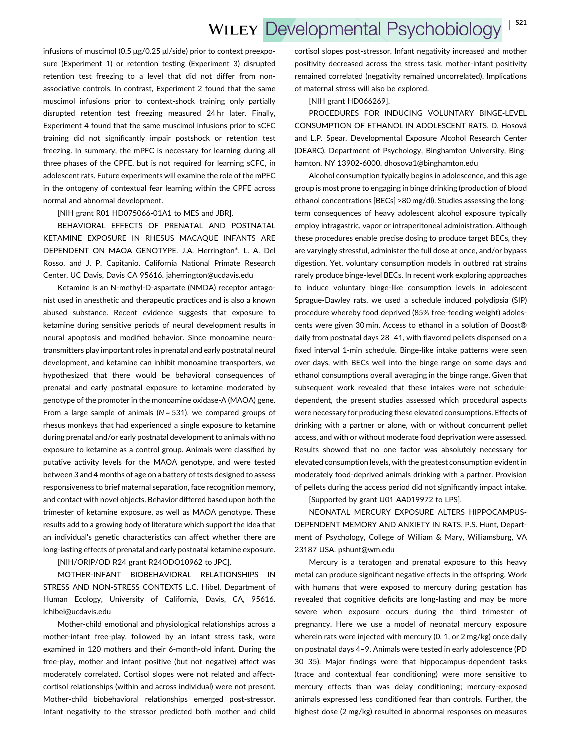infusions of muscimol (0.5  $\mu$ g/0.25  $\mu$ l/side) prior to context preexposure (Experiment 1) or retention testing (Experiment 3) disrupted retention test freezing to a level that did not differ from nonassociative controls. In contrast, Experiment 2 found that the same muscimol infusions prior to context-shock training only partially disrupted retention test freezing measured 24 hr later. Finally, Experiment 4 found that the same muscimol infusions prior to sCFC training did not significantly impair postshock or retention test freezing. In summary, the mPFC is necessary for learning during all three phases of the CPFE, but is not required for learning sCFC, in adolescent rats. Future experiments will examine the role of the mPFC in the ontogeny of contextual fear learning within the CPFE across normal and abnormal development.

[NIH grant R01 HD075066-01A1 to MES and JBR].

BEHAVIORAL EFFECTS OF PRENATAL AND POSTNATAL KETAMINE EXPOSURE IN RHESUS MACAQUE INFANTS ARE DEPENDENT ON MAOA GENOTYPE. J.A. Herrington\*, L. A. Del Rosso, and J. P. Capitanio. California National Primate Research Center, UC Davis, Davis CA 95616. jaherrington@ucdavis.edu

Ketamine is an N-methyl-D-aspartate (NMDA) receptor antagonist used in anesthetic and therapeutic practices and is also a known abused substance. Recent evidence suggests that exposure to ketamine during sensitive periods of neural development results in neural apoptosis and modified behavior. Since monoamine neurotransmitters play important roles in prenatal and early postnatal neural development, and ketamine can inhibit monoamine transporters, we hypothesized that there would be behavioral consequences of prenatal and early postnatal exposure to ketamine moderated by genotype of the promoter in the monoamine oxidase-A (MAOA) gene. From a large sample of animals ( $N = 531$ ), we compared groups of rhesus monkeys that had experienced a single exposure to ketamine during prenatal and/or early postnatal development to animals with no exposure to ketamine as a control group. Animals were classified by putative activity levels for the MAOA genotype, and were tested between 3 and 4 months of age on a battery of tests designed to assess responsiveness to brief maternal separation, face recognition memory, and contact with novel objects. Behavior differed based upon both the trimester of ketamine exposure, as well as MAOA genotype. These results add to a growing body of literature which support the idea that an individual's genetic characteristics can affect whether there are long-lasting effects of prenatal and early postnatal ketamine exposure.

[NIH/ORIP/OD R24 grant R24ODO10962 to JPC].

MOTHER-INFANT BIOBEHAVIORAL RELATIONSHIPS IN STRESS AND NON-STRESS CONTEXTS L.C. Hibel. Department of Human Ecology, University of California, Davis, CA, 95616. lchibel@ucdavis.edu

Mother-child emotional and physiological relationships across a mother-infant free-play, followed by an infant stress task, were examined in 120 mothers and their 6-month-old infant. During the free-play, mother and infant positive (but not negative) affect was moderately correlated. Cortisol slopes were not related and affectcortisol relationships (within and across individual) were not present. Mother-child biobehavioral relationships emerged post-stressor. Infant negativity to the stressor predicted both mother and child

cortisol slopes post-stressor. Infant negativity increased and mother positivity decreased across the stress task, mother-infant positivity remained correlated (negativity remained uncorrelated). Implications of maternal stress will also be explored.

[NIH grant HD066269].

PROCEDURES FOR INDUCING VOLUNTARY BINGE-LEVEL CONSUMPTION OF ETHANOL IN ADOLESCENT RATS. D. Hosová and L.P. Spear. Developmental Exposure Alcohol Research Center (DEARC), Department of Psychology, Binghamton University, Binghamton, NY 13902-6000. dhosova1@binghamton.edu

Alcohol consumption typically begins in adolescence, and this age group is most prone to engaging in binge drinking (production of blood ethanol concentrations [BECs] >80 mg/dl). Studies assessing the longterm consequences of heavy adolescent alcohol exposure typically employ intragastric, vapor or intraperitoneal administration. Although these procedures enable precise dosing to produce target BECs, they are varyingly stressful, administer the full dose at once, and/or bypass digestion. Yet, voluntary consumption models in outbred rat strains rarely produce binge-level BECs. In recent work exploring approaches to induce voluntary binge-like consumption levels in adolescent Sprague-Dawley rats, we used a schedule induced polydipsia (SIP) procedure whereby food deprived (85% free-feeding weight) adolescents were given 30 min. Access to ethanol in a solution of Boost® daily from postnatal days 28–41, with flavored pellets dispensed on a fixed interval 1-min schedule. Binge-like intake patterns were seen over days, with BECs well into the binge range on some days and ethanol consumptions overall averaging in the binge range. Given that subsequent work revealed that these intakes were not scheduledependent, the present studies assessed which procedural aspects were necessary for producing these elevated consumptions. Effects of drinking with a partner or alone, with or without concurrent pellet access, and with or without moderate food deprivation were assessed. Results showed that no one factor was absolutely necessary for elevated consumption levels, with the greatest consumption evident in moderately food-deprived animals drinking with a partner. Provision of pellets during the access period did not significantly impact intake.

[Supported by grant U01 AA019972 to LPS].

NEONATAL MERCURY EXPOSURE ALTERS HIPPOCAMPUS-DEPENDENT MEMORY AND ANXIETY IN RATS. P.S. Hunt, Department of Psychology, College of William & Mary, Williamsburg, VA 23187 USA. pshunt@wm.edu

Mercury is a teratogen and prenatal exposure to this heavy metal can produce significant negative effects in the offspring. Work with humans that were exposed to mercury during gestation has revealed that cognitive deficits are long-lasting and may be more severe when exposure occurs during the third trimester of pregnancy. Here we use a model of neonatal mercury exposure wherein rats were injected with mercury (0, 1, or 2 mg/kg) once daily on postnatal days 4–9. Animals were tested in early adolescence (PD 30–35). Major findings were that hippocampus-dependent tasks (trace and contextual fear conditioning) were more sensitive to mercury effects than was delay conditioning; mercury-exposed animals expressed less conditioned fear than controls. Further, the highest dose (2 mg/kg) resulted in abnormal responses on measures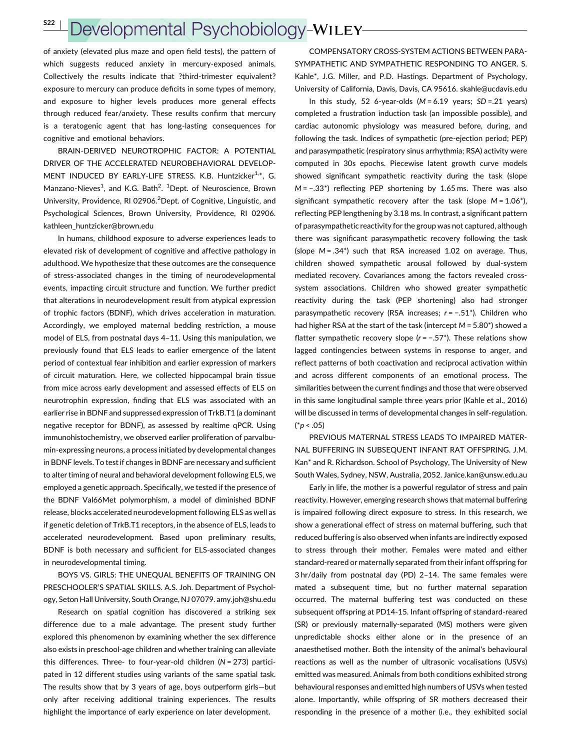## Developmental Psychobiology-WILEY-

of anxiety (elevated plus maze and open field tests), the pattern of which suggests reduced anxiety in mercury-exposed animals. Collectively the results indicate that ?third-trimester equivalent? exposure to mercury can produce deficits in some types of memory, and exposure to higher levels produces more general effects through reduced fear/anxiety. These results confirm that mercury is a teratogenic agent that has long-lasting consequences for cognitive and emotional behaviors.

BRAIN-DERIVED NEUROTROPHIC FACTOR: A POTENTIAL DRIVER OF THE ACCELERATED NEUROBEHAVIORAL DEVELOP-MENT INDUCED BY EARLY-LIFE STRESS. K.B. Huntzicker<sup>1,\*</sup>, G. Manzano-Nieves<sup>1</sup>, and K.G. Bath<sup>2</sup>. <sup>1</sup>Dept. of Neuroscience, Brown University, Providence, RI 02906.<sup>2</sup> Dept. of Cognitive, Linguistic, and Psychological Sciences, Brown University, Providence, RI 02906. kathleen\_huntzicker@brown.edu

In humans, childhood exposure to adverse experiences leads to elevated risk of development of cognitive and affective pathology in adulthood. We hypothesize that these outcomes are the consequence of stress-associated changes in the timing of neurodevelopmental events, impacting circuit structure and function. We further predict that alterations in neurodevelopment result from atypical expression of trophic factors (BDNF), which drives acceleration in maturation. Accordingly, we employed maternal bedding restriction, a mouse model of ELS, from postnatal days 4–11. Using this manipulation, we previously found that ELS leads to earlier emergence of the latent period of contextual fear inhibition and earlier expression of markers of circuit maturation. Here, we collected hippocampal brain tissue from mice across early development and assessed effects of ELS on neurotrophin expression, finding that ELS was associated with an earlier rise in BDNF and suppressed expression of TrkB.T1 (a dominant negative receptor for BDNF), as assessed by realtime qPCR. Using immunohistochemistry, we observed earlier proliferation of parvalbumin-expressing neurons, a process initiated by developmental changes in BDNF levels. To test if changes in BDNF are necessary and sufficient to alter timing of neural and behavioral development following ELS, we employed a genetic approach. Specifically, we tested if the presence of the BDNF Val66Met polymorphism, a model of diminished BDNF release, blocks accelerated neurodevelopment following ELS as well as if genetic deletion of TrkB.T1 receptors, in the absence of ELS, leads to accelerated neurodevelopment. Based upon preliminary results, BDNF is both necessary and sufficient for ELS-associated changes in neurodevelopmental timing.

BOYS VS. GIRLS: THE UNEQUAL BENEFITS OF TRAINING ON PRESCHOOLER'S SPATIAL SKILLS. A.S. Joh. Department of Psychology, Seton Hall University, South Orange, NJ 07079. amy.joh@shu.edu

Research on spatial cognition has discovered a striking sex difference due to a male advantage. The present study further explored this phenomenon by examining whether the sex difference also exists in preschool-age children and whether training can alleviate this differences. Three- to four-year-old children  $(N = 273)$  participated in 12 different studies using variants of the same spatial task. The results show that by 3 years of age, boys outperform girls—but only after receiving additional training experiences. The results highlight the importance of early experience on later development.

COMPENSATORY CROSS-SYSTEM ACTIONS BETWEEN PARA-SYMPATHETIC AND SYMPATHETIC RESPONDING TO ANGER. S. Kahle\*, J.G. Miller, and P.D. Hastings. Department of Psychology, University of California, Davis, Davis, CA 95616. skahle@ucdavis.edu

In this study, 52 6-year-olds ( $M = 6.19$  years;  $SD = .21$  years) completed a frustration induction task (an impossible possible), and cardiac autonomic physiology was measured before, during, and following the task. Indices of sympathetic (pre-ejection period; PEP) and parasympathetic (respiratory sinus arrhythmia; RSA) activity were computed in 30s epochs. Piecewise latent growth curve models showed significant sympathetic reactivity during the task (slope M = −.33\*) reflecting PEP shortening by 1.65 ms. There was also significant sympathetic recovery after the task (slope  $M = 1.06$ <sup>\*</sup>), reflecting PEP lengthening by 3.18 ms. In contrast, a significant pattern of parasympathetic reactivity for the group was not captured, although there was significant parasympathetic recovery following the task (slope  $M = .34^*$ ) such that RSA increased 1.02 on average. Thus, children showed sympathetic arousal followed by dual-system mediated recovery. Covariances among the factors revealed crosssystem associations. Children who showed greater sympathetic reactivity during the task (PEP shortening) also had stronger parasympathetic recovery (RSA increases; r = −.51\*). Children who had higher RSA at the start of the task (intercept  $M = 5.80^*$ ) showed a flatter sympathetic recovery slope (r = −.57\*). These relations show lagged contingencies between systems in response to anger, and reflect patterns of both coactivation and reciprocal activation within and across different components of an emotional process. The similarities between the current findings and those that were observed in this same longitudinal sample three years prior (Kahle et al., 2016) will be discussed in terms of developmental changes in self-regulation.  $(*p < .05)$ 

PREVIOUS MATERNAL STRESS LEADS TO IMPAIRED MATER-NAL BUFFERING IN SUBSEQUENT INFANT RAT OFFSPRING. J.M. Kan\* and R. Richardson. School of Psychology, The University of New South Wales, Sydney, NSW, Australia, 2052. Janice.kan@unsw.edu.au

Early in life, the mother is a powerful regulator of stress and pain reactivity. However, emerging research shows that maternal buffering is impaired following direct exposure to stress. In this research, we show a generational effect of stress on maternal buffering, such that reduced buffering is also observed when infants are indirectly exposed to stress through their mother. Females were mated and either standard-reared or maternally separated from their infant offspring for 3 hr/daily from postnatal day (PD) 2–14. The same females were mated a subsequent time, but no further maternal separation occurred. The maternal buffering test was conducted on these subsequent offspring at PD14-15. Infant offspring of standard-reared (SR) or previously maternally-separated (MS) mothers were given unpredictable shocks either alone or in the presence of an anaesthetised mother. Both the intensity of the animal's behavioural reactions as well as the number of ultrasonic vocalisations (USVs) emitted was measured. Animals from both conditions exhibited strong behavioural responses and emitted high numbers of USVs when tested alone. Importantly, while offspring of SR mothers decreased their responding in the presence of a mother (i.e., they exhibited social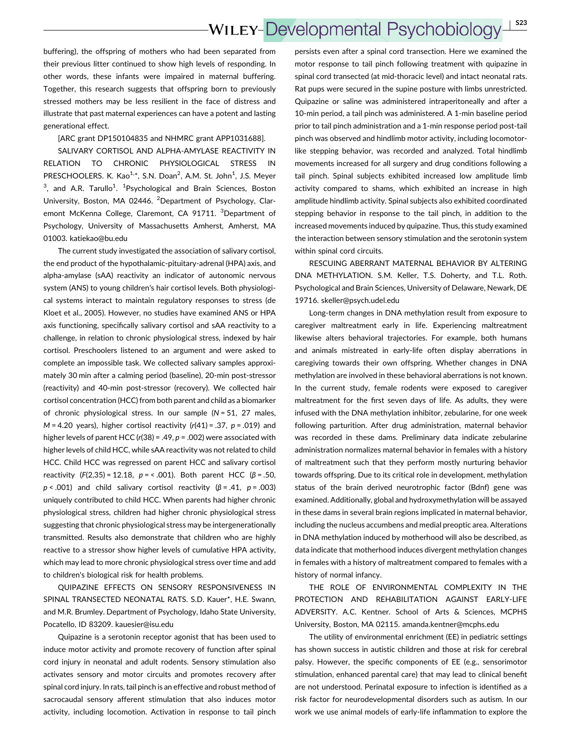buffering), the offspring of mothers who had been separated from their previous litter continued to show high levels of responding. In other words, these infants were impaired in maternal buffering. Together, this research suggests that offspring born to previously stressed mothers may be less resilient in the face of distress and illustrate that past maternal experiences can have a potent and lasting generational effect.

#### [ARC grant DP150104835 and NHMRC grant APP1031688].

SALIVARY CORTISOL AND ALPHA-AMYLASE REACTIVITY IN RELATION TO CHRONIC PHYSIOLOGICAL STRESS IN PRESCHOOLERS. K. Kao<sup>1,\*</sup>, S.N. Doan<sup>2</sup>, A.M. St. John<sup>1</sup>, J.S. Meyer  $3$ , and A.R. Tarullo<sup>1</sup>. <sup>1</sup>Psychological and Brain Sciences, Boston University, Boston, MA 02446. <sup>2</sup>Department of Psychology, Claremont McKenna College, Claremont, CA 91711. <sup>3</sup>Department of Psychology, University of Massachusetts Amherst, Amherst, MA 01003. katiekao@bu.edu

The current study investigated the association of salivary cortisol, the end product of the hypothalamic-pituitary-adrenal (HPA) axis, and alpha-amylase (sAA) reactivity an indicator of autonomic nervous system (ANS) to young children's hair cortisol levels. Both physiological systems interact to maintain regulatory responses to stress (de Kloet et al., 2005). However, no studies have examined ANS or HPA axis functioning, specifically salivary cortisol and sAA reactivity to a challenge, in relation to chronic physiological stress, indexed by hair cortisol. Preschoolers listened to an argument and were asked to complete an impossible task. We collected salivary samples approximately 30 min after a calming period (baseline), 20-min post-stressor (reactivity) and 40-min post-stressor (recovery). We collected hair cortisol concentration (HCC) from both parent and child as a biomarker of chronic physiological stress. In our sample  $(N = 51, 27)$  males,  $M = 4.20$  years), higher cortisol reactivity (r(41) = .37, p = .019) and higher levels of parent HCC ( $r(38)$  = .49,  $p$  = .002) were associated with higher levels of child HCC, while sAA reactivity was not related to child HCC. Child HCC was regressed on parent HCC and salivary cortisol reactivity  $(F(2,35) = 12.18, p = 50.001)$ . Both parent HCC  $(\beta = .50,$  $p < .001$ ) and child salivary cortisol reactivity (β = .41, p = .003) uniquely contributed to child HCC. When parents had higher chronic physiological stress, children had higher chronic physiological stress suggesting that chronic physiological stress may be intergenerationally transmitted. Results also demonstrate that children who are highly reactive to a stressor show higher levels of cumulative HPA activity, which may lead to more chronic physiological stress over time and add to children's biological risk for health problems.

QUIPAZINE EFFECTS ON SENSORY RESPONSIVENESS IN SPINAL TRANSECTED NEONATAL RATS. S.D. Kauer\*, H.E. Swann, and M.R. Brumley. Department of Psychology, Idaho State University, Pocatello, ID 83209. kauesier@isu.edu

Quipazine is a serotonin receptor agonist that has been used to induce motor activity and promote recovery of function after spinal cord injury in neonatal and adult rodents. Sensory stimulation also activates sensory and motor circuits and promotes recovery after spinal cord injury. In rats, tail pinch is an effective and robust method of sacrocaudal sensory afferent stimulation that also induces motor activity, including locomotion. Activation in response to tail pinch

persists even after a spinal cord transection. Here we examined the motor response to tail pinch following treatment with quipazine in spinal cord transected (at mid-thoracic level) and intact neonatal rats. Rat pups were secured in the supine posture with limbs unrestricted. Quipazine or saline was administered intraperitoneally and after a 10-min period, a tail pinch was administered. A 1-min baseline period prior to tail pinch administration and a 1-min response period post-tail pinch was observed and hindlimb motor activity, including locomotorlike stepping behavior, was recorded and analyzed. Total hindlimb movements increased for all surgery and drug conditions following a tail pinch. Spinal subjects exhibited increased low amplitude limb activity compared to shams, which exhibited an increase in high amplitude hindlimb activity. Spinal subjects also exhibited coordinated stepping behavior in response to the tail pinch, in addition to the increased movements induced by quipazine. Thus, this study examined the interaction between sensory stimulation and the serotonin system within spinal cord circuits.

RESCUING ABERRANT MATERNAL BEHAVIOR BY ALTERING DNA METHYLATION. S.M. Keller, T.S. Doherty, and T.L. Roth. Psychological and Brain Sciences, University of Delaware, Newark, DE 19716. skeller@psych.udel.edu

Long-term changes in DNA methylation result from exposure to caregiver maltreatment early in life. Experiencing maltreatment likewise alters behavioral trajectories. For example, both humans and animals mistreated in early-life often display aberrations in caregiving towards their own offspring. Whether changes in DNA methylation are involved in these behavioral aberrations is not known. In the current study, female rodents were exposed to caregiver maltreatment for the first seven days of life. As adults, they were infused with the DNA methylation inhibitor, zebularine, for one week following parturition. After drug administration, maternal behavior was recorded in these dams. Preliminary data indicate zebularine administration normalizes maternal behavior in females with a history of maltreatment such that they perform mostly nurturing behavior towards offspring. Due to its critical role in development, methylation status of the brain derived neurotrophic factor (Bdnf) gene was examined. Additionally, global and hydroxymethylation will be assayed in these dams in several brain regions implicated in maternal behavior, including the nucleus accumbens and medial preoptic area. Alterations in DNA methylation induced by motherhood will also be described, as data indicate that motherhood induces divergent methylation changes in females with a history of maltreatment compared to females with a history of normal infancy.

THE ROLE OF ENVIRONMENTAL COMPLEXITY IN THE PROTECTION AND REHABILITATION AGAINST EARLY-LIFE ADVERSITY. A.C. Kentner. School of Arts & Sciences, MCPHS University, Boston, MA 02115. amanda.kentner@mcphs.edu

The utility of environmental enrichment (EE) in pediatric settings has shown success in autistic children and those at risk for cerebral palsy. However, the specific components of EE (e.g., sensorimotor stimulation, enhanced parental care) that may lead to clinical benefit are not understood. Perinatal exposure to infection is identified as a risk factor for neurodevelopmental disorders such as autism. In our work we use animal models of early-life inflammation to explore the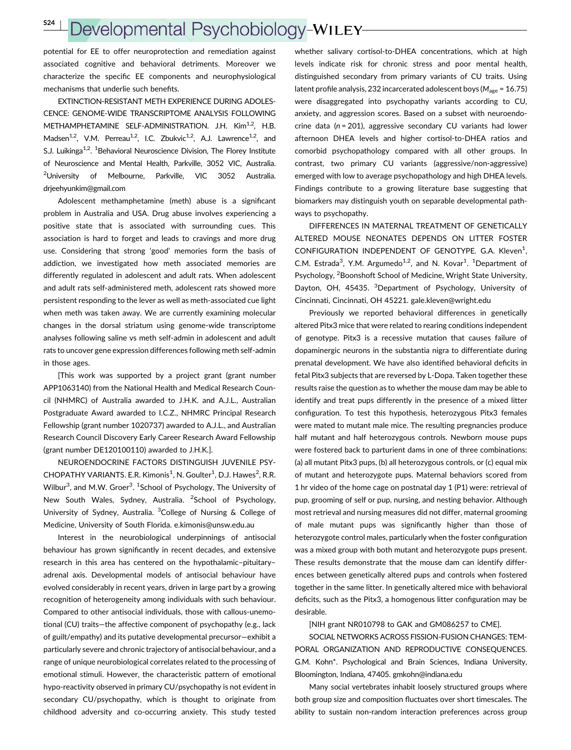S24 <sup>|</sup>

## Developmental Psychobiology-WILEY

potential for EE to offer neuroprotection and remediation against associated cognitive and behavioral detriments. Moreover we characterize the specific EE components and neurophysiological mechanisms that underlie such benefits.

EXTINCTION-RESISTANT METH EXPERIENCE DURING ADOLES-CENCE: GENOME-WIDE TRANSCRIPTOME ANALYSIS FOLLOWING METHAMPHETAMINE SELF-ADMINISTRATION. J.H. Kim<sup>1,2</sup>, H.B. Madsen<sup>1,2</sup>, V.M. Perreau<sup>1,2</sup>, I.C. Zbukvic<sup>1,2</sup>, A.J. Lawrence<sup>1,2</sup>, and S.J. Luikinga<sup>1,2</sup>. <sup>1</sup>Behavioral Neuroscience Division, The Florey Institute of Neuroscience and Mental Health, Parkville, 3052 VIC, Australia. <sup>2</sup>University of Melbourne, Parkville, VIC 3052 Australia. drjeehyunkim@gmail.com

Adolescent methamphetamine (meth) abuse is a significant problem in Australia and USA. Drug abuse involves experiencing a positive state that is associated with surrounding cues. This association is hard to forget and leads to cravings and more drug use. Considering that strong 'good' memories form the basis of addiction, we investigated how meth associated memories are differently regulated in adolescent and adult rats. When adolescent and adult rats self-administered meth, adolescent rats showed more persistent responding to the lever as well as meth-associated cue light when meth was taken away. We are currently examining molecular changes in the dorsal striatum using genome-wide transcriptome analyses following saline vs meth self-admin in adolescent and adult rats to uncover gene expression differences following meth self-admin in those ages.

[This work was supported by a project grant (grant number APP1063140) from the National Health and Medical Research Council (NHMRC) of Australia awarded to J.H.K. and A.J.L., Australian Postgraduate Award awarded to I.C.Z., NHMRC Principal Research Fellowship (grant number 1020737) awarded to A.J.L., and Australian Research Council Discovery Early Career Research Award Fellowship (grant number DE120100110) awarded to J.H.K.].

NEUROENDOCRINE FACTORS DISTINGUISH JUVENILE PSY-CHOPATHY VARIANTS. E.R. Kimonis<sup>1</sup>, N. Goulter<sup>1</sup>, D.J. Hawes<sup>2</sup>, R.R. Wilbur<sup>3</sup>, and M.W. Groer<sup>3</sup>. <sup>1</sup>School of Psychology, The University of New South Wales, Sydney, Australia. <sup>2</sup>School of Psychology, University of Sydney, Australia. <sup>3</sup>College of Nursing & College of Medicine, University of South Florida. e.kimonis@unsw.edu.au

Interest in the neurobiological underpinnings of antisocial behaviour has grown significantly in recent decades, and extensive research in this area has centered on the hypothalamic–pituitary– adrenal axis. Developmental models of antisocial behaviour have evolved considerably in recent years, driven in large part by a growing recognition of heterogeneity among individuals with such behaviour. Compared to other antisocial individuals, those with callous-unemotional (CU) traits—the affective component of psychopathy (e.g., lack of guilt/empathy) and its putative developmental precursor—exhibit a particularly severe and chronic trajectory of antisocial behaviour, and a range of unique neurobiological correlates related to the processing of emotional stimuli. However, the characteristic pattern of emotional hypo-reactivity observed in primary CU/psychopathy is not evident in secondary CU/psychopathy, which is thought to originate from childhood adversity and co-occurring anxiety. This study tested

whether salivary cortisol-to-DHEA concentrations, which at high levels indicate risk for chronic stress and poor mental health, distinguished secondary from primary variants of CU traits. Using latent profile analysis, 232 incarcerated adolescent boys ( $M_{\text{age}}$  = 16.75) were disaggregated into psychopathy variants according to CU, anxiety, and aggression scores. Based on a subset with neuroendocrine data ( $n = 201$ ), aggressive secondary CU variants had lower afternoon DHEA levels and higher cortisol-to-DHEA ratios and comorbid psychopathology compared with all other groups. In contrast, two primary CU variants (aggressive/non-aggressive) emerged with low to average psychopathology and high DHEA levels. Findings contribute to a growing literature base suggesting that biomarkers may distinguish youth on separable developmental pathways to psychopathy.

DIFFERENCES IN MATERNAL TREATMENT OF GENETICALLY ALTERED MOUSE NEONATES DEPENDS ON LITTER FOSTER CONFIGURATION INDEPENDENT OF GENOTYPE. G.A. Kleven<sup>1</sup>, C.M. Estrada<sup>3</sup>, Y.M. Argumedo<sup>1,2</sup>, and N. Kovar<sup>1</sup>. <sup>1</sup>Department of Psychology, <sup>2</sup>Boonshoft School of Medicine, Wright State University, Dayton, OH, 45435. <sup>3</sup>Department of Psychology, University of Cincinnati, Cincinnati, OH 45221. gale.kleven@wright.edu

Previously we reported behavioral differences in genetically altered Pitx3 mice that were related to rearing conditions independent of genotype. Pitx3 is a recessive mutation that causes failure of dopaminergic neurons in the substantia nigra to differentiate during prenatal development. We have also identified behavioral deficits in fetal Pitx3 subjects that are reversed by L-Dopa. Taken together these results raise the question as to whether the mouse dam may be able to identify and treat pups differently in the presence of a mixed litter configuration. To test this hypothesis, heterozygous Pitx3 females were mated to mutant male mice. The resulting pregnancies produce half mutant and half heterozygous controls. Newborn mouse pups were fostered back to parturient dams in one of three combinations: (a) all mutant Pitx3 pups, (b) all heterozygous controls, or (c) equal mix of mutant and heterozygote pups. Maternal behaviors scored from 1 hr video of the home cage on postnatal day 1 (P1) were: retrieval of pup, grooming of self or pup, nursing, and nesting behavior. Although most retrieval and nursing measures did not differ, maternal grooming of male mutant pups was significantly higher than those of heterozygote control males, particularly when the foster configuration was a mixed group with both mutant and heterozygote pups present. These results demonstrate that the mouse dam can identify differences between genetically altered pups and controls when fostered together in the same litter. In genetically altered mice with behavioral deficits, such as the Pitx3, a homogenous litter configuration may be desirable.

#### [NIH grant NR010798 to GAK and GM086257 to CME].

SOCIAL NETWORKS ACROSS FISSION-FUSION CHANGES: TEM-PORAL ORGANIZATION AND REPRODUCTIVE CONSEQUENCES. G.M. Kohn\*. Psychological and Brain Sciences, Indiana University, Bloomington, Indiana, 47405. gmkohn@indiana.edu

Many social vertebrates inhabit loosely structured groups where both group size and composition fluctuates over short timescales. The ability to sustain non-random interaction preferences across group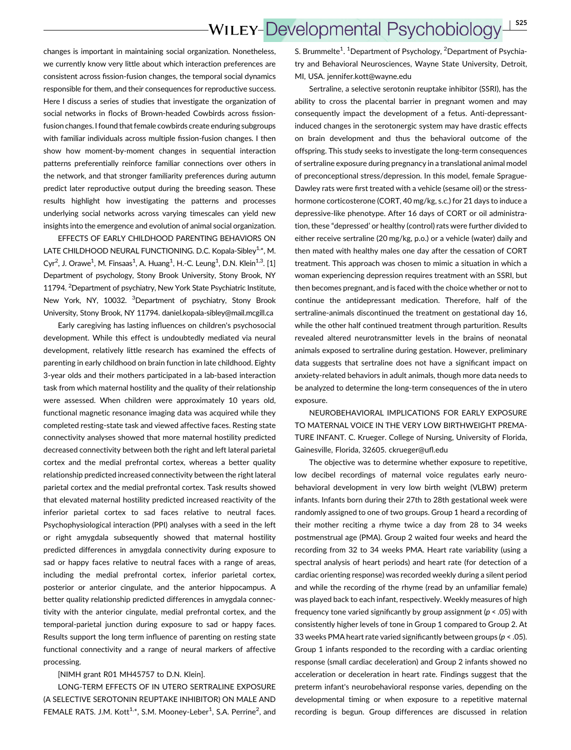changes is important in maintaining social organization. Nonetheless, we currently know very little about which interaction preferences are consistent across fission-fusion changes, the temporal social dynamics responsible for them, and their consequences for reproductive success. Here I discuss a series of studies that investigate the organization of social networks in flocks of Brown-headed Cowbirds across fissionfusion changes. I found that female cowbirds create enduring subgroups with familiar individuals across multiple fission-fusion changes. I then show how moment-by-moment changes in sequential interaction patterns preferentially reinforce familiar connections over others in the network, and that stronger familiarity preferences during autumn predict later reproductive output during the breeding season. These results highlight how investigating the patterns and processes underlying social networks across varying timescales can yield new insights into the emergence and evolution of animal social organization.

EFFECTS OF EARLY CHILDHOOD PARENTING BEHAVIORS ON LATE CHILDHOOD NEURAL FUNCTIONING. D.C. Kopala-Sibley<sup>1,\*</sup>, M. Cyr<sup>2</sup>, J. Orawe<sup>1</sup>, M. Finsaas<sup>1</sup>, A. Huang<sup>1</sup>, H.-C. Leung<sup>1</sup>, D.N. Klein<sup>1,3</sup>. [1] Department of psychology, Stony Brook University, Stony Brook, NY 11794. <sup>2</sup>Department of psychiatry, New York State Psychiatric Institute, New York, NY, 10032. <sup>3</sup>Department of psychiatry, Stony Brook University, Stony Brook, NY 11794. daniel.kopala-sibley@mail.mcgill.ca

Early caregiving has lasting influences on children's psychosocial development. While this effect is undoubtedly mediated via neural development, relatively little research has examined the effects of parenting in early childhood on brain function in late childhood. Eighty 3-year olds and their mothers participated in a lab-based interaction task from which maternal hostility and the quality of their relationship were assessed. When children were approximately 10 years old, functional magnetic resonance imaging data was acquired while they completed resting-state task and viewed affective faces. Resting state connectivity analyses showed that more maternal hostility predicted decreased connectivity between both the right and left lateral parietal cortex and the medial prefrontal cortex, whereas a better quality relationship predicted increased connectivity between the right lateral parietal cortex and the medial prefrontal cortex. Task results showed that elevated maternal hostility predicted increased reactivity of the inferior parietal cortex to sad faces relative to neutral faces. Psychophysiological interaction (PPI) analyses with a seed in the left or right amygdala subsequently showed that maternal hostility predicted differences in amygdala connectivity during exposure to sad or happy faces relative to neutral faces with a range of areas, including the medial prefrontal cortex, inferior parietal cortex, posterior or anterior cingulate, and the anterior hippocampus. A better quality relationship predicted differences in amygdala connectivity with the anterior cingulate, medial prefrontal cortex, and the temporal-parietal junction during exposure to sad or happy faces. Results support the long term influence of parenting on resting state functional connectivity and a range of neural markers of affective processing.

#### [NIMH grant R01 MH45757 to D.N. Klein].

LONG-TERM EFFECTS OF IN UTERO SERTRALINE EXPOSURE (A SELECTIVE SEROTONIN REUPTAKE INHIBITOR) ON MALE AND FEMALE RATS. J.M. Kott<sup>1,\*</sup>, S.M. Mooney-Leber<sup>1</sup>, S.A. Perrine<sup>2</sup>, and

S. Brummelte<sup>1</sup>. <sup>1</sup>Department of Psychology, <sup>2</sup>Department of Psychiatry and Behavioral Neurosciences, Wayne State University, Detroit, MI, USA. jennifer.kott@wayne.edu

Sertraline, a selective serotonin reuptake inhibitor (SSRI), has the ability to cross the placental barrier in pregnant women and may consequently impact the development of a fetus. Anti-depressantinduced changes in the serotonergic system may have drastic effects on brain development and thus the behavioral outcome of the offspring. This study seeks to investigate the long-term consequences of sertraline exposure during pregnancy in a translational animal model of preconceptional stress/depression. In this model, female Sprague-Dawley rats were first treated with a vehicle (sesame oil) or the stresshormone corticosterone (CORT, 40 mg/kg, s.c.) for 21 days to induce a depressive-like phenotype. After 16 days of CORT or oil administration, these "depressed' or healthy (control) rats were further divided to either receive sertraline (20 mg/kg, p.o.) or a vehicle (water) daily and then mated with healthy males one day after the cessation of CORT treatment. This approach was chosen to mimic a situation in which a woman experiencing depression requires treatment with an SSRI, but then becomes pregnant, and is faced with the choice whether or not to continue the antidepressant medication. Therefore, half of the sertraline-animals discontinued the treatment on gestational day 16, while the other half continued treatment through parturition. Results revealed altered neurotransmitter levels in the brains of neonatal animals exposed to sertraline during gestation. However, preliminary data suggests that sertraline does not have a significant impact on anxiety-related behaviors in adult animals, though more data needs to be analyzed to determine the long-term consequences of the in utero exposure.

NEUROBEHAVIORAL IMPLICATIONS FOR EARLY EXPOSURE TO MATERNAL VOICE IN THE VERY LOW BIRTHWEIGHT PREMA-TURE INFANT. C. Krueger. College of Nursing, University of Florida, Gainesville, Florida, 32605. ckrueger@ufl.edu

The objective was to determine whether exposure to repetitive, low decibel recordings of maternal voice regulates early neurobehavioral development in very low birth weight (VLBW) preterm infants. Infants born during their 27th to 28th gestational week were randomly assigned to one of two groups. Group 1 heard a recording of their mother reciting a rhyme twice a day from 28 to 34 weeks postmenstrual age (PMA). Group 2 waited four weeks and heard the recording from 32 to 34 weeks PMA. Heart rate variability (using a spectral analysis of heart periods) and heart rate (for detection of a cardiac orienting response) was recorded weekly during a silent period and while the recording of the rhyme (read by an unfamiliar female) was played back to each infant, respectively. Weekly measures of high frequency tone varied significantly by group assignment ( $p < .05$ ) with consistently higher levels of tone in Group 1 compared to Group 2. At 33 weeks PMA heart rate varied significantly between groups ( $p < .05$ ). Group 1 infants responded to the recording with a cardiac orienting response (small cardiac deceleration) and Group 2 infants showed no acceleration or deceleration in heart rate. Findings suggest that the preterm infant's neurobehavioral response varies, depending on the developmental timing or when exposure to a repetitive maternal recording is begun. Group differences are discussed in relation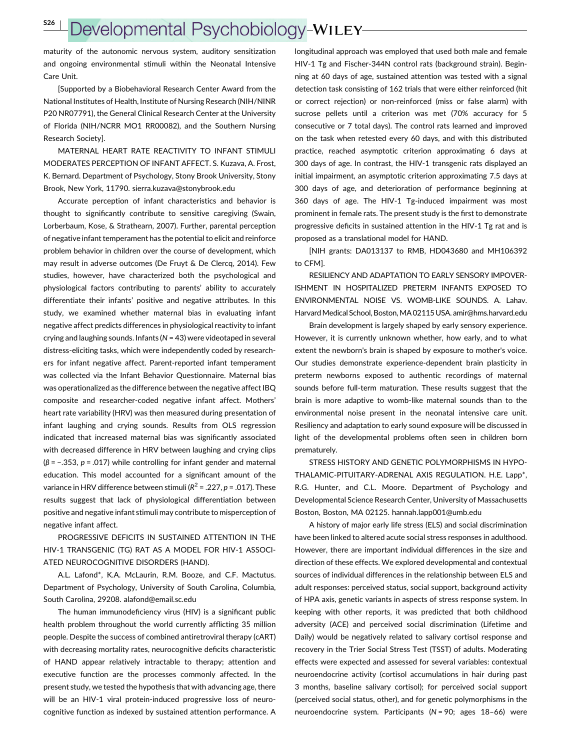# Developmental Psychobiology-WILEY

maturity of the autonomic nervous system, auditory sensitization and ongoing environmental stimuli within the Neonatal Intensive Care Unit.

[Supported by a Biobehavioral Research Center Award from the National Institutes of Health, Institute of Nursing Research (NIH/NINR P20 NR07791), the General Clinical Research Center at the University of Florida (NIH/NCRR MO1 RR00082), and the Southern Nursing Research Society].

MATERNAL HEART RATE REACTIVITY TO INFANT STIMULI MODERATES PERCEPTION OF INFANT AFFECT. S. Kuzava, A. Frost, K. Bernard. Department of Psychology, Stony Brook University, Stony Brook, New York, 11790. sierra.kuzava@stonybrook.edu

Accurate perception of infant characteristics and behavior is thought to significantly contribute to sensitive caregiving (Swain, Lorberbaum, Kose, & Strathearn, 2007). Further, parental perception of negative infant temperament has the potential to elicit and reinforce problem behavior in children over the course of development, which may result in adverse outcomes (De Fruyt & De Clercq, 2014). Few studies, however, have characterized both the psychological and physiological factors contributing to parents' ability to accurately differentiate their infants' positive and negative attributes. In this study, we examined whether maternal bias in evaluating infant negative affect predicts differences in physiological reactivity to infant crying and laughing sounds. Infants ( $N = 43$ ) were videotaped in several distress-eliciting tasks, which were independently coded by researchers for infant negative affect. Parent-reported infant temperament was collected via the Infant Behavior Questionnaire. Maternal bias was operationalized as the difference between the negative affect IBQ composite and researcher-coded negative infant affect. Mothers' heart rate variability (HRV) was then measured during presentation of infant laughing and crying sounds. Results from OLS regression indicated that increased maternal bias was significantly associated with decreased difference in HRV between laughing and crying clips  $(\beta = -.353, p = .017)$  while controlling for infant gender and maternal education. This model accounted for a significant amount of the variance in HRV difference between stimuli ( $R^2$  = .227,  $p$  = .017). These results suggest that lack of physiological differentiation between positive and negative infant stimuli may contribute to misperception of negative infant affect.

PROGRESSIVE DEFICITS IN SUSTAINED ATTENTION IN THE HIV-1 TRANSGENIC (TG) RAT AS A MODEL FOR HIV-1 ASSOCI-ATED NEUROCOGNITIVE DISORDERS (HAND).

A.L. Lafond\*, K.A. McLaurin, R.M. Booze, and C.F. Mactutus. Department of Psychology, University of South Carolina, Columbia, South Carolina, 29208. alafond@email.sc.edu

The human immunodeficiency virus (HIV) is a significant public health problem throughout the world currently afflicting 35 million people. Despite the success of combined antiretroviral therapy (cART) with decreasing mortality rates, neurocognitive deficits characteristic of HAND appear relatively intractable to therapy; attention and executive function are the processes commonly affected. In the present study, we tested the hypothesis that with advancing age, there will be an HIV-1 viral protein-induced progressive loss of neurocognitive function as indexed by sustained attention performance. A longitudinal approach was employed that used both male and female HIV-1 Tg and Fischer-344N control rats (background strain). Beginning at 60 days of age, sustained attention was tested with a signal detection task consisting of 162 trials that were either reinforced (hit or correct rejection) or non-reinforced (miss or false alarm) with sucrose pellets until a criterion was met (70% accuracy for 5 consecutive or 7 total days). The control rats learned and improved on the task when retested every 60 days, and with this distributed practice, reached asymptotic criterion approximating 6 days at 300 days of age. In contrast, the HIV-1 transgenic rats displayed an initial impairment, an asymptotic criterion approximating 7.5 days at 300 days of age, and deterioration of performance beginning at 360 days of age. The HIV-1 Tg-induced impairment was most prominent in female rats. The present study is the first to demonstrate progressive deficits in sustained attention in the HIV-1 Tg rat and is proposed as a translational model for HAND.

[NIH grants: DA013137 to RMB, HD043680 and MH106392 to CFM].

RESILIENCY AND ADAPTATION TO EARLY SENSORY IMPOVER-ISHMENT IN HOSPITALIZED PRETERM INFANTS EXPOSED TO ENVIRONMENTAL NOISE VS. WOMB-LIKE SOUNDS. A. Lahav. Harvard Medical School, Boston, MA02115 USA. amir@hms.harvard.edu

Brain development is largely shaped by early sensory experience. However, it is currently unknown whether, how early, and to what extent the newborn's brain is shaped by exposure to mother's voice. Our studies demonstrate experience-dependent brain plasticity in preterm newborns exposed to authentic recordings of maternal sounds before full-term maturation. These results suggest that the brain is more adaptive to womb-like maternal sounds than to the environmental noise present in the neonatal intensive care unit. Resiliency and adaptation to early sound exposure will be discussed in light of the developmental problems often seen in children born prematurely.

STRESS HISTORY AND GENETIC POLYMORPHISMS IN HYPO-THALAMIC-PITUITARY-ADRENAL AXIS REGULATION. H.E. Lapp\*, R.G. Hunter, and C.L. Moore. Department of Psychology and Developmental Science Research Center, University of Massachusetts Boston, Boston, MA 02125. hannah.lapp001@umb.edu

A history of major early life stress (ELS) and social discrimination have been linked to altered acute social stress responses in adulthood. However, there are important individual differences in the size and direction of these effects. We explored developmental and contextual sources of individual differences in the relationship between ELS and adult responses: perceived status, social support, background activity of HPA axis, genetic variants in aspects of stress response system. In keeping with other reports, it was predicted that both childhood adversity (ACE) and perceived social discrimination (Lifetime and Daily) would be negatively related to salivary cortisol response and recovery in the Trier Social Stress Test (TSST) of adults. Moderating effects were expected and assessed for several variables: contextual neuroendocrine activity (cortisol accumulations in hair during past 3 months, baseline salivary cortisol); for perceived social support (perceived social status, other), and for genetic polymorphisms in the neuroendocrine system. Participants (N = 90; ages 18–66) were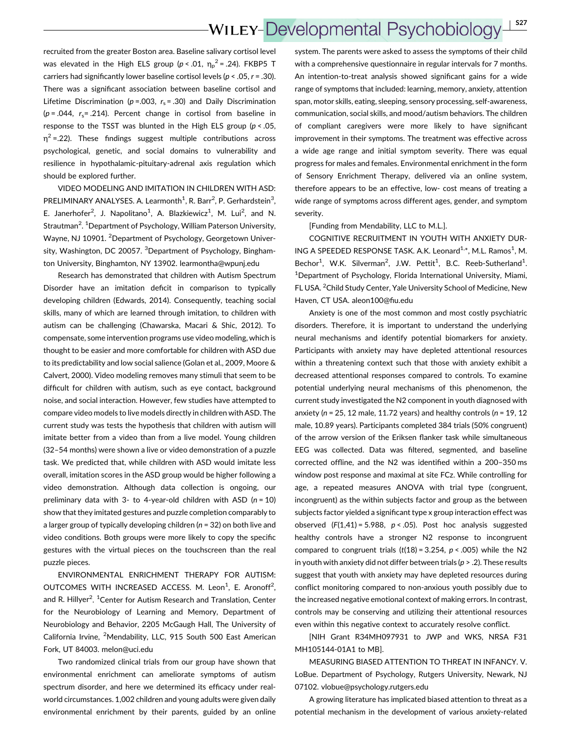recruited from the greater Boston area. Baseline salivary cortisol level was elevated in the High ELS group ( $p < .01$ ,  $\eta_p^2 = .24$ ). FKBP5 T carriers had significantly lower baseline cortisol levels ( $p < .05$ ,  $r = .30$ ). There was a significant association between baseline cortisol and Lifetime Discrimination ( $p = .003$ ,  $r_s = .30$ ) and Daily Discrimination ( $p = .044$ ,  $r_s = .214$ ). Percent change in cortisol from baseline in response to the TSST was blunted in the High ELS group ( $p < .05$ ,  $\eta^2$  =.22). These findings suggest multiple contributions across psychological, genetic, and social domains to vulnerability and resilience in hypothalamic-pituitary-adrenal axis regulation which should be explored further.

VIDEO MODELING AND IMITATION IN CHILDREN WITH ASD: PRELIMINARY ANALYSES. A. Learmonth<sup>1</sup>, R. Barr<sup>2</sup>, P. Gerhardstein<sup>3</sup>, E. Janerhofer<sup>2</sup>, J. Napolitano<sup>1</sup>, A. Blazkiewicz<sup>1</sup>, M. Lui<sup>2</sup>, and N. Strautman<sup>2</sup>. <sup>1</sup>Department of Psychology, William Paterson University, Wayne, NJ 10901. <sup>2</sup>Department of Psychology, Georgetown University, Washington, DC 20057. <sup>3</sup>Department of Psychology, Binghamton University, Binghamton, NY 13902. learmontha@wpunj.edu

Research has demonstrated that children with Autism Spectrum Disorder have an imitation deficit in comparison to typically developing children (Edwards, 2014). Consequently, teaching social skills, many of which are learned through imitation, to children with autism can be challenging (Chawarska, Macari & Shic, 2012). To compensate, some intervention programs use video modeling, which is thought to be easier and more comfortable for children with ASD due to its predictability and low social salience (Golan et al., 2009, Moore & Calvert, 2000). Video modeling removes many stimuli that seem to be difficult for children with autism, such as eye contact, background noise, and social interaction. However, few studies have attempted to compare video models to live models directly in children with ASD. The current study was tests the hypothesis that children with autism will imitate better from a video than from a live model. Young children (32–54 months) were shown a live or video demonstration of a puzzle task. We predicted that, while children with ASD would imitate less overall, imitation scores in the ASD group would be higher following a video demonstration. Although data collection is ongoing, our preliminary data with 3- to 4-year-old children with ASD  $(n = 10)$ show that they imitated gestures and puzzle completion comparably to a larger group of typically developing children ( $n = 32$ ) on both live and video conditions. Both groups were more likely to copy the specific gestures with the virtual pieces on the touchscreen than the real puzzle pieces.

ENVIRONMENTAL ENRICHMENT THERAPY FOR AUTISM: OUTCOMES WITH INCREASED ACCESS. M. Leon<sup>1</sup>, E. Aronoff<sup>2</sup>, and R. Hillyer<sup>2</sup>. <sup>1</sup>Center for Autism Research and Translation, Center for the Neurobiology of Learning and Memory, Department of Neurobiology and Behavior, 2205 McGaugh Hall, The University of California Irvine, <sup>2</sup>Mendability, LLC, 915 South 500 East American Fork, UT 84003. melon@uci.edu

Two randomized clinical trials from our group have shown that environmental enrichment can ameliorate symptoms of autism spectrum disorder, and here we determined its efficacy under realworld circumstances. 1,002 children and young adults were given daily environmental enrichment by their parents, guided by an online

system. The parents were asked to assess the symptoms of their child with a comprehensive questionnaire in regular intervals for 7 months. An intention-to-treat analysis showed significant gains for a wide range of symptoms that included: learning, memory, anxiety, attention span, motor skills, eating, sleeping, sensory processing, self-awareness, communication, social skills, and mood/autism behaviors. The children of compliant caregivers were more likely to have significant improvement in their symptoms. The treatment was effective across a wide age range and initial symptom severity. There was equal progress for males and females. Environmental enrichment in the form of Sensory Enrichment Therapy, delivered via an online system, therefore appears to be an effective, low- cost means of treating a wide range of symptoms across different ages, gender, and symptom severity.

[Funding from Mendability, LLC to M.L.].

COGNITIVE RECRUITMENT IN YOUTH WITH ANXIETY DUR-ING A SPEEDED RESPONSE TASK. A.K. Leonard<sup>1,\*</sup>, M.L. Ramos<sup>1</sup>, M. Bechor<sup>1</sup>, W.K. Silverman<sup>2</sup>, J.W. Pettit<sup>1</sup>, B.C. Reeb-Sutherland<sup>1</sup>. <sup>1</sup>Department of Psychology, Florida International University, Miami, FL USA. <sup>2</sup> Child Study Center, Yale University School of Medicine, New Haven, CT USA. aleon100@fiu.edu

Anxiety is one of the most common and most costly psychiatric disorders. Therefore, it is important to understand the underlying neural mechanisms and identify potential biomarkers for anxiety. Participants with anxiety may have depleted attentional resources within a threatening context such that those with anxiety exhibit a decreased attentional responses compared to controls. To examine potential underlying neural mechanisms of this phenomenon, the current study investigated the N2 component in youth diagnosed with anxiety ( $n = 25$ , 12 male, 11.72 years) and healthy controls ( $n = 19$ , 12 male, 10.89 years). Participants completed 384 trials (50% congruent) of the arrow version of the Eriksen flanker task while simultaneous EEG was collected. Data was filtered, segmented, and baseline corrected offline, and the N2 was identified within a 200–350 ms window post response and maximal at site FCz. While controlling for age, a repeated measures ANOVA with trial type (congruent, incongruent) as the within subjects factor and group as the between subjects factor yielded a significant type x group interaction effect was observed  $(F(1,41) = 5.988, p < .05)$ . Post hoc analysis suggested healthy controls have a stronger N2 response to incongruent compared to congruent trials  $(t(18) = 3.254, p < .005)$  while the N2 in youth with anxiety did not differ between trials ( $p > 0.2$ ). These results suggest that youth with anxiety may have depleted resources during conflict monitoring compared to non-anxious youth possibly due to the increased negative emotional context of making errors. In contrast, controls may be conserving and utilizing their attentional resources even within this negative context to accurately resolve conflict.

[NIH Grant R34MH097931 to JWP and WKS, NRSA F31 MH105144-01A1 to MB].

MEASURING BIASED ATTENTION TO THREAT IN INFANCY. V. LoBue. Department of Psychology, Rutgers University, Newark, NJ 07102. vlobue@psychology.rutgers.edu

A growing literature has implicated biased attention to threat as a potential mechanism in the development of various anxiety-related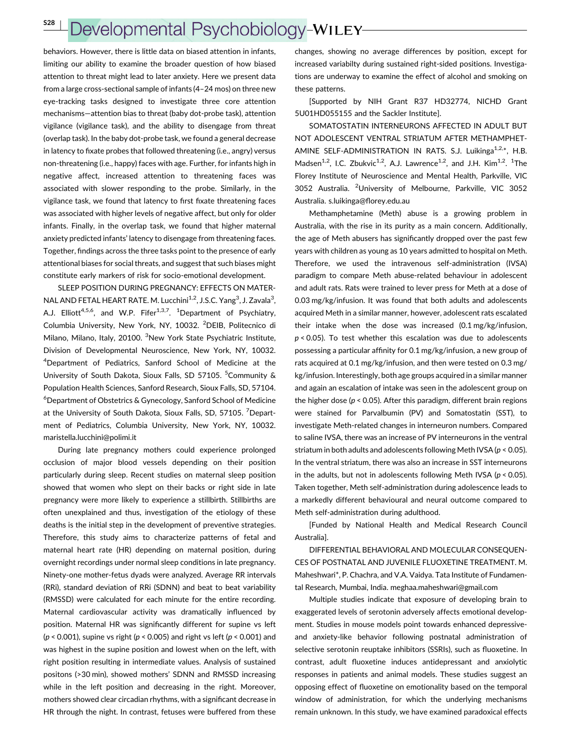## Developmental Psychobiology-WILEY

behaviors. However, there is little data on biased attention in infants, limiting our ability to examine the broader question of how biased attention to threat might lead to later anxiety. Here we present data from a large cross-sectional sample of infants (4–24 mos) on three new eye-tracking tasks designed to investigate three core attention mechanisms—attention bias to threat (baby dot-probe task), attention vigilance (vigilance task), and the ability to disengage from threat (overlap task). In the baby dot-probe task, we found a general decrease in latency to fixate probes that followed threatening (i.e., angry) versus non-threatening (i.e., happy) faces with age. Further, for infants high in negative affect, increased attention to threatening faces was associated with slower responding to the probe. Similarly, in the vigilance task, we found that latency to first fixate threatening faces was associated with higher levels of negative affect, but only for older infants. Finally, in the overlap task, we found that higher maternal anxiety predicted infants' latency to disengage from threatening faces. Together, findings across the three tasks point to the presence of early attentional biases for social threats, and suggest that such biases might constitute early markers of risk for socio-emotional development.

SLEEP POSITION DURING PREGNANCY: EFFECTS ON MATER-NAL AND FETAL HEART RATE. M. Lucchini<sup>1,2</sup>, J.S.C. Yang<sup>3</sup>, J. Zavala<sup>3</sup>, A.J. Elliott<sup>4,5,6</sup>, and W.P. Fifer<sup>1,3,7</sup>. <sup>1</sup>Department of Psychiatry, Columbia University, New York, NY, 10032. <sup>2</sup>DEIB, Politecnico di Milano, Milano, Italy, 20100. <sup>3</sup>New York State Psychiatric Institute, Division of Developmental Neuroscience, New York, NY, 10032. <sup>4</sup>Department of Pediatrics, Sanford School of Medicine at the University of South Dakota, Sioux Falls, SD 57105. <sup>5</sup>Community & Population Health Sciences, Sanford Research, Sioux Falls, SD, 57104. 6 Department of Obstetrics & Gynecology, Sanford School of Medicine at the University of South Dakota, Sioux Falls, SD, 57105. <sup>7</sup>Department of Pediatrics, Columbia University, New York, NY, 10032. maristella.lucchini@polimi.it

During late pregnancy mothers could experience prolonged occlusion of major blood vessels depending on their position particularly during sleep. Recent studies on maternal sleep position showed that women who slept on their backs or right side in late pregnancy were more likely to experience a stillbirth. Stillbirths are often unexplained and thus, investigation of the etiology of these deaths is the initial step in the development of preventive strategies. Therefore, this study aims to characterize patterns of fetal and maternal heart rate (HR) depending on maternal position, during overnight recordings under normal sleep conditions in late pregnancy. Ninety-one mother-fetus dyads were analyzed. Average RR intervals (RRi), standard deviation of RRi (SDNN) and beat to beat variability (RMSSD) were calculated for each minute for the entire recording. Maternal cardiovascular activity was dramatically influenced by position. Maternal HR was significantly different for supine vs left ( $p$  < 0.001), supine vs right ( $p$  < 0.005) and right vs left ( $p$  < 0.001) and was highest in the supine position and lowest when on the left, with right position resulting in intermediate values. Analysis of sustained positons (>30 min), showed mothers' SDNN and RMSSD increasing while in the left position and decreasing in the right. Moreover, mothers showed clear circadian rhythms, with a significant decrease in HR through the night. In contrast, fetuses were buffered from these changes, showing no average differences by position, except for increased variabilty during sustained right-sided positions. Investigations are underway to examine the effect of alcohol and smoking on these patterns.

[Supported by NIH Grant R37 HD32774, NICHD Grant 5U01HD055155 and the Sackler Institute].

SOMATOSTATIN INTERNEURONS AFFECTED IN ADULT BUT NOT ADOLESCENT VENTRAL STRIATUM AFTER METHAMPHET-AMINE SELF-ADMINISTRATION IN RATS. S.J. Luikinga<sup>1,2,\*</sup>, H.B. Madsen<sup>1,2</sup>, I.C. Zbukvic<sup>1,2</sup>, A.J. Lawrence<sup>1,2</sup>, and J.H. Kim<sup>1,2</sup>. <sup>1</sup>The Florey Institute of Neuroscience and Mental Health, Parkville, VIC 3052 Australia. <sup>2</sup>University of Melbourne, Parkville, VIC 3052 Australia. s.luikinga@florey.edu.au

Methamphetamine (Meth) abuse is a growing problem in Australia, with the rise in its purity as a main concern. Additionally, the age of Meth abusers has significantly dropped over the past few years with children as young as 10 years admitted to hospital on Meth. Therefore, we used the intravenous self-administration (IVSA) paradigm to compare Meth abuse-related behaviour in adolescent and adult rats. Rats were trained to lever press for Meth at a dose of 0.03 mg/kg/infusion. It was found that both adults and adolescents acquired Meth in a similar manner, however, adolescent rats escalated their intake when the dose was increased (0.1 mg/kg/infusion,  $p < 0.05$ ). To test whether this escalation was due to adolescents possessing a particular affinity for 0.1 mg/kg/infusion, a new group of rats acquired at 0.1 mg/kg/infusion, and then were tested on 0.3 mg/ kg/infusion. Interestingly, both age groups acquired in a similar manner and again an escalation of intake was seen in the adolescent group on the higher dose ( $p < 0.05$ ). After this paradigm, different brain regions were stained for Parvalbumin (PV) and Somatostatin (SST), to investigate Meth-related changes in interneuron numbers. Compared to saline IVSA, there was an increase of PV interneurons in the ventral striatum in both adults and adolescents following Meth IVSA ( $p < 0.05$ ). In the ventral striatum, there was also an increase in SST interneurons in the adults, but not in adolescents following Meth IVSA ( $p < 0.05$ ). Taken together, Meth self-administration during adolescence leads to a markedly different behavioural and neural outcome compared to Meth self-administration during adulthood.

[Funded by National Health and Medical Research Council Australia].

DIFFERENTIAL BEHAVIORAL AND MOLECULAR CONSEQUEN-CES OF POSTNATAL AND JUVENILE FLUOXETINE TREATMENT. M. Maheshwari\*, P. Chachra, and V.A. Vaidya. Tata Institute of Fundamental Research, Mumbai, India. meghaa.maheshwari@gmail.com

Multiple studies indicate that exposure of developing brain to exaggerated levels of serotonin adversely affects emotional development. Studies in mouse models point towards enhanced depressiveand anxiety-like behavior following postnatal administration of selective serotonin reuptake inhibitors (SSRIs), such as fluoxetine. In contrast, adult fluoxetine induces antidepressant and anxiolytic responses in patients and animal models. These studies suggest an opposing effect of fluoxetine on emotionality based on the temporal window of administration, for which the underlying mechanisms remain unknown. In this study, we have examined paradoxical effects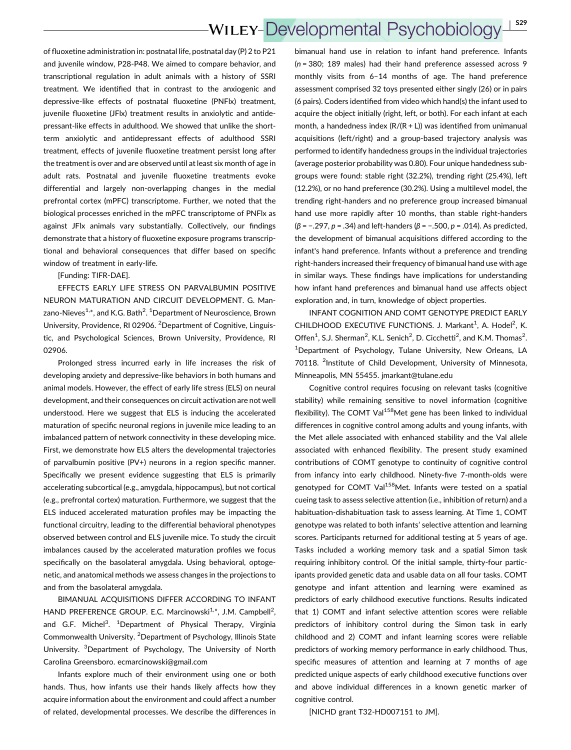of fluoxetine administration in: postnatal life, postnatal day (P) 2 to P21 and juvenile window, P28-P48. We aimed to compare behavior, and transcriptional regulation in adult animals with a history of SSRI treatment. We identified that in contrast to the anxiogenic and depressive-like effects of postnatal fluoxetine (PNFlx) treatment, juvenile fluoxetine (JFlx) treatment results in anxiolytic and antidepressant-like effects in adulthood. We showed that unlike the shortterm anxiolytic and antidepressant effects of adulthood SSRI treatment, effects of juvenile fluoxetine treatment persist long after the treatment is over and are observed until at least six month of age in adult rats. Postnatal and juvenile fluoxetine treatments evoke differential and largely non-overlapping changes in the medial prefrontal cortex (mPFC) transcriptome. Further, we noted that the biological processes enriched in the mPFC transcriptome of PNFlx as against JFlx animals vary substantially. Collectively, our findings demonstrate that a history of fluoxetine exposure programs transcriptional and behavioral consequences that differ based on specific window of treatment in early-life.

[Funding: TIFR-DAE].

EFFECTS EARLY LIFE STRESS ON PARVALBUMIN POSITIVE NEURON MATURATION AND CIRCUIT DEVELOPMENT. G. Manzano-Nieves<sup>1,</sup>\*, and K.G. Bath<sup>2</sup>. <sup>1</sup>Department of Neuroscience, Brown University, Providence, RI 02906. <sup>2</sup> Department of Cognitive, Linguistic, and Psychological Sciences, Brown University, Providence, RI 02906.

Prolonged stress incurred early in life increases the risk of developing anxiety and depressive-like behaviors in both humans and animal models. However, the effect of early life stress (ELS) on neural development, and their consequences on circuit activation are not well understood. Here we suggest that ELS is inducing the accelerated maturation of specific neuronal regions in juvenile mice leading to an imbalanced pattern of network connectivity in these developing mice. First, we demonstrate how ELS alters the developmental trajectories of parvalbumin positive (PV+) neurons in a region specific manner. Specifically we present evidence suggesting that ELS is primarily accelerating subcortical (e.g., amygdala, hippocampus), but not cortical (e.g., prefrontal cortex) maturation. Furthermore, we suggest that the ELS induced accelerated maturation profiles may be impacting the functional circuitry, leading to the differential behavioral phenotypes observed between control and ELS juvenile mice. To study the circuit imbalances caused by the accelerated maturation profiles we focus specifically on the basolateral amygdala. Using behavioral, optogenetic, and anatomical methods we assess changes in the projections to and from the basolateral amygdala.

BIMANUAL ACQUISITIONS DIFFER ACCORDING TO INFANT HAND PREFERENCE GROUP. E.C. Marcinowski<sup>1,\*</sup>, J.M. Campbell<sup>2</sup>, and G.F. Michel<sup>3</sup>. <sup>1</sup>Department of Physical Therapy, Virginia Commonwealth University. <sup>2</sup>Department of Psychology, Illinois State University. <sup>3</sup>Department of Psychology, The University of North Carolina Greensboro. ecmarcinowski@gmail.com

Infants explore much of their environment using one or both hands. Thus, how infants use their hands likely affects how they acquire information about the environment and could affect a number of related, developmental processes. We describe the differences in

bimanual hand use in relation to infant hand preference. Infants (n = 380; 189 males) had their hand preference assessed across 9 monthly visits from 6–14 months of age. The hand preference assessment comprised 32 toys presented either singly (26) or in pairs (6 pairs). Coders identified from video which hand(s) the infant used to acquire the object initially (right, left, or both). For each infant at each month, a handedness index  $(R/(R + L))$  was identified from unimanual acquisitions (left/right) and a group-based trajectory analysis was performed to identify handedness groups in the individual trajectories (average posterior probability was 0.80). Four unique handedness subgroups were found: stable right (32.2%), trending right (25.4%), left (12.2%), or no hand preference (30.2%). Using a multilevel model, the trending right-handers and no preference group increased bimanual hand use more rapidly after 10 months, than stable right-handers ( $\beta$  = −.297,  $p$  = .34) and left-handers ( $\beta$  = −.500,  $p$  = .014). As predicted, the development of bimanual acquisitions differed according to the infant's hand preference. Infants without a preference and trending right-handers increased their frequency of bimanual hand use with age in similar ways. These findings have implications for understanding how infant hand preferences and bimanual hand use affects object exploration and, in turn, knowledge of object properties.

INFANT COGNITION AND COMT GENOTYPE PREDICT EARLY CHILDHOOD EXECUTIVE FUNCTIONS. J. Markant<sup>1</sup>, A. Hodel<sup>2</sup>, K. Offen<sup>1</sup>, S.J. Sherman<sup>2</sup>, K.L. Senich<sup>2</sup>, D. Cicchetti<sup>2</sup>, and K.M. Thomas<sup>2</sup>. <sup>1</sup>Department of Psychology, Tulane University, New Orleans, LA 70118. <sup>2</sup>Institute of Child Development, University of Minnesota, Minneapolis, MN 55455. jmarkant@tulane.edu

Cognitive control requires focusing on relevant tasks (cognitive stability) while remaining sensitive to novel information (cognitive flexibility). The COMT Val<sup>158</sup>Met gene has been linked to individual differences in cognitive control among adults and young infants, with the Met allele associated with enhanced stability and the Val allele associated with enhanced flexibility. The present study examined contributions of COMT genotype to continuity of cognitive control from infancy into early childhood. Ninety-five 7-month-olds were genotyped for COMT Val<sup>158</sup>Met. Infants were tested on a spatial cueing task to assess selective attention (i.e., inhibition of return) and a habituation-dishabituation task to assess learning. At Time 1, COMT genotype was related to both infants' selective attention and learning scores. Participants returned for additional testing at 5 years of age. Tasks included a working memory task and a spatial Simon task requiring inhibitory control. Of the initial sample, thirty-four participants provided genetic data and usable data on all four tasks. COMT genotype and infant attention and learning were examined as predictors of early childhood executive functions. Results indicated that 1) COMT and infant selective attention scores were reliable predictors of inhibitory control during the Simon task in early childhood and 2) COMT and infant learning scores were reliable predictors of working memory performance in early childhood. Thus, specific measures of attention and learning at 7 months of age predicted unique aspects of early childhood executive functions over and above individual differences in a known genetic marker of cognitive control.

[NICHD grant T32-HD007151 to JM].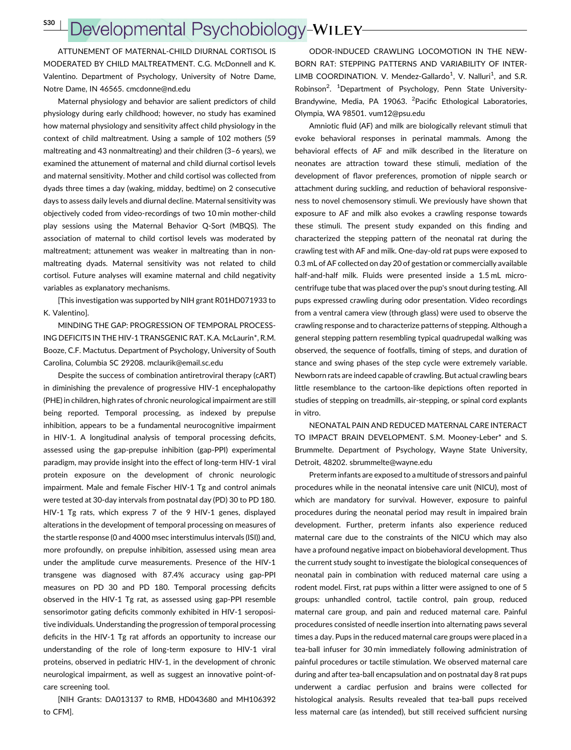S30 <sup>|</sup>

## Developmental Psychobiology-WILEY-

ATTUNEMENT OF MATERNAL-CHILD DIURNAL CORTISOL IS MODERATED BY CHILD MALTREATMENT. C.G. McDonnell and K. Valentino. Department of Psychology, University of Notre Dame, Notre Dame, IN 46565. cmcdonne@nd.edu

Maternal physiology and behavior are salient predictors of child physiology during early childhood; however, no study has examined how maternal physiology and sensitivity affect child physiology in the context of child maltreatment. Using a sample of 102 mothers (59 maltreating and 43 nonmaltreating) and their children (3–6 years), we examined the attunement of maternal and child diurnal cortisol levels and maternal sensitivity. Mother and child cortisol was collected from dyads three times a day (waking, midday, bedtime) on 2 consecutive days to assess daily levels and diurnal decline. Maternal sensitivity was objectively coded from video-recordings of two 10 min mother-child play sessions using the Maternal Behavior Q-Sort (MBQS). The association of maternal to child cortisol levels was moderated by maltreatment; attunement was weaker in maltreating than in nonmaltreating dyads. Maternal sensitivity was not related to child cortisol. Future analyses will examine maternal and child negativity variables as explanatory mechanisms.

[This investigation was supported by NIH grant R01HD071933 to K. Valentino].

MINDING THE GAP: PROGRESSION OF TEMPORAL PROCESS-ING DEFICITS IN THE HIV-1 TRANSGENIC RAT. K.A. McLaurin\*, R.M. Booze, C.F. Mactutus. Department of Psychology, University of South Carolina, Columbia SC 29208. mclaurik@email.sc.edu

Despite the success of combination antiretroviral therapy (cART) in diminishing the prevalence of progressive HIV-1 encephalopathy (PHE) in children, high rates of chronic neurological impairment are still being reported. Temporal processing, as indexed by prepulse inhibition, appears to be a fundamental neurocognitive impairment in HIV-1. A longitudinal analysis of temporal processing deficits, assessed using the gap-prepulse inhibition (gap-PPI) experimental paradigm, may provide insight into the effect of long-term HIV-1 viral protein exposure on the development of chronic neurologic impairment. Male and female Fischer HIV-1 Tg and control animals were tested at 30-day intervals from postnatal day (PD) 30 to PD 180. HIV-1 Tg rats, which express 7 of the 9 HIV-1 genes, displayed alterations in the development of temporal processing on measures of the startle response (0 and 4000 msec interstimulus intervals (ISI)) and, more profoundly, on prepulse inhibition, assessed using mean area under the amplitude curve measurements. Presence of the HIV-1 transgene was diagnosed with 87.4% accuracy using gap-PPI measures on PD 30 and PD 180. Temporal processing deficits observed in the HIV-1 Tg rat, as assessed using gap-PPI resemble sensorimotor gating deficits commonly exhibited in HIV-1 seropositive individuals. Understanding the progression of temporal processing deficits in the HIV-1 Tg rat affords an opportunity to increase our understanding of the role of long-term exposure to HIV-1 viral proteins, observed in pediatric HIV-1, in the development of chronic neurological impairment, as well as suggest an innovative point-ofcare screening tool.

[NIH Grants: DA013137 to RMB, HD043680 and MH106392 to CFM].

ODOR-INDUCED CRAWLING LOCOMOTION IN THE NEW-BORN RAT: STEPPING PATTERNS AND VARIABILITY OF INTER-LIMB COORDINATION. V. Mendez-Gallardo<sup>1</sup>, V. Nalluri<sup>1</sup>, and S.R. Robinson<sup>2</sup>. <sup>1</sup>Department of Psychology, Penn State University-Brandywine, Media, PA 19063. <sup>2</sup>Pacific Ethological Laboratories, Olympia, WA 98501. vum12@psu.edu

Amniotic fluid (AF) and milk are biologically relevant stimuli that evoke behavioral responses in perinatal mammals. Among the behavioral effects of AF and milk described in the literature on neonates are attraction toward these stimuli, mediation of the development of flavor preferences, promotion of nipple search or attachment during suckling, and reduction of behavioral responsiveness to novel chemosensory stimuli. We previously have shown that exposure to AF and milk also evokes a crawling response towards these stimuli. The present study expanded on this finding and characterized the stepping pattern of the neonatal rat during the crawling test with AF and milk. One-day-old rat pups were exposed to 0.3 mL of AF collected on day 20 of gestation or commercially available half-and-half milk. Fluids were presented inside a 1.5 mL microcentrifuge tube that was placed over the pup's snout during testing. All pups expressed crawling during odor presentation. Video recordings from a ventral camera view (through glass) were used to observe the crawling response and to characterize patterns of stepping. Although a general stepping pattern resembling typical quadrupedal walking was observed, the sequence of footfalls, timing of steps, and duration of stance and swing phases of the step cycle were extremely variable. Newborn rats are indeed capable of crawling. But actual crawling bears little resemblance to the cartoon-like depictions often reported in studies of stepping on treadmills, air-stepping, or spinal cord explants in vitro.

NEONATAL PAIN AND REDUCED MATERNAL CARE INTERACT TO IMPACT BRAIN DEVELOPMENT. S.M. Mooney-Leber\* and S. Brummelte. Department of Psychology, Wayne State University, Detroit, 48202. sbrummelte@wayne.edu

Preterm infants are exposed to a multitude of stressors and painful procedures while in the neonatal intensive care unit (NICU), most of which are mandatory for survival. However, exposure to painful procedures during the neonatal period may result in impaired brain development. Further, preterm infants also experience reduced maternal care due to the constraints of the NICU which may also have a profound negative impact on biobehavioral development. Thus the current study sought to investigate the biological consequences of neonatal pain in combination with reduced maternal care using a rodent model. First, rat pups within a litter were assigned to one of 5 groups: unhandled control, tactile control, pain group, reduced maternal care group, and pain and reduced maternal care. Painful procedures consisted of needle insertion into alternating paws several times a day. Pups in the reduced maternal care groups were placed in a tea-ball infuser for 30 min immediately following administration of painful procedures or tactile stimulation. We observed maternal care during and after tea-ball encapsulation and on postnatal day 8 rat pups underwent a cardiac perfusion and brains were collected for histological analysis. Results revealed that tea-ball pups received less maternal care (as intended), but still received sufficient nursing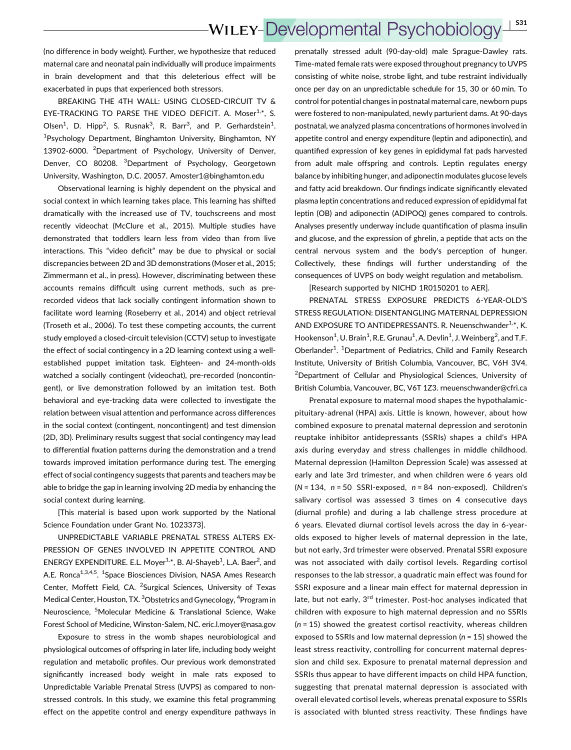## **WILEY-Developmental Psychobiology** <sup>|</sup> S31

(no difference in body weight). Further, we hypothesize that reduced maternal care and neonatal pain individually will produce impairments in brain development and that this deleterious effect will be exacerbated in pups that experienced both stressors.

BREAKING THE 4TH WALL: USING CLOSED-CIRCUIT TV & EYE-TRACKING TO PARSE THE VIDEO DEFICIT. A. Moser<sup>1,\*</sup>, S. Olsen<sup>1</sup>, D. Hipp<sup>2</sup>, S. Rusnak<sup>3</sup>, R. Barr<sup>3</sup>, and P. Gerhardstein<sup>1</sup>. 1 Psychology Department, Binghamton University, Binghamton, NY 13902-6000. <sup>2</sup>Department of Psychology, University of Denver, Denver, CO 80208. <sup>3</sup>Department of Psychology, Georgetown University, Washington, D.C. 20057. Amoster1@binghamton.edu

Observational learning is highly dependent on the physical and social context in which learning takes place. This learning has shifted dramatically with the increased use of TV, touchscreens and most recently videochat (McClure et al., 2015). Multiple studies have demonstrated that toddlers learn less from video than from live interactions. This "video deficit" may be due to physical or social discrepancies between 2D and 3D demonstrations (Moser et al., 2015; Zimmermann et al., in press). However, discriminating between these accounts remains difficult using current methods, such as prerecorded videos that lack socially contingent information shown to facilitate word learning (Roseberry et al., 2014) and object retrieval (Troseth et al., 2006). To test these competing accounts, the current study employed a closed-circuit television (CCTV) setup to investigate the effect of social contingency in a 2D learning context using a wellestablished puppet imitation task. Eighteen- and 24-month-olds watched a socially contingent (videochat), pre-recorded (noncontingent), or live demonstration followed by an imitation test. Both behavioral and eye-tracking data were collected to investigate the relation between visual attention and performance across differences in the social context (contingent, noncontingent) and test dimension (2D, 3D). Preliminary results suggest that social contingency may lead to differential fixation patterns during the demonstration and a trend towards improved imitation performance during test. The emerging effect of social contingency suggests that parents and teachers may be able to bridge the gap in learning involving 2D media by enhancing the social context during learning.

[This material is based upon work supported by the National Science Foundation under Grant No. 1023373].

UNPREDICTABLE VARIABLE PRENATAL STRESS ALTERS EX-PRESSION OF GENES INVOLVED IN APPETITE CONTROL AND ENERGY EXPENDITURE. E.L. Moyer<sup>1,\*</sup>, B. Al-Shayeb<sup>1</sup>, L.A. Baer<sup>2</sup>, and A.E. Ronca<sup>1,3,4,5</sup>. <sup>1</sup>Space Biosciences Division, NASA Ames Research Center, Moffett Field, CA. <sup>2</sup>Surgical Sciences, University of Texas Medical Center, Houston, TX. <sup>3</sup>Obstetrics and Gynecology, <sup>4</sup>Program in Neuroscience, <sup>5</sup>Molecular Medicine & Translational Science, Wake Forest School of Medicine, Winston-Salem, NC. eric.l.moyer@nasa.gov

Exposure to stress in the womb shapes neurobiological and physiological outcomes of offspring in later life, including body weight regulation and metabolic profiles. Our previous work demonstrated significantly increased body weight in male rats exposed to Unpredictable Variable Prenatal Stress (UVPS) as compared to nonstressed controls. In this study, we examine this fetal programming effect on the appetite control and energy expenditure pathways in

prenatally stressed adult (90-day-old) male Sprague-Dawley rats. Time-mated female rats were exposed throughout pregnancy to UVPS consisting of white noise, strobe light, and tube restraint individually once per day on an unpredictable schedule for 15, 30 or 60 min. To control for potential changes in postnatal maternal care, newborn pups were fostered to non-manipulated, newly parturient dams. At 90-days postnatal, we analyzed plasma concentrations of hormones involved in appetite control and energy expenditure (leptin and adiponectin), and quantified expression of key genes in epididymal fat pads harvested from adult male offspring and controls. Leptin regulates energy balance by inhibiting hunger, and adiponectin modulates glucose levels and fatty acid breakdown. Our findings indicate significantly elevated plasma leptin concentrations and reduced expression of epididymal fat leptin (OB) and adiponectin (ADIPOQ) genes compared to controls. Analyses presently underway include quantification of plasma insulin and glucose, and the expression of ghrelin, a peptide that acts on the central nervous system and the body's perception of hunger. Collectively, these findings will further understanding of the consequences of UVPS on body weight regulation and metabolism.

[Research supported by NICHD 1R0150201 to AER].

PRENATAL STRESS EXPOSURE PREDICTS 6-YEAR-OLD'S STRESS REGULATION: DISENTANGLING MATERNAL DEPRESSION AND EXPOSURE TO ANTIDEPRESSANTS. R. Neuenschwander<sup>1,\*</sup>, K. Hookenson<sup>1</sup>, U. Brain<sup>1</sup>, R.E. Grunau<sup>1</sup>, A. Devlin<sup>1</sup>, J. Weinberg<sup>2</sup>, and T.F. Oberlander<sup>1</sup>. <sup>1</sup>Department of Pediatrics, Child and Family Research Institute, University of British Columbia, Vancouver, BC, V6H 3V4. <sup>2</sup>Department of Cellular and Physiological Sciences, University of British Columbia, Vancouver, BC, V6T 1Z3. rneuenschwander@cfri.ca

Prenatal exposure to maternal mood shapes the hypothalamicpituitary-adrenal (HPA) axis. Little is known, however, about how combined exposure to prenatal maternal depression and serotonin reuptake inhibitor antidepressants (SSRIs) shapes a child's HPA axis during everyday and stress challenges in middle childhood. Maternal depression (Hamilton Depression Scale) was assessed at early and late 3rd trimester, and when children were 6 years old  $(N = 134, n = 50$  SSRI-exposed,  $n = 84$  non-exposed). Children's salivary cortisol was assessed 3 times on 4 consecutive days (diurnal profile) and during a lab challenge stress procedure at 6 years. Elevated diurnal cortisol levels across the day in 6-yearolds exposed to higher levels of maternal depression in the late, but not early, 3rd trimester were observed. Prenatal SSRI exposure was not associated with daily cortisol levels. Regarding cortisol responses to the lab stressor, a quadratic main effect was found for SSRI exposure and a linear main effect for maternal depression in late, but not early, 3<sup>rd</sup> trimester. Post-hoc analyses indicated that children with exposure to high maternal depression and no SSRIs  $(n = 15)$  showed the greatest cortisol reactivity, whereas children exposed to SSRIs and low maternal depression ( $n = 15$ ) showed the least stress reactivity, controlling for concurrent maternal depression and child sex. Exposure to prenatal maternal depression and SSRIs thus appear to have different impacts on child HPA function, suggesting that prenatal maternal depression is associated with overall elevated cortisol levels, whereas prenatal exposure to SSRIs is associated with blunted stress reactivity. These findings have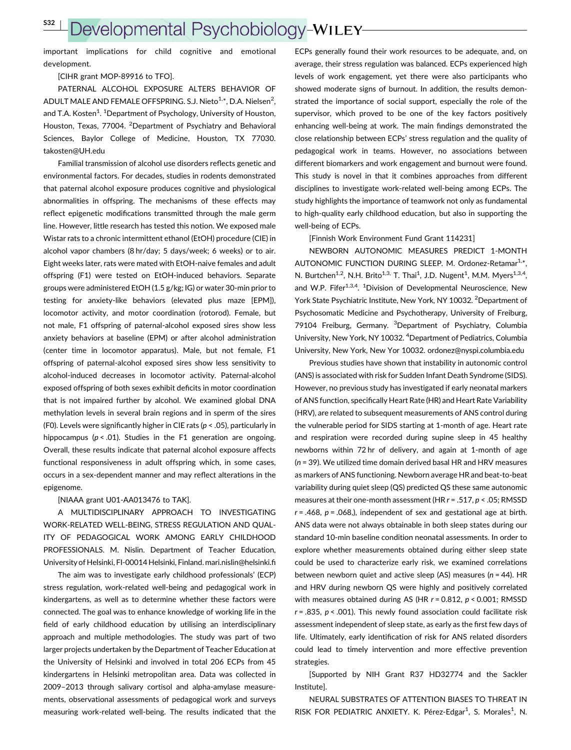S32 <sup>|</sup>

## Developmental Psychobiology-WILEY

important implications for child cognitive and emotional development.

[CIHR grant MOP-89916 to TFO].

PATERNAL ALCOHOL EXPOSURE ALTERS BEHAVIOR OF ADULT MALE AND FEMALE OFFSPRING. S.J. Nieto $^{1,*}$ , D.A. Nielsen $^2$ , and T.A. Kosten<sup>1</sup>. <sup>1</sup>Department of Psychology, University of Houston, Houston, Texas, 77004. <sup>2</sup>Department of Psychiatry and Behavioral Sciences, Baylor College of Medicine, Houston, TX 77030. takosten@UH.edu

Familial transmission of alcohol use disorders reflects genetic and environmental factors. For decades, studies in rodents demonstrated that paternal alcohol exposure produces cognitive and physiological abnormalities in offspring. The mechanisms of these effects may reflect epigenetic modifications transmitted through the male germ line. However, little research has tested this notion. We exposed male Wistar rats to a chronic intermittent ethanol (EtOH) procedure (CIE) in alcohol vapor chambers (8 hr/day; 5 days/week; 6 weeks) or to air. Eight weeks later, rats were mated with EtOH-naive females and adult offspring (F1) were tested on EtOH-induced behaviors. Separate groups were administered EtOH (1.5 g/kg; IG) or water 30-min prior to testing for anxiety-like behaviors (elevated plus maze [EPM]), locomotor activity, and motor coordination (rotorod). Female, but not male, F1 offspring of paternal-alcohol exposed sires show less anxiety behaviors at baseline (EPM) or after alcohol administration (center time in locomotor apparatus). Male, but not female, F1 offspring of paternal-alcohol exposed sires show less sensitivity to alcohol-induced decreases in locomotor activity. Paternal-alcohol exposed offspring of both sexes exhibit deficits in motor coordination that is not impaired further by alcohol. We examined global DNA methylation levels in several brain regions and in sperm of the sires (F0). Levels were significantly higher in CIE rats ( $p < .05$ ), particularly in hippocampus ( $p < .01$ ). Studies in the F1 generation are ongoing. Overall, these results indicate that paternal alcohol exposure affects functional responsiveness in adult offspring which, in some cases, occurs in a sex-dependent manner and may reflect alterations in the epigenome.

#### [NIAAA grant U01-AA013476 to TAK].

A MULTIDISCIPLINARY APPROACH TO INVESTIGATING WORK-RELATED WELL-BEING, STRESS REGULATION AND QUAL-ITY OF PEDAGOGICAL WORK AMONG EARLY CHILDHOOD PROFESSIONALS. M. Nislin. Department of Teacher Education, University of Helsinki, FI-00014 Helsinki, Finland. mari.nislin@helsinki.fi

The aim was to investigate early childhood professionals' (ECP) stress regulation, work-related well-being and pedagogical work in kindergartens, as well as to determine whether these factors were connected. The goal was to enhance knowledge of working life in the field of early childhood education by utilising an interdisciplinary approach and multiple methodologies. The study was part of two larger projects undertaken by the Department of Teacher Education at the University of Helsinki and involved in total 206 ECPs from 45 kindergartens in Helsinki metropolitan area. Data was collected in 2009–2013 through salivary cortisol and alpha-amylase measurements, observational assessments of pedagogical work and surveys measuring work-related well-being. The results indicated that the

ECPs generally found their work resources to be adequate, and, on average, their stress regulation was balanced. ECPs experienced high levels of work engagement, yet there were also participants who showed moderate signs of burnout. In addition, the results demonstrated the importance of social support, especially the role of the supervisor, which proved to be one of the key factors positively enhancing well-being at work. The main findings demonstrated the close relationship between ECPs' stress regulation and the quality of pedagogical work in teams. However, no associations between different biomarkers and work engagement and burnout were found. This study is novel in that it combines approaches from different disciplines to investigate work-related well-being among ECPs. The study highlights the importance of teamwork not only as fundamental to high-quality early childhood education, but also in supporting the well-being of ECPs.

[Finnish Work Environment Fund Grant 114231]

NEWBORN AUTONOMIC MEASURES PREDICT 1-MONTH AUTONOMIC FUNCTION DURING SLEEP. M. Ordonez-Retamar<sup>1,\*</sup>. N. Burtchen<sup>1,2</sup>, N.H. Brito<sup>1,3,</sup> T. Thai<sup>1</sup>, J.D. Nugent<sup>1</sup>, M.M. Myers<sup>1,3,4</sup>, and W.P. Fifer<sup>1,3,4</sup>. <sup>1</sup>Division of Developmental Neuroscience, New York State Psychiatric Institute, New York, NY 10032. <sup>2</sup>Department of Psychosomatic Medicine and Psychotherapy, University of Freiburg, 79104 Freiburg, Germany. <sup>3</sup>Department of Psychiatry, Columbia University, New York, NY 10032. <sup>4</sup>Department of Pediatrics, Columbia University, New York, New Yor 10032. ordonez@nyspi.columbia.edu

Previous studies have shown that instability in autonomic control (ANS) is associated with risk for Sudden Infant Death Syndrome (SIDS). However, no previous study has investigated if early neonatal markers of ANS function, specifically Heart Rate (HR) and Heart Rate Variability (HRV), are related to subsequent measurements of ANS control during the vulnerable period for SIDS starting at 1-month of age. Heart rate and respiration were recorded during supine sleep in 45 healthy newborns within 72 hr of delivery, and again at 1-month of age (n = 39). We utilized time domain derived basal HR and HRV measures as markers of ANS functioning. Newborn average HR and beat-to-beat variability during quiet sleep (QS) predicted QS these same autonomic measures at their one-month assessment (HR  $r = .517$ ,  $p < .05$ ; RMSSD  $r = .468$ ,  $p = .068$ .), independent of sex and gestational age at birth. ANS data were not always obtainable in both sleep states during our standard 10-min baseline condition neonatal assessments. In order to explore whether measurements obtained during either sleep state could be used to characterize early risk, we examined correlations between newborn quiet and active sleep (AS) measures ( $n = 44$ ). HR and HRV during newborn QS were highly and positively correlated with measures obtained during AS (HR  $r = 0.812$ ,  $p < 0.001$ ; RMSSD  $r = .835$ ,  $p < .001$ ). This newly found association could facilitate risk assessment independent of sleep state, as early as the first few days of life. Ultimately, early identification of risk for ANS related disorders could lead to timely intervention and more effective prevention strategies.

[Supported by NIH Grant R37 HD32774 and the Sackler Institute].

NEURAL SUBSTRATES OF ATTENTION BIASES TO THREAT IN RISK FOR PEDIATRIC ANXIETY. K. Pérez-Edgar<sup>1</sup>, S. Morales<sup>1</sup>, N.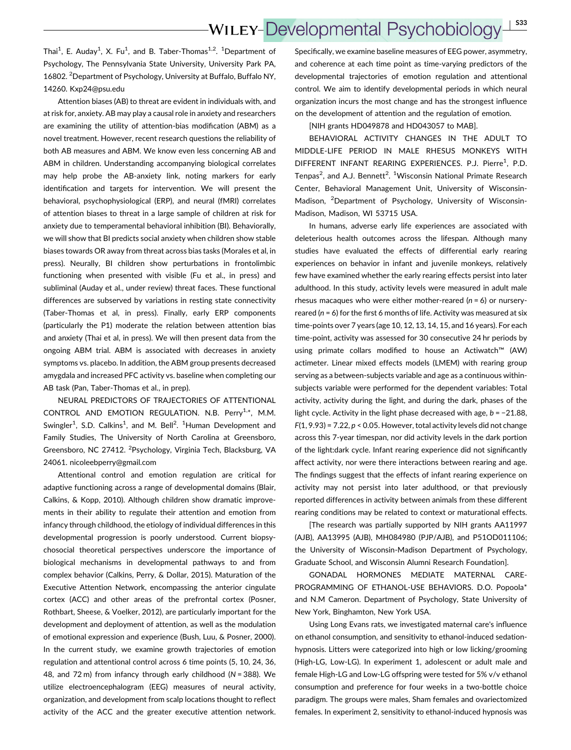Thai<sup>1</sup>, E. Auday<sup>1</sup>, X. Fu<sup>1</sup>, and B. Taber-Thomas<sup>1,2</sup>. <sup>1</sup>Department of Psychology, The Pennsylvania State University, University Park PA, 16802. <sup>2</sup>Department of Psychology, University at Buffalo, Buffalo NY, 14260. Kxp24@psu.edu

Attention biases (AB) to threat are evident in individuals with, and at risk for, anxiety. AB may play a causal role in anxiety and researchers are examining the utility of attention-bias modification (ABM) as a novel treatment. However, recent research questions the reliability of both AB measures and ABM. We know even less concerning AB and ABM in children. Understanding accompanying biological correlates may help probe the AB-anxiety link, noting markers for early identification and targets for intervention. We will present the behavioral, psychophysiological (ERP), and neural (fMRI) correlates of attention biases to threat in a large sample of children at risk for anxiety due to temperamental behavioral inhibition (BI). Behaviorally, we will show that BI predicts social anxiety when children show stable biases towards OR away from threat across bias tasks (Morales et al, in press). Neurally, BI children show perturbations in frontolimbic functioning when presented with visible (Fu et al., in press) and subliminal (Auday et al., under review) threat faces. These functional differences are subserved by variations in resting state connectivity (Taber-Thomas et al, in press). Finally, early ERP components (particularly the P1) moderate the relation between attention bias and anxiety (Thai et al, in press). We will then present data from the ongoing ABM trial. ABM is associated with decreases in anxiety symptoms vs. placebo. In addition, the ABM group presents decreased amygdala and increased PFC activity vs. baseline when completing our AB task (Pan, Taber-Thomas et al., in prep).

NEURAL PREDICTORS OF TRAJECTORIES OF ATTENTIONAL CONTROL AND EMOTION REGULATION. N.B. Perry<sup>1,\*</sup>, M.M. Swingler<sup>1</sup>, S.D. Calkins<sup>1</sup>, and M. Bell<sup>2</sup>. <sup>1</sup>Human Development and Family Studies, The University of North Carolina at Greensboro, Greensboro, NC 27412. <sup>2</sup>Psychology, Virginia Tech, Blacksburg, VA 24061. nicoleebperry@gmail.com

Attentional control and emotion regulation are critical for adaptive functioning across a range of developmental domains (Blair, Calkins, & Kopp, 2010). Although children show dramatic improvements in their ability to regulate their attention and emotion from infancy through childhood, the etiology of individual differences in this developmental progression is poorly understood. Current biopsychosocial theoretical perspectives underscore the importance of biological mechanisms in developmental pathways to and from complex behavior (Calkins, Perry, & Dollar, 2015). Maturation of the Executive Attention Network, encompassing the anterior cingulate cortex (ACC) and other areas of the prefrontal cortex (Posner, Rothbart, Sheese, & Voelker, 2012), are particularly important for the development and deployment of attention, as well as the modulation of emotional expression and experience (Bush, Luu, & Posner, 2000). In the current study, we examine growth trajectories of emotion regulation and attentional control across 6 time points (5, 10, 24, 36, 48, and 72 m) from infancy through early childhood ( $N = 388$ ). We utilize electroencephalogram (EEG) measures of neural activity, organization, and development from scalp locations thought to reflect activity of the ACC and the greater executive attention network.

Specifically, we examine baseline measures of EEG power, asymmetry, and coherence at each time point as time-varying predictors of the developmental trajectories of emotion regulation and attentional control. We aim to identify developmental periods in which neural organization incurs the most change and has the strongest influence on the development of attention and the regulation of emotion.

### [NIH grants HD049878 and HD043057 to MAB].

BEHAVIORAL ACTIVITY CHANGES IN THE ADULT TO MIDDLE-LIFE PERIOD IN MALE RHESUS MONKEYS WITH DIFFERENT INFANT REARING EXPERIENCES. P.J. Pierre<sup>1</sup>, P.D. Tenpas<sup>2</sup>, and A.J. Bennett<sup>2</sup>. <sup>1</sup>Wisconsin National Primate Research Center, Behavioral Management Unit, University of Wisconsin-Madison, <sup>2</sup>Department of Psychology, University of Wisconsin-Madison, Madison, WI 53715 USA.

In humans, adverse early life experiences are associated with deleterious health outcomes across the lifespan. Although many studies have evaluated the effects of differential early rearing experiences on behavior in infant and juvenile monkeys, relatively few have examined whether the early rearing effects persist into later adulthood. In this study, activity levels were measured in adult male rhesus macaques who were either mother-reared  $(n = 6)$  or nurseryreared ( $n = 6$ ) for the first 6 months of life. Activity was measured at six time-points over 7 years (age 10, 12, 13, 14, 15, and 16 years). For each time-point, activity was assessed for 30 consecutive 24 hr periods by using primate collars modified to house an Actiwatch™ (AW) actimeter. Linear mixed effects models (LMEM) with rearing group serving as a between-subjects variable and age as a continuous withinsubjects variable were performed for the dependent variables: Total activity, activity during the light, and during the dark, phases of the light cycle. Activity in the light phase decreased with age, b = −21.88,  $F(1, 9.93) = 7.22$ ,  $p < 0.05$ . However, total activity levels did not change across this 7-year timespan, nor did activity levels in the dark portion of the light:dark cycle. Infant rearing experience did not significantly affect activity, nor were there interactions between rearing and age. The findings suggest that the effects of infant rearing experience on activity may not persist into later adulthood, or that previously reported differences in activity between animals from these different rearing conditions may be related to context or maturational effects.

[The research was partially supported by NIH grants AA11997 (AJB), AA13995 (AJB), MH084980 (PJP/AJB), and P51OD011106; the University of Wisconsin-Madison Department of Psychology, Graduate School, and Wisconsin Alumni Research Foundation].

GONADAL HORMONES MEDIATE MATERNAL CARE-PROGRAMMING OF ETHANOL-USE BEHAVIORS. D.O. Popoola\* and N.M Cameron. Department of Psychology, State University of New York, Binghamton, New York USA.

Using Long Evans rats, we investigated maternal care's influence on ethanol consumption, and sensitivity to ethanol-induced sedationhypnosis. Litters were categorized into high or low licking/grooming (High-LG, Low-LG). In experiment 1, adolescent or adult male and female High-LG and Low-LG offspring were tested for 5% v/v ethanol consumption and preference for four weeks in a two-bottle choice paradigm. The groups were males, Sham females and ovariectomized females. In experiment 2, sensitivity to ethanol-induced hypnosis was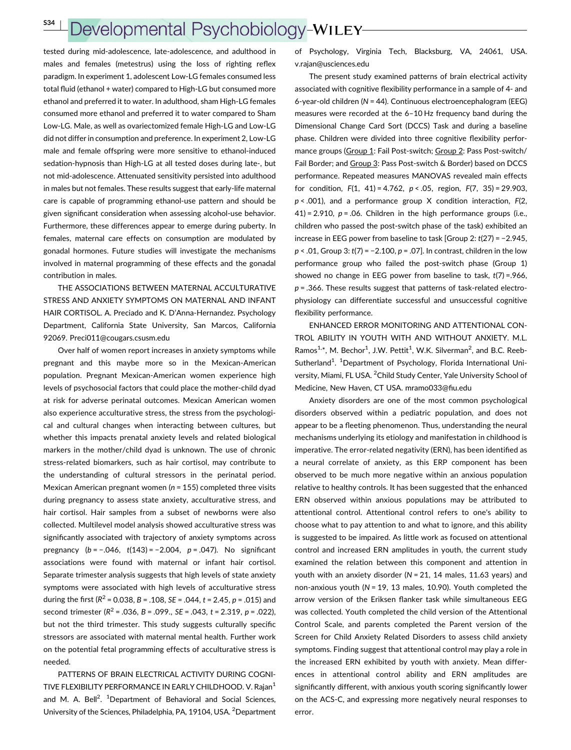## Developmental Psychobiology-WILEY-

tested during mid-adolescence, late-adolescence, and adulthood in males and females (metestrus) using the loss of righting reflex paradigm. In experiment 1, adolescent Low-LG females consumed less total fluid (ethanol + water) compared to High-LG but consumed more ethanol and preferred it to water. In adulthood, sham High-LG females consumed more ethanol and preferred it to water compared to Sham Low-LG. Male, as well as ovariectomized female High-LG and Low-LG did not differ in consumption and preference. In experiment 2, Low-LG male and female offspring were more sensitive to ethanol-induced sedation-hypnosis than High-LG at all tested doses during late-, but not mid-adolescence. Attenuated sensitivity persisted into adulthood in males but not females. These results suggest that early-life maternal care is capable of programming ethanol-use pattern and should be given significant consideration when assessing alcohol-use behavior. Furthermore, these differences appear to emerge during puberty. In females, maternal care effects on consumption are modulated by gonadal hormones. Future studies will investigate the mechanisms involved in maternal programming of these effects and the gonadal contribution in males.

THE ASSOCIATIONS BETWEEN MATERNAL ACCULTURATIVE STRESS AND ANXIETY SYMPTOMS ON MATERNAL AND INFANT HAIR CORTISOL. A. Preciado and K. D'Anna-Hernandez. Psychology Department, California State University, San Marcos, California 92069. Preci011@cougars.csusm.edu

Over half of women report increases in anxiety symptoms while pregnant and this maybe more so in the Mexican-American population. Pregnant Mexican-American women experience high levels of psychosocial factors that could place the mother-child dyad at risk for adverse perinatal outcomes. Mexican American women also experience acculturative stress, the stress from the psychological and cultural changes when interacting between cultures, but whether this impacts prenatal anxiety levels and related biological markers in the mother/child dyad is unknown. The use of chronic stress-related biomarkers, such as hair cortisol, may contribute to the understanding of cultural stressors in the perinatal period. Mexican American pregnant women ( $n = 155$ ) completed three visits during pregnancy to assess state anxiety, acculturative stress, and hair cortisol. Hair samples from a subset of newborns were also collected. Multilevel model analysis showed acculturative stress was significantly associated with trajectory of anxiety symptoms across pregnancy  $(b = -.046, t(143) = -2.004, p = .047)$ . No significant associations were found with maternal or infant hair cortisol. Separate trimester analysis suggests that high levels of state anxiety symptoms were associated with high levels of acculturative stress during the first ( $R^2$  = 0.038, B = .108, SE = .044, t = 2.45, p = .015) and second trimester ( $R^2$  = .036, B = .099., SE = .043, t = 2.319, p = .022), but not the third trimester. This study suggests culturally specific stressors are associated with maternal mental health. Further work on the potential fetal programming effects of acculturative stress is needed.

PATTERNS OF BRAIN ELECTRICAL ACTIVITY DURING COGNI-TIVE FLEXIBILITY PERFORMANCE IN EARLY CHILDHOOD. V. Rajan<sup>1</sup> and M. A. Bell<sup>2</sup>. <sup>1</sup>Department of Behavioral and Social Sciences, University of the Sciences, Philadelphia, PA, 19104, USA. <sup>2</sup> Department

of Psychology, Virginia Tech, Blacksburg, VA, 24061, USA. v.rajan@usciences.edu

The present study examined patterns of brain electrical activity associated with cognitive flexibility performance in a sample of 4- and 6-year-old children (N = 44). Continuous electroencephalogram (EEG) measures were recorded at the 6–10 Hz frequency band during the Dimensional Change Card Sort (DCCS) Task and during a baseline phase. Children were divided into three cognitive flexibility performance groups (Group 1: Fail Post-switch; Group 2: Pass Post-switch/ Fail Border; and Group 3: Pass Post-switch & Border) based on DCCS performance. Repeated measures MANOVAS revealed main effects for condition,  $F(1, 41) = 4.762$ ,  $p < .05$ , region,  $F(7, 35) = 29.903$ ,  $p < .001$ ), and a performance group X condition interaction,  $F(2, 1)$  $41$ ) = 2.910, p = .06. Children in the high performance groups (i.e., children who passed the post-switch phase of the task) exhibited an increase in EEG power from baseline to task [Group 2: t(27) = −2.945,  $p < .01$ , Group 3:  $t(7) = -2.100$ ,  $p = .07$ ]. In contrast, children in the low performance group who failed the post-switch phase (Group 1) showed no change in EEG power from baseline to task,  $t(7) = .966$ ,  $p = 0.366$ . These results suggest that patterns of task-related electrophysiology can differentiate successful and unsuccessful cognitive flexibility performance.

ENHANCED ERROR MONITORING AND ATTENTIONAL CON-TROL ABILITY IN YOUTH WITH AND WITHOUT ANXIETY. M.L. Ramos<sup>1,\*</sup>, M. Bechor<sup>1</sup>, J.W. Pettit<sup>1</sup>, W.K. Silverman<sup>2</sup>, and B.C. Reeb-Sutherland<sup>1</sup>. <sup>1</sup>Department of Psychology, Florida International University, Miami, FL USA. <sup>2</sup>Child Study Center, Yale University School of Medicine, New Haven, CT USA. mramo033@fiu.edu

Anxiety disorders are one of the most common psychological disorders observed within a pediatric population, and does not appear to be a fleeting phenomenon. Thus, understanding the neural mechanisms underlying its etiology and manifestation in childhood is imperative. The error-related negativity (ERN), has been identified as a neural correlate of anxiety, as this ERP component has been observed to be much more negative within an anxious population relative to healthy controls. It has been suggested that the enhanced ERN observed within anxious populations may be attributed to attentional control. Attentional control refers to one's ability to choose what to pay attention to and what to ignore, and this ability is suggested to be impaired. As little work as focused on attentional control and increased ERN amplitudes in youth, the current study examined the relation between this component and attention in youth with an anxiety disorder ( $N = 21$ , 14 males, 11.63 years) and non-anxious youth (N = 19, 13 males, 10.90). Youth completed the arrow version of the Eriksen flanker task while simultaneous EEG was collected. Youth completed the child version of the Attentional Control Scale, and parents completed the Parent version of the Screen for Child Anxiety Related Disorders to assess child anxiety symptoms. Finding suggest that attentional control may play a role in the increased ERN exhibited by youth with anxiety. Mean differences in attentional control ability and ERN amplitudes are significantly different, with anxious youth scoring significantly lower on the ACS-C, and expressing more negatively neural responses to error.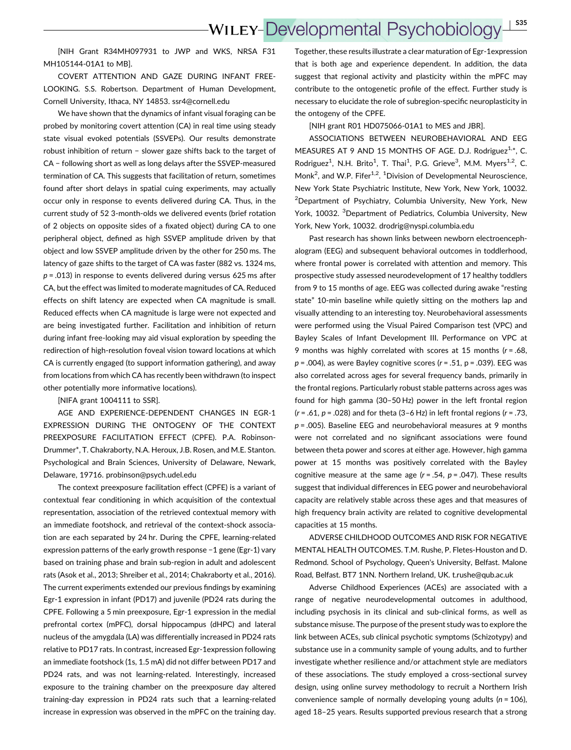[NIH Grant R34MH097931 to JWP and WKS, NRSA F31 MH105144-01A1 to MB].

COVERT ATTENTION AND GAZE DURING INFANT FREE-LOOKING. S.S. Robertson. Department of Human Development, Cornell University, Ithaca, NY 14853. ssr4@cornell.edu

We have shown that the dynamics of infant visual foraging can be probed by monitoring covert attention (CA) in real time using steady state visual evoked potentials (SSVEPs). Our results demonstrate robust inhibition of return − slower gaze shifts back to the target of CA − following short as well as long delays after the SSVEP-measured termination of CA. This suggests that facilitation of return, sometimes found after short delays in spatial cuing experiments, may actually occur only in response to events delivered during CA. Thus, in the current study of 52 3-month-olds we delivered events (brief rotation of 2 objects on opposite sides of a fixated object) during CA to one peripheral object, defined as high SSVEP amplitude driven by that object and low SSVEP amplitude driven by the other for 250 ms. The latency of gaze shifts to the target of CA was faster (882 vs. 1324 ms,  $p = .013$ ) in response to events delivered during versus 625 ms after CA, but the effect was limited to moderate magnitudes of CA. Reduced effects on shift latency are expected when CA magnitude is small. Reduced effects when CA magnitude is large were not expected and are being investigated further. Facilitation and inhibition of return during infant free-looking may aid visual exploration by speeding the redirection of high-resolution foveal vision toward locations at which CA is currently engaged (to support information gathering), and away from locations from which CA has recently been withdrawn (to inspect other potentially more informative locations).

[NIFA grant 1004111 to SSR].

AGE AND EXPERIENCE-DEPENDENT CHANGES IN EGR-1 EXPRESSION DURING THE ONTOGENY OF THE CONTEXT PREEXPOSURE FACILITATION EFFECT (CPFE). P.A. Robinson-Drummer\*, T. Chakraborty, N.A. Heroux, J.B. Rosen, and M.E. Stanton. Psychological and Brain Sciences, University of Delaware, Newark, Delaware, 19716. probinson@psych.udel.edu

The context preexposure facilitation effect (CPFE) is a variant of contextual fear conditioning in which acquisition of the contextual representation, association of the retrieved contextual memory with an immediate footshock, and retrieval of the context-shock association are each separated by 24 hr. During the CPFE, learning-related expression patterns of the early growth response −1 gene (Egr-1) vary based on training phase and brain sub-region in adult and adolescent rats (Asok et al., 2013; Shreiber et al., 2014; Chakraborty et al., 2016). The current experiments extended our previous findings by examining Egr-1 expression in infant (PD17) and juvenile (PD24 rats during the CPFE. Following a 5 min preexposure, Egr-1 expression in the medial prefrontal cortex (mPFC), dorsal hippocampus (dHPC) and lateral nucleus of the amygdala (LA) was differentially increased in PD24 rats relative to PD17 rats. In contrast, increased Egr-1expression following an immediate footshock (1s, 1.5 mA) did not differ between PD17 and PD24 rats, and was not learning-related. Interestingly, increased exposure to the training chamber on the preexposure day altered training-day expression in PD24 rats such that a learning-related increase in expression was observed in the mPFC on the training day.

Together, these results illustrate a clear maturation of Egr-1expression that is both age and experience dependent. In addition, the data suggest that regional activity and plasticity within the mPFC may contribute to the ontogenetic profile of the effect. Further study is necessary to elucidate the role of subregion-specific neuroplasticity in the ontogeny of the CPFE.

[NIH grant R01 HD075066-01A1 to MES and JBR].

ASSOCIATIONS BETWEEN NEUROBEHAVIORAL AND EEG MEASURES AT 9 AND 15 MONTHS OF AGE. D.J. Rodriguez<sup>1,\*</sup>, C. Rodriguez<sup>1</sup>, N.H. Brito<sup>1</sup>, T. Thai<sup>1</sup>, P.G. Grieve<sup>3</sup>, M.M. Myers<sup>1,2</sup>, C. Monk<sup>2</sup>, and W.P. Fifer<sup>1,2</sup>. <sup>1</sup>Division of Developmental Neuroscience, New York State Psychiatric Institute, New York, New York, 10032. <sup>2</sup>Department of Psychiatry, Columbia University, New York, New York, 10032. <sup>3</sup>Department of Pediatrics, Columbia University, New York, New York, 10032. drodrig@nyspi.columbia.edu

Past research has shown links between newborn electroencephalogram (EEG) and subsequent behavioral outcomes in toddlerhood, where frontal power is correlated with attention and memory. This prospective study assessed neurodevelopment of 17 healthy toddlers from 9 to 15 months of age. EEG was collected during awake "resting state" 10-min baseline while quietly sitting on the mothers lap and visually attending to an interesting toy. Neurobehavioral assessments were performed using the Visual Paired Comparison test (VPC) and Bayley Scales of Infant Development III. Performance on VPC at 9 months was highly correlated with scores at 15 months ( $r = .68$ ,  $p = .004$ ), as were Bayley cognitive scores ( $r = .51$ ,  $p = .039$ ). EEG was also correlated across ages for several frequency bands, primarily in the frontal regions. Particularly robust stable patterns across ages was found for high gamma (30–50 Hz) power in the left frontal region ( $r = .61$ ,  $p = .028$ ) and for theta (3–6 Hz) in left frontal regions ( $r = .73$ ,  $p = .005$ ). Baseline EEG and neurobehavioral measures at 9 months were not correlated and no significant associations were found between theta power and scores at either age. However, high gamma power at 15 months was positively correlated with the Bayley cognitive measure at the same age  $(r = .54, p = .047)$ . These results suggest that individual differences in EEG power and neurobehavioral capacity are relatively stable across these ages and that measures of high frequency brain activity are related to cognitive developmental capacities at 15 months.

ADVERSE CHILDHOOD OUTCOMES AND RISK FOR NEGATIVE MENTAL HEALTH OUTCOMES. T.M. Rushe, P. Fletes-Houston and D. Redmond. School of Psychology, Queen's University, Belfast. Malone Road, Belfast. BT7 1NN. Northern Ireland, UK. t.rushe@qub.ac.uk

Adverse Childhood Experiences (ACEs) are associated with a range of negative neurodevelopmental outcomes in adulthood, including psychosis in its clinical and sub-clinical forms, as well as substance misuse. The purpose of the present study was to explore the link between ACEs, sub clinical psychotic symptoms (Schizotypy) and substance use in a community sample of young adults, and to further investigate whether resilience and/or attachment style are mediators of these associations. The study employed a cross-sectional survey design, using online survey methodology to recruit a Northern Irish convenience sample of normally developing young adults ( $n = 106$ ), aged 18–25 years. Results supported previous research that a strong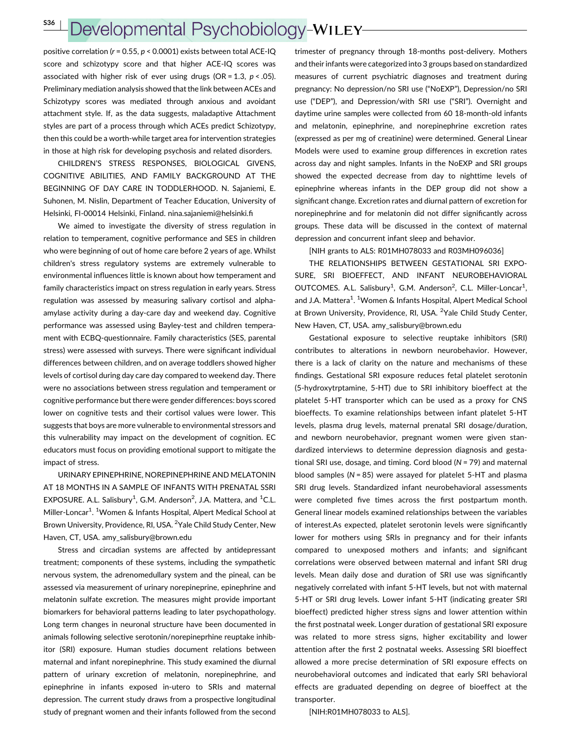## Developmental Psychobiology-WILEY-

positive correlation ( $r = 0.55$ ,  $p < 0.0001$ ) exists between total ACE-IQ score and schizotypy score and that higher ACE-IQ scores was associated with higher risk of ever using drugs (OR = 1.3,  $p < .05$ ). Preliminary mediation analysis showed that the link between ACEs and Schizotypy scores was mediated through anxious and avoidant attachment style. If, as the data suggests, maladaptive Attachment styles are part of a process through which ACEs predict Schizotypy, then this could be a worth-while target area for intervention strategies in those at high risk for developing psychosis and related disorders.

CHILDREN'S STRESS RESPONSES, BIOLOGICAL GIVENS, COGNITIVE ABILITIES, AND FAMILY BACKGROUND AT THE BEGINNING OF DAY CARE IN TODDLERHOOD. N. Sajaniemi, E. Suhonen, M. Nislin, Department of Teacher Education, University of Helsinki, FI-00014 Helsinki, Finland. nina.sajaniemi@helsinki.fi

We aimed to investigate the diversity of stress regulation in relation to temperament, cognitive performance and SES in children who were beginning of out of home care before 2 years of age. Whilst children's stress regulatory systems are extremely vulnerable to environmental influences little is known about how temperament and family characteristics impact on stress regulation in early years. Stress regulation was assessed by measuring salivary cortisol and alphaamylase activity during a day-care day and weekend day. Cognitive performance was assessed using Bayley-test and children temperament with ECBQ-questionnaire. Family characteristics (SES, parental stress) were assessed with surveys. There were significant individual differences between children, and on average toddlers showed higher levels of cortisol during day care day compared to weekend day. There were no associations between stress regulation and temperament or cognitive performance but there were gender differences: boys scored lower on cognitive tests and their cortisol values were lower. This suggests that boys are more vulnerable to environmental stressors and this vulnerability may impact on the development of cognition. EC educators must focus on providing emotional support to mitigate the impact of stress.

URINARY EPINEPHRINE, NOREPINEPHRINE AND MELATONIN AT 18 MONTHS IN A SAMPLE OF INFANTS WITH PRENATAL SSRI EXPOSURE. A.L. Salisbury<sup>1</sup>, G.M. Anderson<sup>2</sup>, J.A. Mattera, and <sup>1</sup>C.L. Miller-Loncar<sup>1</sup>. <sup>1</sup>Women & Infants Hospital, Alpert Medical School at Brown University, Providence, RI, USA. <sup>2</sup> Yale Child Study Center, New Haven, CT, USA. amy\_salisbury@brown.edu

Stress and circadian systems are affected by antidepressant treatment; components of these systems, including the sympathetic nervous system, the adrenomedullary system and the pineal, can be assessed via measurement of urinary norepineprine, epinephrine and melatonin sulfate excretion. The measures might provide important biomarkers for behavioral patterns leading to later psychopathology. Long term changes in neuronal structure have been documented in animals following selective serotonin/norepineprhine reuptake inhibitor (SRI) exposure. Human studies document relations between maternal and infant norepinephrine. This study examined the diurnal pattern of urinary excretion of melatonin, norepinephrine, and epinephrine in infants exposed in-utero to SRIs and maternal depression. The current study draws from a prospective longitudinal study of pregnant women and their infants followed from the second

trimester of pregnancy through 18-months post-delivery. Mothers and their infants were categorized into 3 groups based on standardized measures of current psychiatric diagnoses and treatment during pregnancy: No depression/no SRI use ("NoEXP"), Depression/no SRI use ("DEP"), and Depression/with SRI use ("SRI"). Overnight and daytime urine samples were collected from 60 18-month-old infants and melatonin, epinephrine, and norepinephrine excretion rates (expressed as per mg of creatinine) were determined. General Linear Models were used to examine group differences in excretion rates across day and night samples. Infants in the NoEXP and SRI groups showed the expected decrease from day to nighttime levels of epinephrine whereas infants in the DEP group did not show a significant change. Excretion rates and diurnal pattern of excretion for norepinephrine and for melatonin did not differ significantly across groups. These data will be discussed in the context of maternal depression and concurrent infant sleep and behavior.

[NIH grants to ALS: R01MH078033 and R03MH096036]

THE RELATIONSHIPS BETWEEN GESTATIONAL SRI EXPO-SURE, SRI BIOEFFECT, AND INFANT NEUROBEHAVIORAL OUTCOMES. A.L. Salisbury<sup>1</sup>, G.M. Anderson<sup>2</sup>, C.L. Miller-Loncar<sup>1</sup>, and J.A. Mattera<sup>1</sup>. <sup>1</sup>Women & Infants Hospital, Alpert Medical School at Brown University, Providence, RI, USA. <sup>2</sup>Yale Child Study Center, New Haven, CT, USA. amy\_salisbury@brown.edu

Gestational exposure to selective reuptake inhibitors (SRI) contributes to alterations in newborn neurobehavior. However, there is a lack of clarity on the nature and mechanisms of these findings. Gestational SRI exposure reduces fetal platelet serotonin (5-hydroxytrptamine, 5-HT) due to SRI inhibitory bioeffect at the platelet 5-HT transporter which can be used as a proxy for CNS bioeffects. To examine relationships between infant platelet 5-HT levels, plasma drug levels, maternal prenatal SRI dosage/duration, and newborn neurobehavior, pregnant women were given standardized interviews to determine depression diagnosis and gestational SRI use, dosage, and timing. Cord blood  $(N = 79)$  and maternal blood samples ( $N = 85$ ) were assayed for platelet 5-HT and plasma SRI drug levels. Standardized infant neurobehavioral assessments were completed five times across the first postpartum month. General linear models examined relationships between the variables of interest.As expected, platelet serotonin levels were significantly lower for mothers using SRIs in pregnancy and for their infants compared to unexposed mothers and infants; and significant correlations were observed between maternal and infant SRI drug levels. Mean daily dose and duration of SRI use was significantly negatively correlated with infant 5-HT levels, but not with maternal 5-HT or SRI drug levels. Lower infant 5-HT (indicating greater SRI bioeffect) predicted higher stress signs and lower attention within the first postnatal week. Longer duration of gestational SRI exposure was related to more stress signs, higher excitability and lower attention after the first 2 postnatal weeks. Assessing SRI bioeffect allowed a more precise determination of SRI exposure effects on neurobehavioral outcomes and indicated that early SRI behavioral effects are graduated depending on degree of bioeffect at the transporter.

[NIH:R01MH078033 to ALS].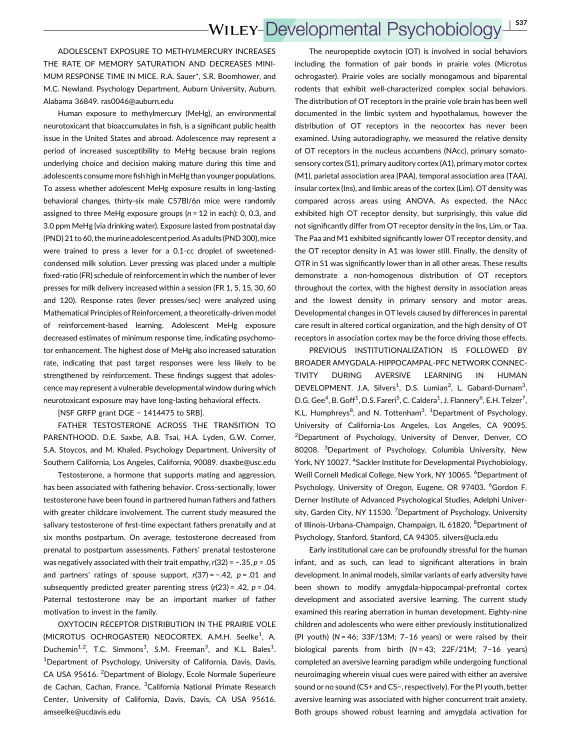### **WILEY-Developmental Psychobiology** <sup>|</sup> S37

ADOLESCENT EXPOSURE TO METHYLMERCURY INCREASES THE RATE OF MEMORY SATURATION AND DECREASES MINI-MUM RESPONSE TIME IN MICE. R.A. Sauer\*, S.R. Boomhower, and M.C. Newland. Psychology Department, Auburn University, Auburn, Alabama 36849. ras0046@auburn.edu

Human exposure to methylmercury (MeHg), an environmental neurotoxicant that bioaccumulates in fish, is a significant public health issue in the United States and abroad. Adolescence may represent a period of increased susceptibility to MeHg because brain regions underlying choice and decision making mature during this time and adolescents consume more fish high in MeHg than younger populations. To assess whether adolescent MeHg exposure results in long-lasting behavioral changes, thirty-six male C57Bl/6n mice were randomly assigned to three MeHg exposure groups ( $n = 12$  in each): 0, 0.3, and 3.0 ppm MeHg (via drinking water). Exposure lasted from postnatal day (PND) 21 to 60, the murine adolescent period. As adults (PND 300), mice were trained to press a lever for a 0.1-cc droplet of sweetenedcondensed milk solution. Lever pressing was placed under a multiple fixed-ratio (FR) schedule of reinforcement in which the number of lever presses for milk delivery increased within a session (FR 1, 5, 15, 30, 60 and 120). Response rates (lever presses/sec) were analyzed using Mathematical Principles of Reinforcement, a theoretically-driven model of reinforcement-based learning. Adolescent MeHg exposure decreased estimates of minimum response time, indicating psychomotor enhancement. The highest dose of MeHg also increased saturation rate, indicating that past target responses were less likely to be strengthened by reinforcement. These findings suggest that adolescence may represent a vulnerable developmental window during which neurotoxicant exposure may have long-lasting behavioral effects.

[NSF GRFP grant DGE - 1414475 to SRB].

FATHER TESTOSTERONE ACROSS THE TRANSITION TO PARENTHOOD. D.E. Saxbe, A.B. Tsai, H.A. Lyden, G.W. Corner, S.A. Stoycos, and M. Khaled. Psychology Department, University of Southern California, Los Angeles, California, 90089. dsaxbe@usc.edu

Testosterone, a hormone that supports mating and aggression, has been associated with fathering behavior. Cross-sectionally, lower testosterone have been found in partnered human fathers and fathers with greater childcare involvement. The current study measured the salivary testosterone of first-time expectant fathers prenatally and at six months postpartum. On average, testosterone decreased from prenatal to postpartum assessments. Fathers' prenatal testosterone was negatively associated with their trait empathy,  $r(32) = -.35$ ,  $p = .05$ and partners' ratings of spouse support,  $r(37) = -.42$ ,  $p = .01$  and subsequently predicted greater parenting stress  $(r(23) = .42, p = .04$ . Paternal testosterone may be an important marker of father motivation to invest in the family.

OXYTOCIN RECEPTOR DISTRIBUTION IN THE PRAIRIE VOLE (MICROTUS OCHROGASTER) NEOCORTEX. A.M.H. Seelke<sup>1</sup>, A. Duchemin<sup>1,2</sup>, T.C. Simmons<sup>1</sup>, S.M. Freeman<sup>3</sup>, and K.L. Bales<sup>1</sup>. <sup>1</sup>Department of Psychology, University of California, Davis, Davis, CA USA 95616. <sup>2</sup>Department of Biology, Ecole Normale Superieure de Cachan, Cachan, France. <sup>3</sup>California National Primate Research Center, University of California, Davis, Davis, CA USA 95616. amseelke@ucdavis.edu

The neuropeptide oxytocin (OT) is involved in social behaviors including the formation of pair bonds in prairie voles (Microtus ochrogaster). Prairie voles are socially monogamous and biparental rodents that exhibit well-characterized complex social behaviors. The distribution of OT receptors in the prairie vole brain has been well documented in the limbic system and hypothalamus, however the distribution of OT receptors in the neocortex has never been examined. Using autoradiography, we measured the relative density of OT receptors in the nucleus accumbens (NAcc), primary somatosensory cortex (S1), primary auditory cortex (A1), primary motor cortex (M1), parietal association area (PAA), temporal association area (TAA), insular cortex (Ins), and limbic areas of the cortex (Lim). OT density was compared across areas using ANOVA. As expected, the NAcc exhibited high OT receptor density, but surprisingly, this value did not significantly differ from OT receptor density in the Ins, Lim, or Taa. The Paa and M1 exhibited significantly lower OT receptor density, and the OT receptor density in A1 was lower still. Finally, the density of OTR in S1 was significantly lower than in all other areas. These results demonstrate a non-homogenous distribution of OT receptors throughout the cortex, with the highest density in association areas and the lowest density in primary sensory and motor areas. Developmental changes in OT levels caused by differences in parental care result in altered cortical organization, and the high density of OT receptors in association cortex may be the force driving those effects.

PREVIOUS INSTITUTIONALIZATION IS FOLLOWED BY BROADER AMYGDALA-HIPPOCAMPAL-PFC NETWORK CONNEC-TIVITY DURING AVERSIVE LEARNING IN HUMAN DEVELOPMENT. J.A. Silvers<sup>1</sup>, D.S. Lumian<sup>2</sup>, L. Gabard-Durnam<sup>3</sup>, D.G. Gee<sup>4</sup>, B. Goff<sup>1</sup>, D.S. Fareri<sup>5</sup>, C. Caldera<sup>1</sup>, J. Flannery<sup>6</sup>, E.H. Telzer<sup>7</sup>, K.L. Humphreys<sup>8</sup>, and N. Tottenham<sup>3</sup>. <sup>1</sup>Department of Psychology, University of California-Los Angeles, Los Angeles, CA 90095. <sup>2</sup>Department of Psychology, University of Denver, Denver, CO 80208. <sup>3</sup>Department of Psychology, Columbia University, New York, NY 10027. <sup>4</sup>Sackler Institute for Developmental Psychobiology, Weill Cornell Medical College, New York, NY 10065. <sup>6</sup>Department of Psychology, University of Oregon, Eugene, OR 97403. <sup>6</sup>Gordon F. Derner Institute of Advanced Psychological Studies, Adelphi University, Garden City, NY 11530. <sup>7</sup> Department of Psychology, University of Illinois-Urbana-Champaign, Champaign, IL 61820. <sup>8</sup>Department of Psychology, Stanford, Stanford, CA 94305. silvers@ucla.edu

Early institutional care can be profoundly stressful for the human infant, and as such, can lead to significant alterations in brain development. In animal models, similar variants of early adversity have been shown to modify amygdala-hippocampal-prefrontal cortex development and associated aversive learning. The current study examined this rearing aberration in human development. Eighty-nine children and adolescents who were either previously institutionalized (PI youth) ( $N = 46$ ;  $33F/13M$ ;  $7-16$  years) or were raised by their biological parents from birth (N = 43; 22F/21M; 7–16 years) completed an aversive learning paradigm while undergoing functional neuroimaging wherein visual cues were paired with either an aversive sound or no sound (CS+ and CS−, respectively). For the PI youth, better aversive learning was associated with higher concurrent trait anxiety. Both groups showed robust learning and amygdala activation for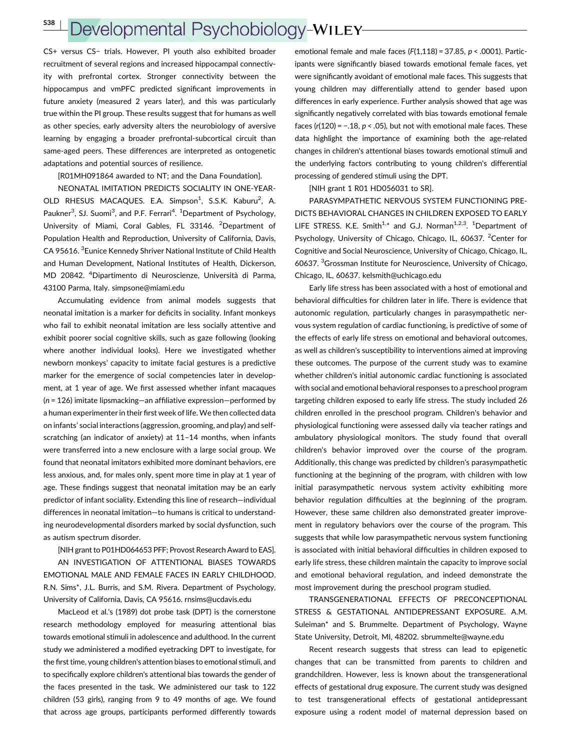# Developmental Psychobiology-WILEY

CS+ versus CS− trials. However, PI youth also exhibited broader recruitment of several regions and increased hippocampal connectivity with prefrontal cortex. Stronger connectivity between the hippocampus and vmPFC predicted significant improvements in future anxiety (measured 2 years later), and this was particularly true within the PI group. These results suggest that for humans as well as other species, early adversity alters the neurobiology of aversive learning by engaging a broader prefrontal-subcortical circuit than same-aged peers. These differences are interpreted as ontogenetic adaptations and potential sources of resilience.

[R01MH091864 awarded to NT; and the Dana Foundation].

NEONATAL IMITATION PREDICTS SOCIALITY IN ONE-YEAR-OLD RHESUS MACAQUES. E.A. Simpson<sup>1</sup>, S.S.K. Kaburu<sup>2</sup>, A. Paukner<sup>3</sup>, SJ. Suomi<sup>3</sup>, and P.F. Ferrari<sup>4</sup>. <sup>1</sup>Department of Psychology, University of Miami, Coral Gables, FL 33146. <sup>2</sup>Department of Population Health and Reproduction, University of California, Davis, CA 95616.<sup>3</sup> Eunice Kennedy Shriver National Institute of Child Health and Human Development, National Institutes of Health, Dickerson, MD 20842. <sup>4</sup> Dipartimento di Neuroscienze, Università di Parma, 43100 Parma, Italy. simpsone@miami.edu

Accumulating evidence from animal models suggests that neonatal imitation is a marker for deficits in sociality. Infant monkeys who fail to exhibit neonatal imitation are less socially attentive and exhibit poorer social cognitive skills, such as gaze following (looking where another individual looks). Here we investigated whether newborn monkeys' capacity to imitate facial gestures is a predictive marker for the emergence of social competencies later in development, at 1 year of age. We first assessed whether infant macaques (n = 126) imitate lipsmacking—an affiliative expression—performed by a human experimenter in their first week of life. We then collected data on infants' social interactions (aggression, grooming, and play) and selfscratching (an indicator of anxiety) at 11–14 months, when infants were transferred into a new enclosure with a large social group. We found that neonatal imitators exhibited more dominant behaviors, ere less anxious, and, for males only, spent more time in play at 1 year of age. These findings suggest that neonatal imitation may be an early predictor of infant sociality. Extending this line of research—individual differences in neonatal imitation—to humans is critical to understanding neurodevelopmental disorders marked by social dysfunction, such as autism spectrum disorder.

[NIH grant to P01HD064653 PFF; Provost Research Award to EAS]. AN INVESTIGATION OF ATTENTIONAL BIASES TOWARDS EMOTIONAL MALE AND FEMALE FACES IN EARLY CHILDHOOD. R.N. Sims\*, J.L. Burris, and S.M. Rivera. Department of Psychology, University of California, Davis, CA 95616. rnsims@ucdavis.edu

MacLeod et al.'s (1989) dot probe task (DPT) is the cornerstone research methodology employed for measuring attentional bias towards emotional stimuli in adolescence and adulthood. In the current study we administered a modified eyetracking DPT to investigate, for the first time, young children's attention biases to emotional stimuli, and to specifically explore children's attentional bias towards the gender of the faces presented in the task. We administered our task to 122 children (53 girls), ranging from 9 to 49 months of age. We found that across age groups, participants performed differently towards

emotional female and male faces  $(F(1,118) = 37.85, p < .0001)$ . Participants were significantly biased towards emotional female faces, yet were significantly avoidant of emotional male faces. This suggests that young children may differentially attend to gender based upon differences in early experience. Further analysis showed that age was significantly negatively correlated with bias towards emotional female faces ( $r(120) = -0.18$ ,  $p < 0.05$ ), but not with emotional male faces. These data highlight the importance of examining both the age-related changes in children's attentional biases towards emotional stimuli and the underlying factors contributing to young children's differential processing of gendered stimuli using the DPT.

[NIH grant 1 R01 HD056031 to SR].

PARASYMPATHETIC NERVOUS SYSTEM FUNCTIONING PRE-DICTS BEHAVIORAL CHANGES IN CHILDREN EXPOSED TO EARLY LIFE STRESS. K.E. Smith<sup>1,\*</sup> and G.J. Norman<sup>1,2,3</sup>. <sup>1</sup>Department of Psychology, University of Chicago, Chicago, IL, 60637. <sup>2</sup>Center for Cognitive and Social Neuroscience, University of Chicago, Chicago, IL, 60637. <sup>3</sup> Grossman Institute for Neuroscience, University of Chicago, Chicago, IL, 60637. kelsmith@uchicago.edu

Early life stress has been associated with a host of emotional and behavioral difficulties for children later in life. There is evidence that autonomic regulation, particularly changes in parasympathetic nervous system regulation of cardiac functioning, is predictive of some of the effects of early life stress on emotional and behavioral outcomes, as well as children's susceptibility to interventions aimed at improving these outcomes. The purpose of the current study was to examine whether children's initial autonomic cardiac functioning is associated with social and emotional behavioral responses to a preschool program targeting children exposed to early life stress. The study included 26 children enrolled in the preschool program. Children's behavior and physiological functioning were assessed daily via teacher ratings and ambulatory physiological monitors. The study found that overall children's behavior improved over the course of the program. Additionally, this change was predicted by children's parasympathetic functioning at the beginning of the program, with children with low initial parasympathetic nervous system activity exhibiting more behavior regulation difficulties at the beginning of the program. However, these same children also demonstrated greater improvement in regulatory behaviors over the course of the program. This suggests that while low parasympathetic nervous system functioning is associated with initial behavioral difficulties in children exposed to early life stress, these children maintain the capacity to improve social and emotional behavioral regulation, and indeed demonstrate the most improvement during the preschool program studied.

TRANSGENERATIONAL EFFECTS OF PRECONCEPTIONAL STRESS & GESTATIONAL ANTIDEPRESSANT EXPOSURE. A.M. Suleiman\* and S. Brummelte. Department of Psychology, Wayne State University, Detroit, MI, 48202. sbrummelte@wayne.edu

Recent research suggests that stress can lead to epigenetic changes that can be transmitted from parents to children and grandchildren. However, less is known about the transgenerational effects of gestational drug exposure. The current study was designed to test transgenerational effects of gestational antidepressant exposure using a rodent model of maternal depression based on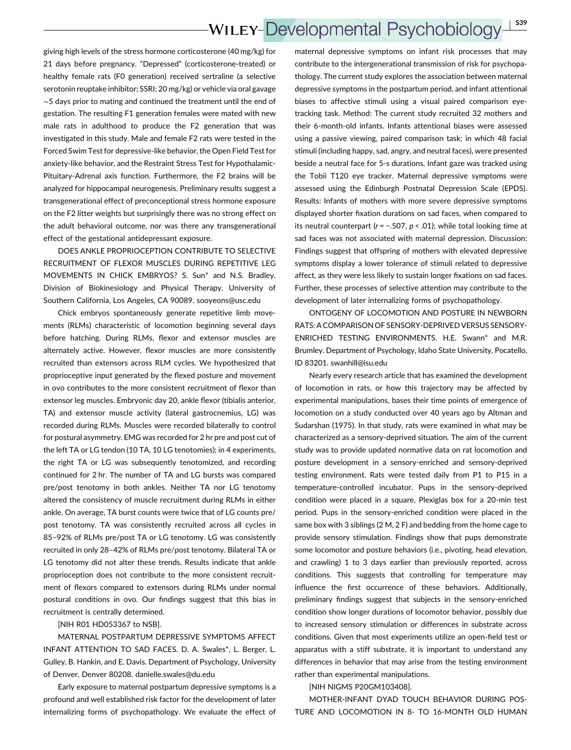giving high levels of the stress hormone corticosterone (40 mg/kg) for 21 days before pregnancy. "Depressed" (corticosterone-treated) or healthy female rats (F0 generation) received sertraline (a selective serotonin reuptake inhibitor; SSRI; 20 mg/kg) or vehicle via oral gavage ∼5 days prior to mating and continued the treatment until the end of gestation. The resulting F1 generation females were mated with new male rats in adulthood to produce the F2 generation that was investigated in this study. Male and female F2 rats were tested in the Forced Swim Test for depressive-like behavior, the Open Field Test for anxiety-like behavior, and the Restraint Stress Test for Hypothalamic-Pituitary-Adrenal axis function. Furthermore, the F2 brains will be analyzed for hippocampal neurogenesis. Preliminary results suggest a transgenerational effect of preconceptional stress hormone exposure on the F2 litter weights but surprisingly there was no strong effect on the adult behavioral outcome, nor was there any transgenerational effect of the gestational antidepressant exposure.

DOES ANKLE PROPRIOCEPTION CONTRIBUTE TO SELECTIVE RECRUITMENT OF FLEXOR MUSCLES DURING REPETITIVE LEG MOVEMENTS IN CHICK EMBRYOS? S. Sun\* and N.S. Bradley. Division of Biokinesiology and Physical Therapy, University of Southern California, Los Angeles, CA 90089. sooyeons@usc.edu

Chick embryos spontaneously generate repetitive limb movements (RLMs) characteristic of locomotion beginning several days before hatching. During RLMs, flexor and extensor muscles are alternately active. However, flexor muscles are more consistently recruited than extensors across RLM cycles. We hypothesized that proprioceptive input generated by the flexed posture and movement in ovo contributes to the more consistent recruitment of flexor than extensor leg muscles. Embryonic day 20, ankle flexor (tibialis anterior, TA) and extensor muscle activity (lateral gastrocnemius, LG) was recorded during RLMs. Muscles were recorded bilaterally to control for postural asymmetry. EMG was recorded for 2 hr pre and post cut of the left TA or LG tendon (10 TA, 10 LG tenotomies); in 4 experiments, the right TA or LG was subsequently tenotomized, and recording continued for 2 hr. The number of TA and LG bursts was compared pre/post tenotomy in both ankles. Neither TA nor LG tenotomy altered the consistency of muscle recruitment during RLMs in either ankle. On average, TA burst counts were twice that of LG counts pre/ post tenotomy. TA was consistently recruited across all cycles in 85–92% of RLMs pre/post TA or LG tenotomy. LG was consistently recruited in only 28–42% of RLMs pre/post tenotomy. Bilateral TA or LG tenotomy did not alter these trends. Results indicate that ankle proprioception does not contribute to the more consistent recruitment of flexors compared to extensors during RLMs under normal postural conditions in ovo. Our findings suggest that this bias in recruitment is centrally determined.

#### [NIH R01 HD053367 to NSB].

MATERNAL POSTPARTUM DEPRESSIVE SYMPTOMS AFFECT INFANT ATTENTION TO SAD FACES. D. A. Swales\*, L. Berger, L. Gulley, B. Hankin, and E. Davis. Department of Psychology, University of Denver, Denver 80208. danielle.swales@du.edu

Early exposure to maternal postpartum depressive symptoms is a profound and well established risk factor for the development of later internalizing forms of psychopathology. We evaluate the effect of maternal depressive symptoms on infant risk processes that may contribute to the intergenerational transmission of risk for psychopathology. The current study explores the association between maternal depressive symptoms in the postpartum period, and infant attentional biases to affective stimuli using a visual paired comparison eyetracking task. Method: The current study recruited 32 mothers and their 6-month-old infants. Infants attentional biases were assessed using a passive viewing, paired comparison task; in which 48 facial stimuli (including happy, sad, angry, and neutral faces), were presented beside a neutral face for 5-s durations. Infant gaze was tracked using the Tobii T120 eye tracker. Maternal depressive symptoms were assessed using the Edinburgh Postnatal Depression Scale (EPDS). Results: Infants of mothers with more severe depressive symptoms displayed shorter fixation durations on sad faces, when compared to its neutral counterpart ( $r = -.507$ ,  $p < .01$ ); while total looking time at sad faces was not associated with maternal depression. Discussion: Findings suggest that offspring of mothers with elevated depressive symptoms display a lower tolerance of stimuli related to depressive affect, as they were less likely to sustain longer fixations on sad faces. Further, these processes of selective attention may contribute to the development of later internalizing forms of psychopathology.

ONTOGENY OF LOCOMOTION AND POSTURE IN NEWBORN RATS: A COMPARISON OF SENSORY-DEPRIVED VERSUS SENSORY-ENRICHED TESTING ENVIRONMENTS. H.E. Swann\* and M.R. Brumley. Department of Psychology, Idaho State University, Pocatello, ID 83201. swanhill@isu.edu

Nearly every research article that has examined the development of locomotion in rats, or how this trajectory may be affected by experimental manipulations, bases their time points of emergence of locomotion on a study conducted over 40 years ago by Altman and Sudarshan (1975). In that study, rats were examined in what may be characterized as a sensory-deprived situation. The aim of the current study was to provide updated normative data on rat locomotion and posture development in a sensory-enriched and sensory-deprived testing environment. Rats were tested daily from P1 to P15 in a temperature-controlled incubator. Pups in the sensory-deprived condition were placed in a square, Plexiglas box for a 20-min test period. Pups in the sensory-enriched condition were placed in the same box with 3 siblings (2 M, 2 F) and bedding from the home cage to provide sensory stimulation. Findings show that pups demonstrate some locomotor and posture behaviors (i.e., pivoting, head elevation, and crawling) 1 to 3 days earlier than previously reported, across conditions. This suggests that controlling for temperature may influence the first occurrence of these behaviors. Additionally, preliminary findings suggest that subjects in the sensory-enriched condition show longer durations of locomotor behavior, possibly due to increased sensory stimulation or differences in substrate across conditions. Given that most experiments utilize an open-field test or apparatus with a stiff substrate, it is important to understand any differences in behavior that may arise from the testing environment rather than experimental manipulations.

[NIH NIGMS P20GM103408].

MOTHER-INFANT DYAD TOUCH BEHAVIOR DURING POS-TURE AND LOCOMOTION IN 8- TO 16-MONTH OLD HUMAN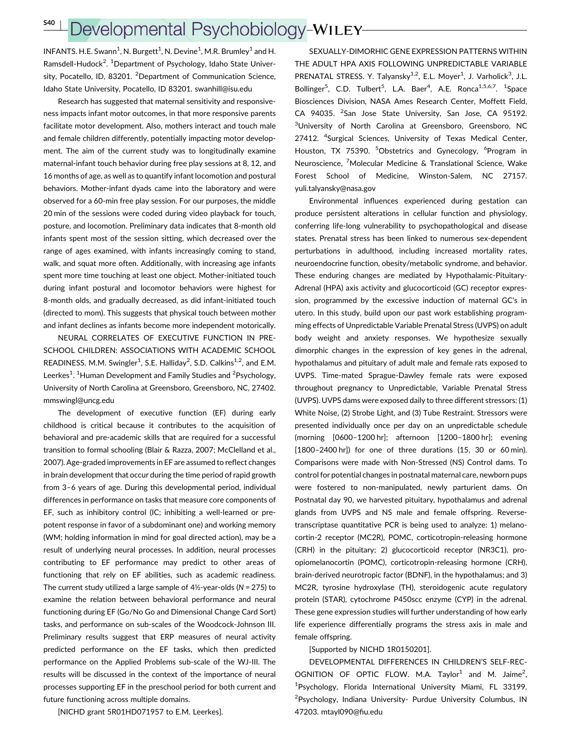## Developmental Psychobiology-WILEY-

INFANTS. H.E. Swann $^1$ , N. Burgett $^1$ , N. Devine $^1$ , M.R. Brumley $^1$  and H. Ramsdell-Hudock<sup>2</sup>. <sup>1</sup>Department of Psychology, Idaho State University, Pocatello, ID, 83201. <sup>2</sup>Department of Communication Science, Idaho State University, Pocatello, ID 83201. swanhill@isu.edu

Research has suggested that maternal sensitivity and responsiveness impacts infant motor outcomes, in that more responsive parents facilitate motor development. Also, mothers interact and touch male and female children differently, potentially impacting motor development. The aim of the current study was to longitudinally examine maternal-infant touch behavior during free play sessions at 8, 12, and 16 months of age, as well as to quantify infant locomotion and postural behaviors. Mother-infant dyads came into the laboratory and were observed for a 60-min free play session. For our purposes, the middle 20 min of the sessions were coded during video playback for touch, posture, and locomotion. Preliminary data indicates that 8-month old infants spent most of the session sitting, which decreased over the range of ages examined, with infants increasingly coming to stand, walk, and squat more often. Additionally, with increasing age infants spent more time touching at least one object. Mother-initiated touch during infant postural and locomotor behaviors were highest for 8-month olds, and gradually decreased, as did infant-initiated touch (directed to mom). This suggests that physical touch between mother and infant declines as infants become more independent motorically.

NEURAL CORRELATES OF EXECUTIVE FUNCTION IN PRE-SCHOOL CHILDREN: ASSOCIATIONS WITH ACADEMIC SCHOOL READINESS. M.M. Swingler<sup>1</sup>, S.E. Halliday<sup>2</sup>, S.D. Calkins<sup>1,2</sup>, and E.M. Leerkes<sup>1</sup>. <sup>1</sup>Human Development and Family Studies and <sup>2</sup>Psychology, University of North Carolina at Greensboro, Greensboro, NC, 27402. mmswingl@uncg.edu

The development of executive function (EF) during early childhood is critical because it contributes to the acquisition of behavioral and pre-academic skills that are required for a successful transition to formal schooling (Blair & Razza, 2007; McClelland et al., 2007). Age-graded improvements in EF are assumed to reflect changes in brain development that occur during the time period of rapid growth from 3–6 years of age. During this developmental period, individual differences in performance on tasks that measure core components of EF, such as inhibitory control (IC; inhibiting a well-learned or prepotent response in favor of a subdominant one) and working memory (WM; holding information in mind for goal directed action), may be a result of underlying neural processes. In addition, neural processes contributing to EF performance may predict to other areas of functioning that rely on EF abilities, such as academic readiness. The current study utilized a large sample of  $4\frac{1}{2}$ -year-olds (N = 275) to examine the relation between behavioral performance and neural functioning during EF (Go/No Go and Dimensional Change Card Sort) tasks, and performance on sub-scales of the Woodcock-Johnson III. Preliminary results suggest that ERP measures of neural activity predicted performance on the EF tasks, which then predicted performance on the Applied Problems sub-scale of the WJ-III. The results will be discussed in the context of the importance of neural processes supporting EF in the preschool period for both current and future functioning across multiple domains.

[NICHD grant 5R01HD071957 to E.M. Leerkes].

SEXUALLY-DIMORHIC GENE EXPRESSION PATTERNS WITHIN THE ADULT HPA AXIS FOLLOWING UNPREDICTABLE VARIABLE PRENATAL STRESS. Y. Talyansky<sup>1,2</sup>, E.L. Moyer<sup>1</sup>, J. Varholick<sup>3</sup>, J.L. Bollinger<sup>5</sup>, C.D. Tulbert<sup>5</sup>, L.A. Baer<sup>4</sup>, A.E. Ronca<sup>1,5,6,7</sup>. <sup>1</sup>Space Biosciences Division, NASA Ames Research Center, Moffett Field, CA 94035. <sup>2</sup>San Jose State University, San Jose, CA 95192. <sup>3</sup>University of North Carolina at Greensboro, Greensboro, NC 27412. <sup>4</sup>Surgical Sciences, University of Texas Medical Center, Houston, TX 75390. <sup>5</sup>Obstetrics and Gynecology, <sup>6</sup>Program in Neuroscience, <sup>7</sup>Molecular Medicine & Translational Science, Wake Forest School of Medicine, Winston-Salem, NC 27157. yuli.talyansky@nasa.gov

Environmental influences experienced during gestation can produce persistent alterations in cellular function and physiology, conferring life-long vulnerability to psychopathological and disease states. Prenatal stress has been linked to numerous sex-dependent perturbations in adulthood, including increased mortality rates, neuroendocrine function, obesity/metabolic syndrome, and behavior. These enduring changes are mediated by Hypothalamic-Pituitary-Adrenal (HPA) axis activity and glucocorticoid (GC) receptor expression, programmed by the excessive induction of maternal GC's in utero. In this study, build upon our past work establishing programming effects of Unpredictable Variable Prenatal Stress (UVPS) on adult body weight and anxiety responses. We hypothesize sexually dimorphic changes in the expression of key genes in the adrenal, hypothalamus and pituitary of adult male and female rats exposed to UVPS. Time-mated Sprague-Dawley female rats were exposed throughout pregnancy to Unpredictable, Variable Prenatal Stress (UVPS). UVPS dams were exposed daily to three different stressors: (1) White Noise, (2) Strobe Light, and (3) Tube Restraint. Stressors were presented individually once per day on an unpredictable schedule (morning [0600–1200 hr]; afternoon [1200–1800 hr]; evening [1800–2400 hr]) for one of three durations (15, 30 or 60 min). Comparisons were made with Non-Stressed (NS) Control dams. To control for potential changes in postnatal maternal care, newborn pups were fostered to non-manipulated, newly parturient dams. On Postnatal day 90, we harvested pituitary, hypothalamus and adrenal glands from UVPS and NS male and female offspring. Reversetranscriptase quantitative PCR is being used to analyze: 1) melanocortin-2 receptor (MC2R), POMC, corticotropin-releasing hormone (CRH) in the pituitary; 2) glucocorticoid receptor (NR3C1), proopiomelanocortin (POMC), corticotropin-releasing hormone (CRH), brain-derived neurotropic factor (BDNF), in the hypothalamus; and 3) MC2R, tyrosine hydroxylase (TH), steroidogenic acute regulatory protein (STAR), cytochrome P450scc enzyme (CYP) in the adrenal. These gene expression studies will further understanding of how early life experience differentially programs the stress axis in male and female offspring.

#### [Supported by NICHD 1R0150201].

DEVELOPMENTAL DIFFERENCES IN CHILDREN'S SELF-REC-OGNITION OF OPTIC FLOW. M.A. Taylor<sup>1</sup> and M. Jaime<sup>2</sup>, <sup>1</sup>Psychology, Florida International University Miami, FL 33199. <sup>2</sup>Psychology, Indiana University- Purdue University Columbus, IN 47203. mtayl090@fiu.edu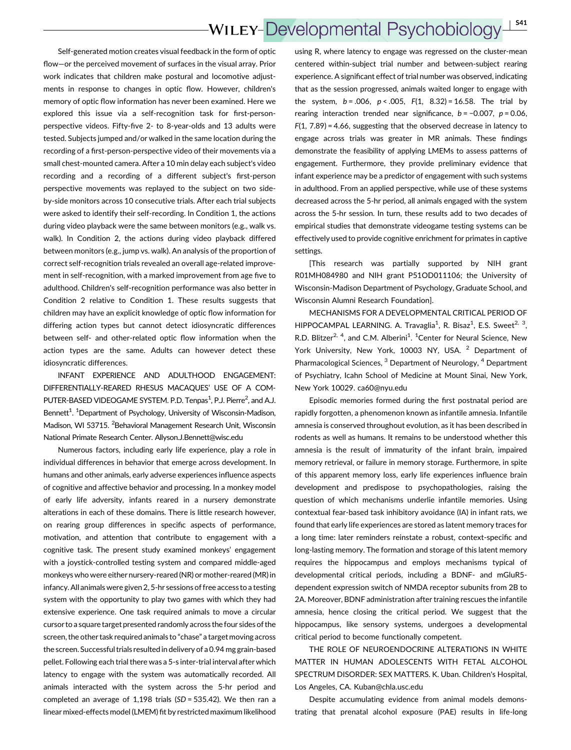Self-generated motion creates visual feedback in the form of optic flow—or the perceived movement of surfaces in the visual array. Prior work indicates that children make postural and locomotive adjustments in response to changes in optic flow. However, children's memory of optic flow information has never been examined. Here we explored this issue via a self-recognition task for first-personperspective videos. Fifty-five 2- to 8-year-olds and 13 adults were tested. Subjects jumped and/or walked in the same location during the recording of a first-person-perspective video of their movements via a small chest-mounted camera. After a 10 min delay each subject's video recording and a recording of a different subject's first-person perspective movements was replayed to the subject on two sideby-side monitors across 10 consecutive trials. After each trial subjects were asked to identify their self-recording. In Condition 1, the actions during video playback were the same between monitors (e.g., walk vs. walk). In Condition 2, the actions during video playback differed between monitors (e.g., jump vs. walk). An analysis of the proportion of correct self-recognition trials revealed an overall age-related improvement in self-recognition, with a marked improvement from age five to adulthood. Children's self-recognition performance was also better in Condition 2 relative to Condition 1. These results suggests that children may have an explicit knowledge of optic flow information for differing action types but cannot detect idiosyncratic differences between self- and other-related optic flow information when the action types are the same. Adults can however detect these idiosyncratic differences.

INFANT EXPERIENCE AND ADULTHOOD ENGAGEMENT: DIFFERENTIALLY-REARED RHESUS MACAQUES' USE OF A COM-PUTER-BASED VIDEOGAME SYSTEM. P.D. Tenpas<sup>1</sup>, P.J. Pierre<sup>2</sup>, and A.J. Bennett<sup>1</sup>. <sup>1</sup>Department of Psychology, University of Wisconsin-Madison, Madison, WI 53715. <sup>2</sup> Behavioral Management Research Unit, Wisconsin National Primate Research Center. Allyson.J.Bennett@wisc.edu

Numerous factors, including early life experience, play a role in individual differences in behavior that emerge across development. In humans and other animals, early adverse experiences influence aspects of cognitive and affective behavior and processing. In a monkey model of early life adversity, infants reared in a nursery demonstrate alterations in each of these domains. There is little research however, on rearing group differences in specific aspects of performance, motivation, and attention that contribute to engagement with a cognitive task. The present study examined monkeys' engagement with a joystick-controlled testing system and compared middle-aged monkeys who were either nursery-reared (NR) or mother-reared (MR) in infancy. All animals were given 2, 5-hr sessions of free access to a testing system with the opportunity to play two games with which they had extensive experience. One task required animals to move a circular cursor to a square target presented randomly across the four sides of the screen, the other task required animals to "chase" a target moving across the screen. Successful trials resulted in delivery of a 0.94 mg grain-based pellet. Following each trial there was a 5-s inter-trial interval after which latency to engage with the system was automatically recorded. All animals interacted with the system across the 5-hr period and completed an average of 1,198 trials (SD = 535.42). We then ran a linear mixed-effects model (LMEM) fit by restricted maximum likelihood

using R, where latency to engage was regressed on the cluster-mean centered within-subject trial number and between-subject rearing experience. A significant effect of trial number was observed, indicating that as the session progressed, animals waited longer to engage with the system,  $b = .006$ ,  $p < .005$ ,  $F(1, 8.32) = 16.58$ . The trial by rearing interaction trended near significance,  $b = -0.007$ ,  $p = 0.06$ ,  $F(1, 7.89) = 4.66$ , suggesting that the observed decrease in latency to engage across trials was greater in MR animals. These findings demonstrate the feasibility of applying LMEMs to assess patterns of engagement. Furthermore, they provide preliminary evidence that infant experience may be a predictor of engagement with such systems in adulthood. From an applied perspective, while use of these systems decreased across the 5-hr period, all animals engaged with the system across the 5-hr session. In turn, these results add to two decades of empirical studies that demonstrate videogame testing systems can be effectively used to provide cognitive enrichment for primates in captive settings.

[This research was partially supported by NIH grant R01MH084980 and NIH grant P51OD011106; the University of Wisconsin-Madison Department of Psychology, Graduate School, and Wisconsin Alumni Research Foundation].

MECHANISMS FOR A DEVELOPMENTAL CRITICAL PERIOD OF HIPPOCAMPAL LEARNING. A. Travaglia<sup>1</sup>, R. Bisaz<sup>1</sup>, E.S. Sweet<sup>2, 3</sup>, R.D. Blitzer<sup>2, 4</sup>, and C.M. Alberini<sup>1</sup>. <sup>1</sup> Center for Neural Science, New York University, New York, 10003 NY, USA.<sup>2</sup> Department of Pharmacological Sciences, <sup>3</sup> Department of Neurology, <sup>4</sup> Department of Psychiatry, Icahn School of Medicine at Mount Sinai, New York, New York 10029. ca60@nyu.edu

Episodic memories formed during the first postnatal period are rapidly forgotten, a phenomenon known as infantile amnesia. Infantile amnesia is conserved throughout evolution, as it has been described in rodents as well as humans. It remains to be understood whether this amnesia is the result of immaturity of the infant brain, impaired memory retrieval, or failure in memory storage. Furthermore, in spite of this apparent memory loss, early life experiences influence brain development and predispose to psychopathologies, raising the question of which mechanisms underlie infantile memories. Using contextual fear-based task inhibitory avoidance (IA) in infant rats, we found that early life experiences are stored as latent memory traces for a long time: later reminders reinstate a robust, context-specific and long-lasting memory. The formation and storage of this latent memory requires the hippocampus and employs mechanisms typical of developmental critical periods, including a BDNF- and mGluR5 dependent expression switch of NMDA receptor subunits from 2B to 2A. Moreover, BDNF administration after training rescues the infantile amnesia, hence closing the critical period. We suggest that the hippocampus, like sensory systems, undergoes a developmental critical period to become functionally competent.

THE ROLE OF NEUROENDOCRINE ALTERATIONS IN WHITE MATTER IN HUMAN ADOLESCENTS WITH FETAL ALCOHOL SPECTRUM DISORDER: SEX MATTERS. K. Uban. Children's Hospital, Los Angeles, CA. Kuban@chla.usc.edu

Despite accumulating evidence from animal models demonstrating that prenatal alcohol exposure (PAE) results in life-long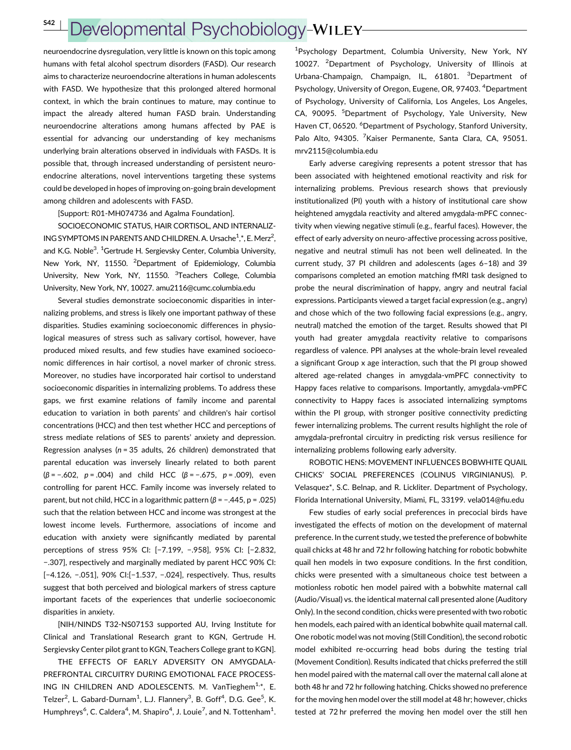## Developmental Psychobiology-WILEY-

neuroendocrine dysregulation, very little is known on this topic among humans with fetal alcohol spectrum disorders (FASD). Our research aims to characterize neuroendocrine alterations in human adolescents with FASD. We hypothesize that this prolonged altered hormonal context, in which the brain continues to mature, may continue to impact the already altered human FASD brain. Understanding neuroendocrine alterations among humans affected by PAE is essential for advancing our understanding of key mechanisms underlying brain alterations observed in individuals with FASDs. It is possible that, through increased understanding of persistent neuroendocrine alterations, novel interventions targeting these systems could be developed in hopes of improving on-going brain development among children and adolescents with FASD.

[Support: R01-MH074736 and Agalma Foundation].

SOCIOECONOMIC STATUS, HAIR CORTISOL, AND INTERNALIZ-ING SYMPTOMS IN PARENTS AND CHILDREN. A. Ursache<sup>1</sup>,\*, E. Merz<sup>2</sup>, and K.G. Noble<sup>3</sup>. <sup>1</sup>Gertrude H. Sergievsky Center, Columbia University, New York, NY, 11550. <sup>2</sup>Department of Epidemiology, Columbia University, New York, NY, 11550. <sup>3</sup>Teachers College, Columbia University, New York, NY, 10027. amu2116@cumc.columbia.edu

Several studies demonstrate socioeconomic disparities in internalizing problems, and stress is likely one important pathway of these disparities. Studies examining socioeconomic differences in physiological measures of stress such as salivary cortisol, however, have produced mixed results, and few studies have examined socioeconomic differences in hair cortisol, a novel marker of chronic stress. Moreover, no studies have incorporated hair cortisol to understand socioeconomic disparities in internalizing problems. To address these gaps, we first examine relations of family income and parental education to variation in both parents' and children's hair cortisol concentrations (HCC) and then test whether HCC and perceptions of stress mediate relations of SES to parents' anxiety and depression. Regression analyses ( $n = 35$  adults, 26 children) demonstrated that parental education was inversely linearly related to both parent  $(\beta = -.602, p = .004)$  and child HCC  $(\beta = -.675, p = .009)$ , even controlling for parent HCC. Family income was inversely related to parent, but not child, HCC in a logarithmic pattern ( $β = -.445$ ,  $p = .025$ ) such that the relation between HCC and income was strongest at the lowest income levels. Furthermore, associations of income and education with anxiety were significantly mediated by parental perceptions of stress 95% CI: [−7.199, −.958], 95% CI: [−2.832, −.307], respectively and marginally mediated by parent HCC 90% CI: [−4.126, −.051], 90% CI:[−1.537, −.024], respectively. Thus, results suggest that both perceived and biological markers of stress capture important facets of the experiences that underlie socioeconomic disparities in anxiety.

[NIH/NINDS T32-NS07153 supported AU, Irving Institute for Clinical and Translational Research grant to KGN, Gertrude H. Sergievsky Center pilot grant to KGN, Teachers College grant to KGN].

THE EFFECTS OF EARLY ADVERSITY ON AMYGDALA-PREFRONTAL CIRCUITRY DURING EMOTIONAL FACE PROCESS-ING IN CHILDREN AND ADOLESCENTS. M. VanTieghem<sup>1,\*</sup>, E. Telzer<sup>2</sup>, L. Gabard-Durnam<sup>1</sup>, L.J. Flannery<sup>3</sup>, B. Goff<sup>4</sup>, D.G. Gee<sup>5</sup>, K. Humphreys<sup>6</sup>, C. Caldera<sup>4</sup>, M. Shapiro<sup>4</sup>, J. Louie<sup>7</sup>, and N. Tottenham<sup>1</sup>.

1 Psychology Department, Columbia University, New York, NY 10027. <sup>2</sup> Department of Psychology, University of Illinois at Urbana-Champaign, Champaign, IL, 61801. <sup>3</sup>Department of Psychology, University of Oregon, Eugene, OR, 97403. <sup>4</sup>Department of Psychology, University of California, Los Angeles, Los Angeles, CA, 90095. <sup>5</sup>Department of Psychology, Yale University, New Haven CT, 06520. <sup>6</sup>Department of Psychology, Stanford University, Palo Alto, 94305. <sup>7</sup> Kaiser Permanente, Santa Clara, CA, 95051. mrv2115@columbia.edu

Early adverse caregiving represents a potent stressor that has been associated with heightened emotional reactivity and risk for internalizing problems. Previous research shows that previously institutionalized (PI) youth with a history of institutional care show heightened amygdala reactivity and altered amygdala-mPFC connectivity when viewing negative stimuli (e.g., fearful faces). However, the effect of early adversity on neuro-affective processing across positive, negative and neutral stimuli has not been well delineated. In the current study, 37 PI children and adolescents (ages 6–18) and 39 comparisons completed an emotion matching fMRI task designed to probe the neural discrimination of happy, angry and neutral facial expressions. Participants viewed a target facial expression (e.g., angry) and chose which of the two following facial expressions (e.g., angry, neutral) matched the emotion of the target. Results showed that PI youth had greater amygdala reactivity relative to comparisons regardless of valence. PPI analyses at the whole-brain level revealed a significant Group x age interaction, such that the PI group showed altered age-related changes in amygdala-vmPFC connectivity to Happy faces relative to comparisons. Importantly, amygdala-vmPFC connectivity to Happy faces is associated internalizing symptoms within the PI group, with stronger positive connectivity predicting fewer internalizing problems. The current results highlight the role of amygdala-prefrontal circuitry in predicting risk versus resilience for internalizing problems following early adversity.

ROBOTIC HENS: MOVEMENT INFLUENCES BOBWHITE QUAIL CHICKS' SOCIAL PREFERENCES (COLINUS VIRGINIANUS). P. Velasquez\*, S.C. Belnap, and R. Lickliter. Department of Psychology, Florida International University, Miami, FL, 33199. vela014@fiu.edu

Few studies of early social preferences in precocial birds have investigated the effects of motion on the development of maternal preference. In the current study, we tested the preference of bobwhite quail chicks at 48 hr and 72 hr following hatching for robotic bobwhite quail hen models in two exposure conditions. In the first condition, chicks were presented with a simultaneous choice test between a motionless robotic hen model paired with a bobwhite maternal call (Audio/Visual) vs. the identical maternal call presented alone (Auditory Only). In the second condition, chicks were presented with two robotic hen models, each paired with an identical bobwhite quail maternal call. One robotic model was not moving (Still Condition), the second robotic model exhibited re-occurring head bobs during the testing trial (Movement Condition). Results indicated that chicks preferred the still hen model paired with the maternal call over the maternal call alone at both 48 hr and 72 hr following hatching. Chicks showed no preference for the moving hen model over the still model at 48 hr; however, chicks tested at 72 hr preferred the moving hen model over the still hen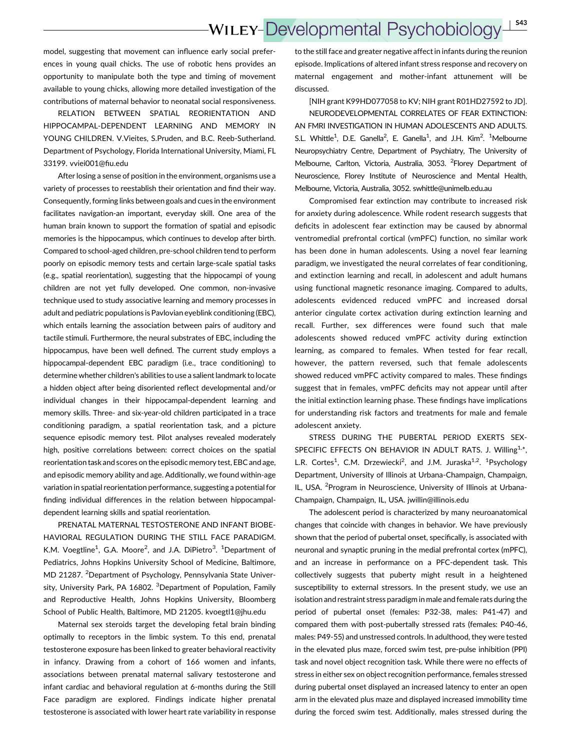model, suggesting that movement can influence early social preferences in young quail chicks. The use of robotic hens provides an opportunity to manipulate both the type and timing of movement available to young chicks, allowing more detailed investigation of the contributions of maternal behavior to neonatal social responsiveness.

RELATION BETWEEN SPATIAL REORIENTATION AND HIPPOCAMPAL-DEPENDENT LEARNING AND MEMORY IN YOUNG CHILDREN. V.Vieites, S.Pruden, and B.C. Reeb-Sutherland. Department of Psychology, Florida International University, Miami, FL 33199. vviei001@fiu.edu

After losing a sense of position in the environment, organisms use a variety of processes to reestablish their orientation and find their way. Consequently, forming links between goals and cues in the environment facilitates navigation-an important, everyday skill. One area of the human brain known to support the formation of spatial and episodic memories is the hippocampus, which continues to develop after birth. Compared to school-aged children, pre-school children tend to perform poorly on episodic memory tests and certain large-scale spatial tasks (e.g., spatial reorientation), suggesting that the hippocampi of young children are not yet fully developed. One common, non-invasive technique used to study associative learning and memory processes in adult and pediatric populations is Pavlovian eyeblink conditioning (EBC), which entails learning the association between pairs of auditory and tactile stimuli. Furthermore, the neural substrates of EBC, including the hippocampus, have been well defined. The current study employs a hippocampal-dependent EBC paradigm (i.e., trace conditioning) to determine whether children's abilities to use a salient landmark to locate a hidden object after being disoriented reflect developmental and/or individual changes in their hippocampal-dependent learning and memory skills. Three- and six-year-old children participated in a trace conditioning paradigm, a spatial reorientation task, and a picture sequence episodic memory test. Pilot analyses revealed moderately high, positive correlations between: correct choices on the spatial reorientation task and scores on the episodic memory test, EBC and age, and episodic memory ability and age. Additionally, we found within-age variation in spatial reorientation performance, suggesting a potential for finding individual differences in the relation between hippocampaldependent learning skills and spatial reorientation.

PRENATAL MATERNAL TESTOSTERONE AND INFANT BIOBE-HAVIORAL REGULATION DURING THE STILL FACE PARADIGM. K.M. Voegtline<sup>1</sup>, G.A. Moore<sup>2</sup>, and J.A. DiPietro<sup>3</sup>. <sup>1</sup>Department of Pediatrics, Johns Hopkins University School of Medicine, Baltimore, MD 21287. <sup>2</sup>Department of Psychology, Pennsylvania State University, University Park, PA 16802. <sup>3</sup>Department of Population, Family and Reproductive Health, Johns Hopkins University, Bloomberg School of Public Health, Baltimore, MD 21205. kvoegtl1@jhu.edu

Maternal sex steroids target the developing fetal brain binding optimally to receptors in the limbic system. To this end, prenatal testosterone exposure has been linked to greater behavioral reactivity in infancy. Drawing from a cohort of 166 women and infants, associations between prenatal maternal salivary testosterone and infant cardiac and behavioral regulation at 6-months during the Still Face paradigm are explored. Findings indicate higher prenatal testosterone is associated with lower heart rate variability in response

to the still face and greater negative affect in infants during the reunion episode. Implications of altered infant stress response and recovery on maternal engagement and mother-infant attunement will be discussed.

[NIH grant K99HD077058 to KV; NIH grant R01HD27592 to JD]. NEURODEVELOPMENTAL CORRELATES OF FEAR EXTINCTION: AN FMRI INVESTIGATION IN HUMAN ADOLESCENTS AND ADULTS. S.L. Whittle<sup>1</sup>, D.E. Ganella<sup>2</sup>, E. Ganella<sup>1</sup>, and J.H. Kim<sup>2</sup>. <sup>1</sup>Melbourne Neuropsychiatry Centre, Department of Psychiatry, The University of Melbourne, Carlton, Victoria, Australia, 3053. <sup>2</sup>Florey Department of Neuroscience, Florey Institute of Neuroscience and Mental Health, Melbourne, Victoria, Australia, 3052. swhittle@unimelb.edu.au

Compromised fear extinction may contribute to increased risk for anxiety during adolescence. While rodent research suggests that deficits in adolescent fear extinction may be caused by abnormal ventromedial prefrontal cortical (vmPFC) function, no similar work has been done in human adolescents. Using a novel fear learning paradigm, we investigated the neural correlates of fear conditioning, and extinction learning and recall, in adolescent and adult humans using functional magnetic resonance imaging. Compared to adults, adolescents evidenced reduced vmPFC and increased dorsal anterior cingulate cortex activation during extinction learning and recall. Further, sex differences were found such that male adolescents showed reduced vmPFC activity during extinction learning, as compared to females. When tested for fear recall, however, the pattern reversed, such that female adolescents showed reduced vmPFC activity compared to males. These findings suggest that in females, vmPFC deficits may not appear until after the initial extinction learning phase. These findings have implications for understanding risk factors and treatments for male and female adolescent anxiety.

STRESS DURING THE PUBERTAL PERIOD EXERTS SEX-SPECIFIC EFFECTS ON BEHAVIOR IN ADULT RATS. J. Willing<sup>1,\*</sup>, L.R. Cortes<sup>1</sup>, C.M. Drzewiecki<sup>2</sup>, and J.M. Juraska<sup>1,2</sup>. <sup>1</sup>Psychology Department, University of Illinois at Urbana-Champaign, Champaign, IL, USA. <sup>2</sup>Program in Neuroscience, University of Illinois at Urbana-Champaign, Champaign, IL, USA. jwillin@illinois.edu

The adolescent period is characterized by many neuroanatomical changes that coincide with changes in behavior. We have previously shown that the period of pubertal onset, specifically, is associated with neuronal and synaptic pruning in the medial prefrontal cortex (mPFC), and an increase in performance on a PFC-dependent task. This collectively suggests that puberty might result in a heightened susceptibility to external stressors. In the present study, we use an isolation and restraint stress paradigm in male and female rats during the period of pubertal onset (females: P32-38, males: P41-47) and compared them with post-pubertally stressed rats (females: P40-46, males: P49-55) and unstressed controls. In adulthood, they were tested in the elevated plus maze, forced swim test, pre-pulse inhibition (PPI) task and novel object recognition task. While there were no effects of stress in either sex on object recognition performance, females stressed during pubertal onset displayed an increased latency to enter an open arm in the elevated plus maze and displayed increased immobility time during the forced swim test. Additionally, males stressed during the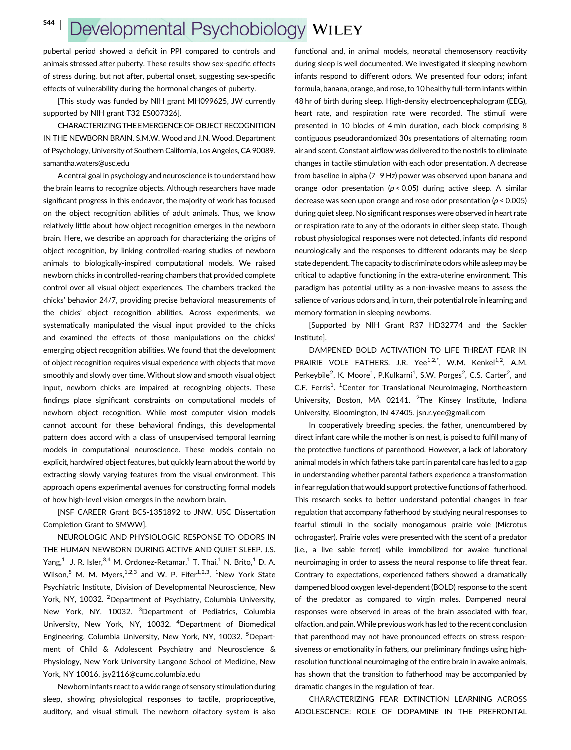# Developmental Psychobiology-WILEY

pubertal period showed a deficit in PPI compared to controls and animals stressed after puberty. These results show sex-specific effects of stress during, but not after, pubertal onset, suggesting sex-specific effects of vulnerability during the hormonal changes of puberty.

[This study was funded by NIH grant MH099625, JW currently supported by NIH grant T32 ES007326].

CHARACTERIZING THE EMERGENCE OF OBJECT RECOGNITION IN THE NEWBORN BRAIN. S.M.W. Wood and J.N. Wood. Department of Psychology, University of Southern California, Los Angeles, CA 90089. samantha.waters@usc.edu

A central goal in psychology and neuroscience is to understand how the brain learns to recognize objects. Although researchers have made significant progress in this endeavor, the majority of work has focused on the object recognition abilities of adult animals. Thus, we know relatively little about how object recognition emerges in the newborn brain. Here, we describe an approach for characterizing the origins of object recognition, by linking controlled-rearing studies of newborn animals to biologically-inspired computational models. We raised newborn chicks in controlled-rearing chambers that provided complete control over all visual object experiences. The chambers tracked the chicks' behavior 24/7, providing precise behavioral measurements of the chicks' object recognition abilities. Across experiments, we systematically manipulated the visual input provided to the chicks and examined the effects of those manipulations on the chicks' emerging object recognition abilities. We found that the development of object recognition requires visual experience with objects that move smoothly and slowly over time. Without slow and smooth visual object input, newborn chicks are impaired at recognizing objects. These findings place significant constraints on computational models of newborn object recognition. While most computer vision models cannot account for these behavioral findings, this developmental pattern does accord with a class of unsupervised temporal learning models in computational neuroscience. These models contain no explicit, hardwired object features, but quickly learn about the world by extracting slowly varying features from the visual environment. This approach opens experimental avenues for constructing formal models of how high-level vision emerges in the newborn brain.

[NSF CAREER Grant BCS-1351892 to JNW. USC Dissertation Completion Grant to SMWW].

NEUROLOGIC AND PHYSIOLOGIC RESPONSE TO ODORS IN THE HUMAN NEWBORN DURING ACTIVE AND QUIET SLEEP. J.S. Yang,<sup>1</sup> J. R. Isler,<sup>3,4</sup> M. Ordonez-Retamar,<sup>1</sup> T. Thai,<sup>1</sup> N. Brito,<sup>1</sup> D. A. Wilson,<sup>5</sup> M. M. Myers,  $1,2,3$  and W. P. Fifer $1,2,3$ .  $1$ New York State Psychiatric Institute, Division of Developmental Neuroscience, New York, NY, 10032. <sup>2</sup>Department of Psychiatry, Columbia University, New York, NY, 10032. <sup>3</sup>Department of Pediatrics, Columbia University, New York, NY, 10032. <sup>4</sup>Department of Biomedical Engineering, Columbia University, New York, NY, 10032. <sup>5</sup>Department of Child & Adolescent Psychiatry and Neuroscience & Physiology, New York University Langone School of Medicine, New York, NY 10016. jsy2116@cumc.columbia.edu

Newborn infants react to a wide range of sensory stimulation during sleep, showing physiological responses to tactile, proprioceptive, auditory, and visual stimuli. The newborn olfactory system is also

functional and, in animal models, neonatal chemosensory reactivity during sleep is well documented. We investigated if sleeping newborn infants respond to different odors. We presented four odors; infant formula, banana, orange, and rose, to 10 healthy full-term infants within 48 hr of birth during sleep. High-density electroencephalogram (EEG), heart rate, and respiration rate were recorded. The stimuli were presented in 10 blocks of 4 min duration, each block comprising 8 contiguous pseudorandomized 30s presentations of alternating room air and scent. Constant airflow was delivered to the nostrils to eliminate changes in tactile stimulation with each odor presentation. A decrease from baseline in alpha (7–9 Hz) power was observed upon banana and orange odor presentation ( $p < 0.05$ ) during active sleep. A similar decrease was seen upon orange and rose odor presentation ( $p < 0.005$ ) during quiet sleep. No significant responses were observed in heart rate or respiration rate to any of the odorants in either sleep state. Though robust physiological responses were not detected, infants did respond neurologically and the responses to different odorants may be sleep state dependent. The capacity to discriminate odors while asleep may be critical to adaptive functioning in the extra-uterine environment. This paradigm has potential utility as a non-invasive means to assess the salience of various odors and, in turn, their potential role in learning and memory formation in sleeping newborns.

[Supported by NIH Grant R37 HD32774 and the Sackler Institute].

DAMPENED BOLD ACTIVATION TO LIFE THREAT FEAR IN PRAIRIE VOLE FATHERS. J.R. Yee $^{1,2,*}$ , W.M. Kenkel<sup>1,2</sup>, A.M. Perkeybile<sup>2</sup>, K. Moore<sup>1</sup>, P.Kulkarni<sup>1</sup>, S.W. Porges<sup>2</sup>, C.S. Carter<sup>2</sup>, and C.F. Ferris<sup>1</sup>. <sup>1</sup>Center for Translational NeuroImaging, Northeastern University, Boston, MA 02141. <sup>2</sup>The Kinsey Institute, Indiana University, Bloomington, IN 47405. jsn.r.yee@gmail.com

In cooperatively breeding species, the father, unencumbered by direct infant care while the mother is on nest, is poised to fulfill many of the protective functions of parenthood. However, a lack of laboratory animal models in which fathers take part in parental care has led to a gap in understanding whether parental fathers experience a transformation in fear regulation that would support protective functions of fatherhood. This research seeks to better understand potential changes in fear regulation that accompany fatherhood by studying neural responses to fearful stimuli in the socially monogamous prairie vole (Microtus ochrogaster). Prairie voles were presented with the scent of a predator (i.e., a live sable ferret) while immobilized for awake functional neuroimaging in order to assess the neural response to life threat fear. Contrary to expectations, experienced fathers showed a dramatically dampened blood oxygen level-dependent (BOLD) response to the scent of the predator as compared to virgin males. Dampened neural responses were observed in areas of the brain associated with fear, olfaction, and pain.While previous work has led to the recent conclusion that parenthood may not have pronounced effects on stress responsiveness or emotionality in fathers, our preliminary findings using highresolution functional neuroimaging of the entire brain in awake animals, has shown that the transition to fatherhood may be accompanied by dramatic changes in the regulation of fear.

CHARACTERIZING FEAR EXTINCTION LEARNING ACROSS ADOLESCENCE: ROLE OF DOPAMINE IN THE PREFRONTAL